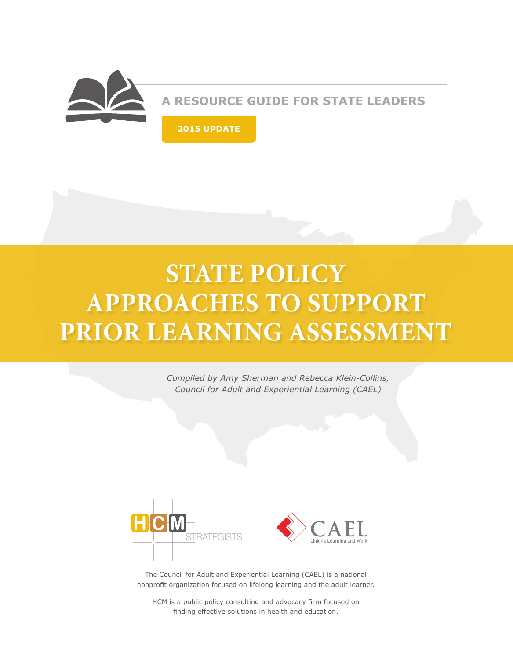

**A RESOURCE GUIDE FOR STATE LEADERS**

**2015 UPDATE**

# **STATE POLICY APPROACHES TO SUPPORT PRIOR LEARNING ASSESSMENT**

*Compiled by Amy Sherman and Rebecca Klein-Collins, Council for Adult and Experiential Learning (CAEL)*





The Council for Adult and Experiential Learning (CAEL) is a national nonprofit organization focused on lifelong learning and the adult learner.

HCM is a public policy consulting and advocacy firm focused on finding effective solutions in health and education.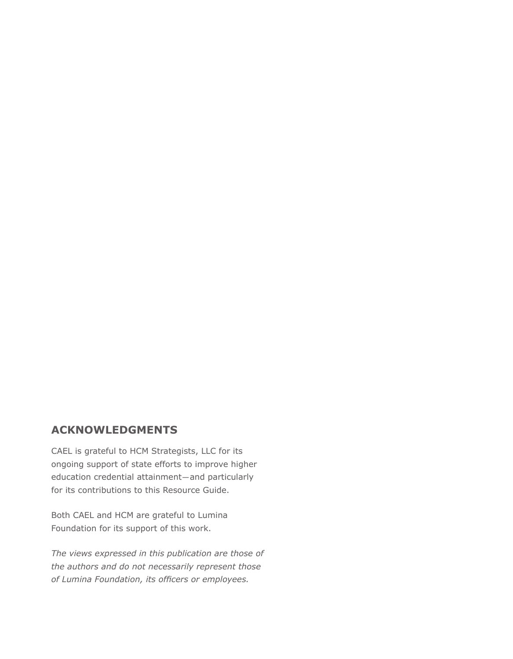#### **ACKNOWLEDGMENTS**

CAEL is grateful to HCM Strategists, LLC for its ongoing support of state efforts to improve higher education credential attainment—and particularly for its contributions to this Resource Guide.

Both CAEL and HCM are grateful to Lumina Foundation for its support of this work.

*The views expressed in this publication are those of the authors and do not necessarily represent those of Lumina Foundation, its officers or employees.*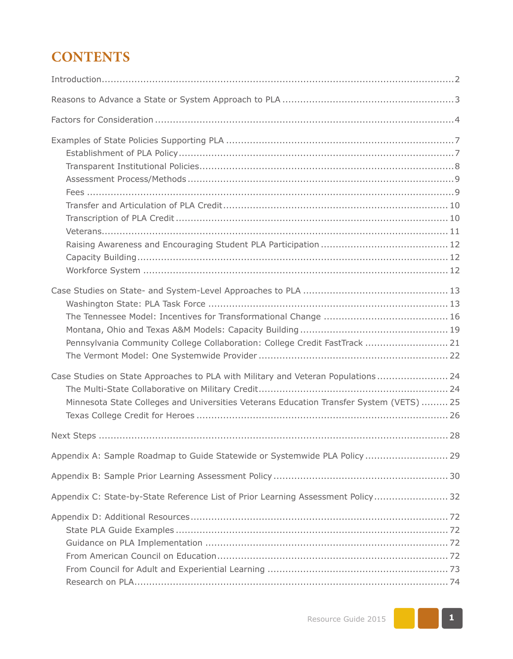## **CONTENTS**

| Pennsylvania Community College Collaboration: College Credit FastTrack  21                                                                                                  |
|-----------------------------------------------------------------------------------------------------------------------------------------------------------------------------|
| Case Studies on State Approaches to PLA with Military and Veteran Populations 24<br>Minnesota State Colleges and Universities Veterans Education Transfer System (VETS)  25 |
| . 28<br>Next Steps.                                                                                                                                                         |
| Appendix A: Sample Roadmap to Guide Statewide or Systemwide PLA Policy  29                                                                                                  |
|                                                                                                                                                                             |
| Appendix C: State-by-State Reference List of Prior Learning Assessment Policy 32                                                                                            |
|                                                                                                                                                                             |

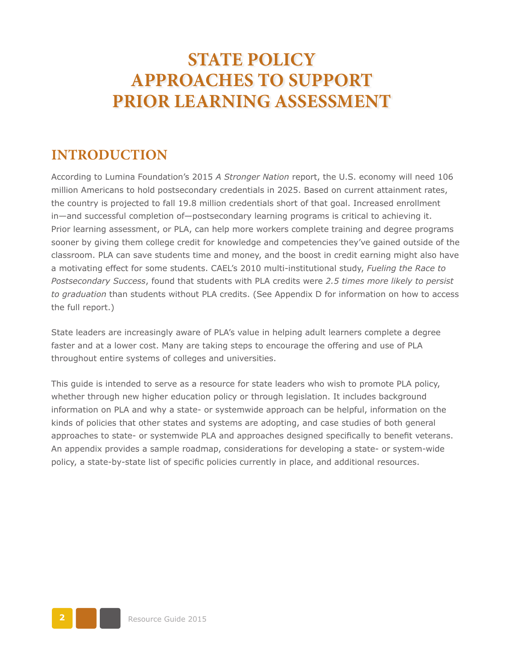## **STATE POLICY APPROACHES TO SUPPORT PRIOR LEARNING ASSESSMENT**

### **INTRODUCTION**

According to Lumina Foundation's 2015 *A Stronger Nation* report, the U.S. economy will need 106 million Americans to hold postsecondary credentials in 2025. Based on current attainment rates, the country is projected to fall 19.8 million credentials short of that goal. Increased enrollment in—and successful completion of—postsecondary learning programs is critical to achieving it. Prior learning assessment, or PLA, can help more workers complete training and degree programs sooner by giving them college credit for knowledge and competencies they've gained outside of the classroom. PLA can save students time and money, and the boost in credit earning might also have a motivating effect for some students. CAEL's 2010 multi-institutional study, *Fueling the Race to Postsecondary Success*, found that students with PLA credits were *2.5 times more likely to persist to graduation* than students without PLA credits. (See Appendix D for information on how to access the full report.)

State leaders are increasingly aware of PLA's value in helping adult learners complete a degree faster and at a lower cost. Many are taking steps to encourage the offering and use of PLA throughout entire systems of colleges and universities.

This guide is intended to serve as a resource for state leaders who wish to promote PLA policy, whether through new higher education policy or through legislation. It includes background information on PLA and why a state- or systemwide approach can be helpful, information on the kinds of policies that other states and systems are adopting, and case studies of both general approaches to state- or systemwide PLA and approaches designed specifically to benefit veterans. An appendix provides a sample roadmap, considerations for developing a state- or system-wide policy, a state-by-state list of specific policies currently in place, and additional resources.

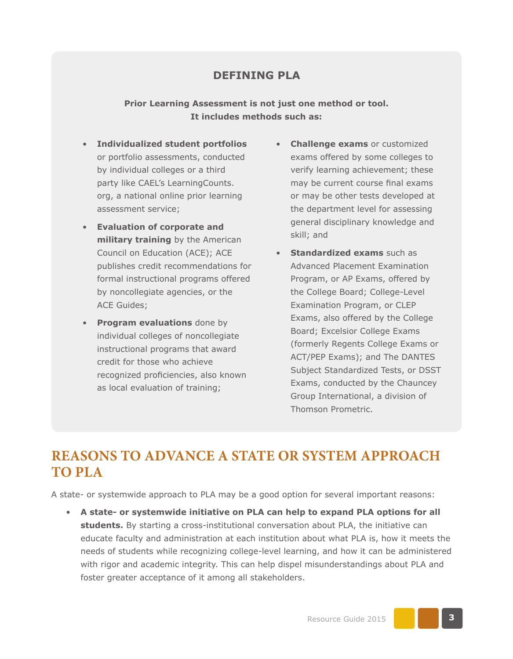#### **DEFINING PLA**

**Prior Learning Assessment is not just one method or tool. It includes methods such as:** 

- **Individualized student portfolios** or portfolio assessments, conducted by individual colleges or a third party like CAEL's LearningCounts. org, a national online prior learning assessment service;
- **Evaluation of corporate and military training** by the American Council on Education (ACE); ACE publishes credit recommendations for formal instructional programs offered by noncollegiate agencies, or the ACE Guides;
- **Program evaluations** done by individual colleges of noncollegiate instructional programs that award credit for those who achieve recognized proficiencies, also known as local evaluation of training;
- **Challenge exams** or customized exams offered by some colleges to verify learning achievement; these may be current course final exams or may be other tests developed at the department level for assessing general disciplinary knowledge and skill; and
- **Standardized exams** such as Advanced Placement Examination Program, or AP Exams, offered by the College Board; College-Level Examination Program, or CLEP Exams, also offered by the College Board; Excelsior College Exams (formerly Regents College Exams or ACT/PEP Exams); and The DANTES Subject Standardized Tests, or DSST Exams, conducted by the Chauncey Group International, a division of Thomson Prometric.

## **REASONS TO ADVANCE A STATE OR SYSTEM APPROACH TO PLA**

A state- or systemwide approach to PLA may be a good option for several important reasons:

• **A state- or systemwide initiative on PLA can help to expand PLA options for all students.** By starting a cross-institutional conversation about PLA, the initiative can educate faculty and administration at each institution about what PLA is, how it meets the needs of students while recognizing college-level learning, and how it can be administered with rigor and academic integrity. This can help dispel misunderstandings about PLA and foster greater acceptance of it among all stakeholders.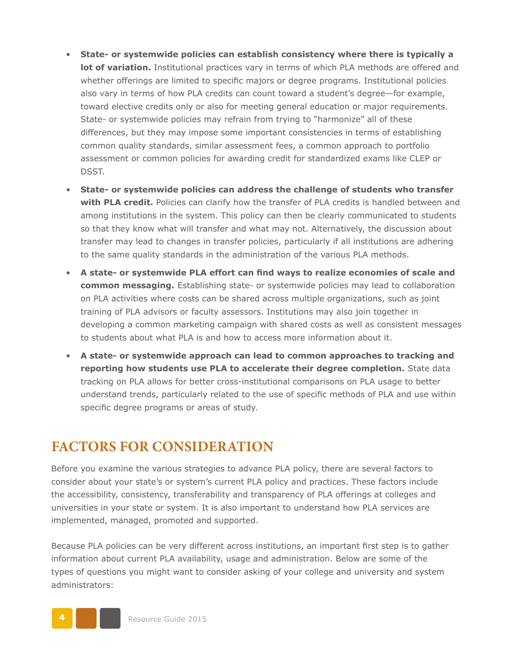- **State- or systemwide policies can establish consistency where there is typically a lot of variation.** Institutional practices vary in terms of which PLA methods are offered and whether offerings are limited to specific majors or degree programs. Institutional policies also vary in terms of how PLA credits can count toward a student's degree—for example, toward elective credits only or also for meeting general education or major requirements. State- or systemwide policies may refrain from trying to "harmonize" all of these differences, but they may impose some important consistencies in terms of establishing common quality standards, similar assessment fees, a common approach to portfolio assessment or common policies for awarding credit for standardized exams like CLEP or DSST.
- **State- or systemwide policies can address the challenge of students who transfer with PLA credit.** Policies can clarify how the transfer of PLA credits is handled between and among institutions in the system. This policy can then be clearly communicated to students so that they know what will transfer and what may not. Alternatively, the discussion about transfer may lead to changes in transfer policies, particularly if all institutions are adhering to the same quality standards in the administration of the various PLA methods.
- **A state- or systemwide PLA effort can find ways to realize economies of scale and common messaging.** Establishing state- or systemwide policies may lead to collaboration on PLA activities where costs can be shared across multiple organizations, such as joint training of PLA advisors or faculty assessors. Institutions may also join together in developing a common marketing campaign with shared costs as well as consistent messages to students about what PLA is and how to access more information about it.
- **A state- or systemwide approach can lead to common approaches to tracking and reporting how students use PLA to accelerate their degree completion.** State data tracking on PLA allows for better cross-institutional comparisons on PLA usage to better understand trends, particularly related to the use of specific methods of PLA and use within specific degree programs or areas of study.

## **FACTORS FOR CONSIDERATION**

Before you examine the various strategies to advance PLA policy, there are several factors to consider about your state's or system's current PLA policy and practices. These factors include the accessibility, consistency, transferability and transparency of PLA offerings at colleges and universities in your state or system. It is also important to understand how PLA services are implemented, managed, promoted and supported.

Because PLA policies can be very different across institutions, an important first step is to gather information about current PLA availability, usage and administration. Below are some of the types of questions you might want to consider asking of your college and university and system administrators:

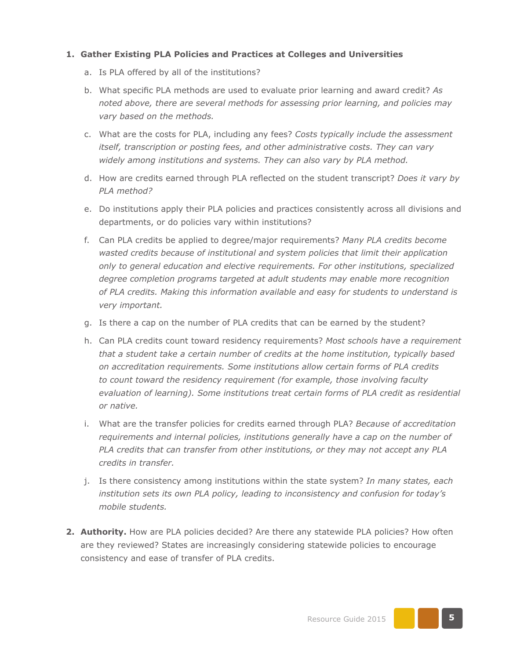#### **1. Gather Existing PLA Policies and Practices at Colleges and Universities**

- a. Is PLA offered by all of the institutions?
- b. What specific PLA methods are used to evaluate prior learning and award credit? *As noted above, there are several methods for assessing prior learning, and policies may vary based on the methods.*
- c. What are the costs for PLA, including any fees? *Costs typically include the assessment itself, transcription or posting fees, and other administrative costs. They can vary widely among institutions and systems. They can also vary by PLA method.*
- d. How are credits earned through PLA reflected on the student transcript? *Does it vary by PLA method?*
- e. Do institutions apply their PLA policies and practices consistently across all divisions and departments, or do policies vary within institutions?
- f. Can PLA credits be applied to degree/major requirements? *Many PLA credits become wasted credits because of institutional and system policies that limit their application only to general education and elective requirements. For other institutions, specialized degree completion programs targeted at adult students may enable more recognition of PLA credits. Making this information available and easy for students to understand is very important.*
- g. Is there a cap on the number of PLA credits that can be earned by the student?
- h. Can PLA credits count toward residency requirements? *Most schools have a requirement that a student take a certain number of credits at the home institution, typically based on accreditation requirements. Some institutions allow certain forms of PLA credits to count toward the residency requirement (for example, those involving faculty evaluation of learning). Some institutions treat certain forms of PLA credit as residential or native.*
- i. What are the transfer policies for credits earned through PLA? *Because of accreditation requirements and internal policies, institutions generally have a cap on the number of PLA credits that can transfer from other institutions, or they may not accept any PLA credits in transfer.*
- j. Is there consistency among institutions within the state system? *In many states, each institution sets its own PLA policy, leading to inconsistency and confusion for today's mobile students.*
- **2. Authority.** How are PLA policies decided? Are there any statewide PLA policies? How often are they reviewed? States are increasingly considering statewide policies to encourage consistency and ease of transfer of PLA credits.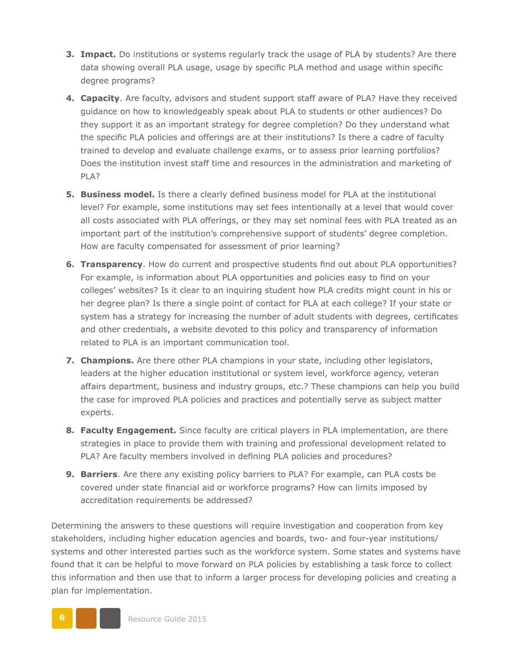- **3. Impact.** Do institutions or systems regularly track the usage of PLA by students? Are there data showing overall PLA usage, usage by specific PLA method and usage within specific degree programs?
- **4. Capacity**. Are faculty, advisors and student support staff aware of PLA? Have they received guidance on how to knowledgeably speak about PLA to students or other audiences? Do they support it as an important strategy for degree completion? Do they understand what the specific PLA policies and offerings are at their institutions? Is there a cadre of faculty trained to develop and evaluate challenge exams, or to assess prior learning portfolios? Does the institution invest staff time and resources in the administration and marketing of PLA?
- **5. Business model.** Is there a clearly defined business model for PLA at the institutional level? For example, some institutions may set fees intentionally at a level that would cover all costs associated with PLA offerings, or they may set nominal fees with PLA treated as an important part of the institution's comprehensive support of students' degree completion. How are faculty compensated for assessment of prior learning?
- **6. Transparency**. How do current and prospective students find out about PLA opportunities? For example, is information about PLA opportunities and policies easy to find on your colleges' websites? Is it clear to an inquiring student how PLA credits might count in his or her degree plan? Is there a single point of contact for PLA at each college? If your state or system has a strategy for increasing the number of adult students with degrees, certificates and other credentials, a website devoted to this policy and transparency of information related to PLA is an important communication tool.
- **7. Champions.** Are there other PLA champions in your state, including other legislators, leaders at the higher education institutional or system level, workforce agency, veteran affairs department, business and industry groups, etc.? These champions can help you build the case for improved PLA policies and practices and potentially serve as subject matter experts.
- **8. Faculty Engagement.** Since faculty are critical players in PLA implementation, are there strategies in place to provide them with training and professional development related to PLA? Are faculty members involved in defining PLA policies and procedures?
- **9. Barriers**. Are there any existing policy barriers to PLA? For example, can PLA costs be covered under state financial aid or workforce programs? How can limits imposed by accreditation requirements be addressed?

Determining the answers to these questions will require investigation and cooperation from key stakeholders, including higher education agencies and boards, two- and four-year institutions/ systems and other interested parties such as the workforce system. Some states and systems have found that it can be helpful to move forward on PLA policies by establishing a task force to collect this information and then use that to inform a larger process for developing policies and creating a plan for implementation.

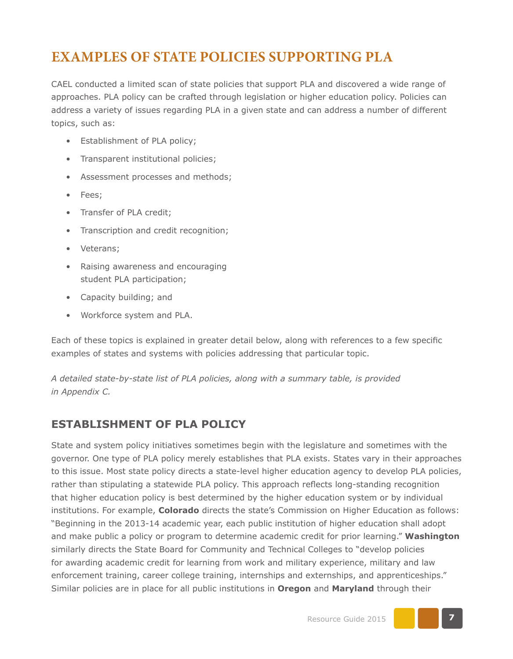## **EXAMPLES OF STATE POLICIES SUPPORTING PLA**

CAEL conducted a limited scan of state policies that support PLA and discovered a wide range of approaches. PLA policy can be crafted through legislation or higher education policy. Policies can address a variety of issues regarding PLA in a given state and can address a number of different topics, such as:

- Establishment of PLA policy;
- Transparent institutional policies;
- Assessment processes and methods;
- Fees;
- Transfer of PLA credit;
- Transcription and credit recognition;
- Veterans;
- Raising awareness and encouraging student PLA participation;
- Capacity building; and
- Workforce system and PLA.

Each of these topics is explained in greater detail below, along with references to a few specific examples of states and systems with policies addressing that particular topic.

*A detailed state-by-state list of PLA policies, along with a summary table, is provided in Appendix C.*

#### **ESTABLISHMENT OF PLA POLICY**

State and system policy initiatives sometimes begin with the legislature and sometimes with the governor. One type of PLA policy merely establishes that PLA exists. States vary in their approaches to this issue. Most state policy directs a state-level higher education agency to develop PLA policies, rather than stipulating a statewide PLA policy. This approach reflects long-standing recognition that higher education policy is best determined by the higher education system or by individual institutions. For example, **Colorado** directs the state's Commission on Higher Education as follows: "Beginning in the 2013-14 academic year, each public institution of higher education shall adopt and make public a policy or program to determine academic credit for prior learning." **Washington** similarly directs the State Board for Community and Technical Colleges to "develop policies for awarding academic credit for learning from work and military experience, military and law enforcement training, career college training, internships and externships, and apprenticeships." Similar policies are in place for all public institutions in **Oregon** and **Maryland** through their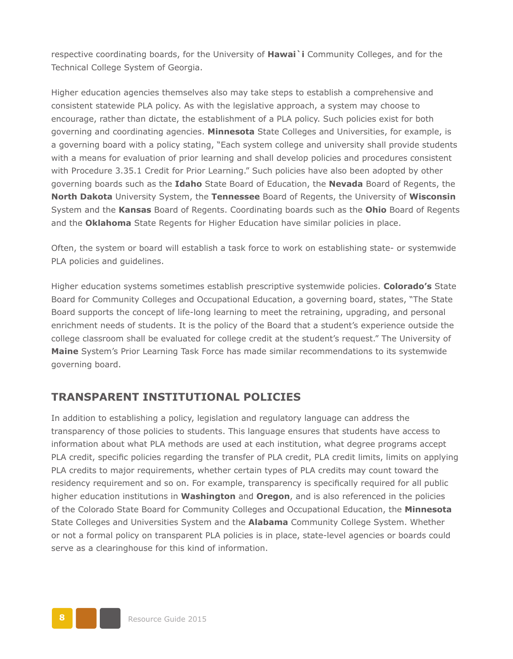respective coordinating boards, for the University of **Hawai`i** Community Colleges, and for the Technical College System of Georgia.

Higher education agencies themselves also may take steps to establish a comprehensive and consistent statewide PLA policy. As with the legislative approach, a system may choose to encourage, rather than dictate, the establishment of a PLA policy. Such policies exist for both governing and coordinating agencies. **Minnesota** State Colleges and Universities, for example, is a governing board with a policy stating, "Each system college and university shall provide students with a means for evaluation of prior learning and shall develop policies and procedures consistent with Procedure 3.35.1 Credit for Prior Learning." Such policies have also been adopted by other governing boards such as the **Idaho** State Board of Education, the **Nevada** Board of Regents, the **North Dakota** University System, the **Tennessee** Board of Regents, the University of **Wisconsin** System and the **Kansas** Board of Regents. Coordinating boards such as the **Ohio** Board of Regents and the **Oklahoma** State Regents for Higher Education have similar policies in place.

Often, the system or board will establish a task force to work on establishing state- or systemwide PLA policies and guidelines.

Higher education systems sometimes establish prescriptive systemwide policies. **Colorado's** State Board for Community Colleges and Occupational Education, a governing board, states, "The State Board supports the concept of life-long learning to meet the retraining, upgrading, and personal enrichment needs of students. It is the policy of the Board that a student's experience outside the college classroom shall be evaluated for college credit at the student's request." The University of **Maine** System's Prior Learning Task Force has made similar recommendations to its systemwide governing board.

#### **TRANSPARENT INSTITUTIONAL POLICIES**

In addition to establishing a policy, legislation and regulatory language can address the transparency of those policies to students. This language ensures that students have access to information about what PLA methods are used at each institution, what degree programs accept PLA credit, specific policies regarding the transfer of PLA credit, PLA credit limits, limits on applying PLA credits to major requirements, whether certain types of PLA credits may count toward the residency requirement and so on. For example, transparency is specifically required for all public higher education institutions in **Washington** and **Oregon**, and is also referenced in the policies of the Colorado State Board for Community Colleges and Occupational Education, the **Minnesota** State Colleges and Universities System and the **Alabama** Community College System. Whether or not a formal policy on transparent PLA policies is in place, state-level agencies or boards could serve as a clearinghouse for this kind of information.

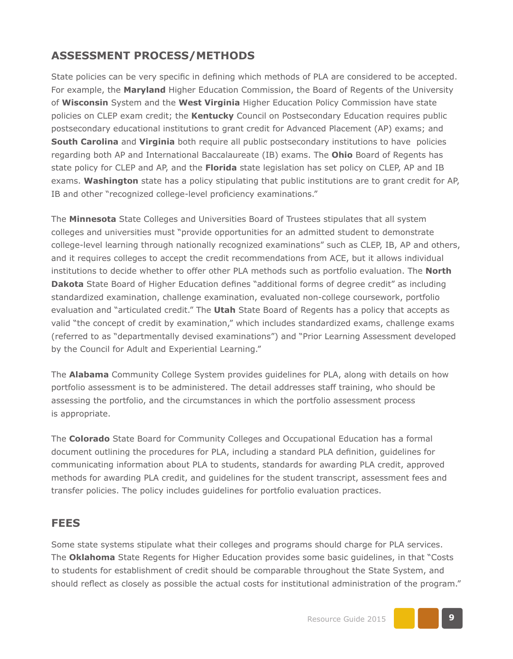#### **ASSESSMENT PROCESS/METHODS**

State policies can be very specific in defining which methods of PLA are considered to be accepted. For example, the **Maryland** Higher Education Commission, the Board of Regents of the University of **Wisconsin** System and the **West Virginia** Higher Education Policy Commission have state policies on CLEP exam credit; the **Kentucky** Council on Postsecondary Education requires public postsecondary educational institutions to grant credit for Advanced Placement (AP) exams; and **South Carolina** and **Virginia** both require all public postsecondary institutions to have policies regarding both AP and International Baccalaureate (IB) exams. The **Ohio** Board of Regents has state policy for CLEP and AP, and the **Florida** state legislation has set policy on CLEP, AP and IB exams. **Washington** state has a policy stipulating that public institutions are to grant credit for AP, IB and other "recognized college-level proficiency examinations."

The **Minnesota** State Colleges and Universities Board of Trustees stipulates that all system colleges and universities must "provide opportunities for an admitted student to demonstrate college-level learning through nationally recognized examinations" such as CLEP, IB, AP and others, and it requires colleges to accept the credit recommendations from ACE, but it allows individual institutions to decide whether to offer other PLA methods such as portfolio evaluation. The **North Dakota** State Board of Higher Education defines "additional forms of degree credit" as including standardized examination, challenge examination, evaluated non-college coursework, portfolio evaluation and "articulated credit." The **Utah** State Board of Regents has a policy that accepts as valid "the concept of credit by examination," which includes standardized exams, challenge exams (referred to as "departmentally devised examinations") and "Prior Learning Assessment developed by the Council for Adult and Experiential Learning."

The **Alabama** Community College System provides guidelines for PLA, along with details on how portfolio assessment is to be administered. The detail addresses staff training, who should be assessing the portfolio, and the circumstances in which the portfolio assessment process is appropriate.

The **Colorado** State Board for Community Colleges and Occupational Education has a formal document outlining the procedures for PLA, including a standard PLA definition, guidelines for communicating information about PLA to students, standards for awarding PLA credit, approved methods for awarding PLA credit, and guidelines for the student transcript, assessment fees and transfer policies. The policy includes guidelines for portfolio evaluation practices.

#### **FEES**

Some state systems stipulate what their colleges and programs should charge for PLA services. The **Oklahoma** State Regents for Higher Education provides some basic guidelines, in that "Costs to students for establishment of credit should be comparable throughout the State System, and should reflect as closely as possible the actual costs for institutional administration of the program."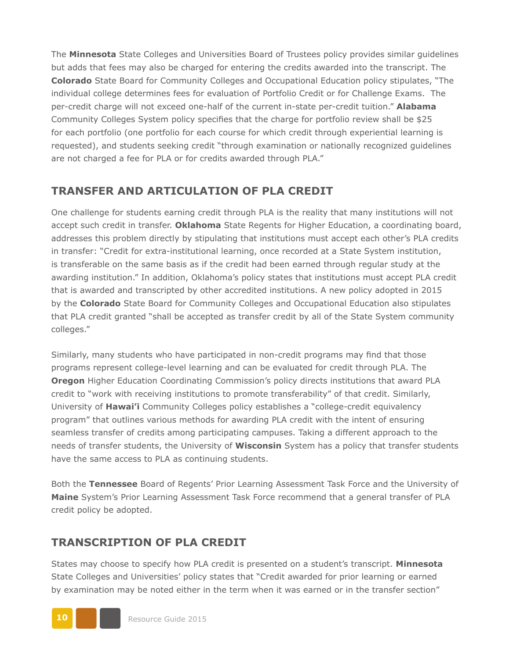The **Minnesota** State Colleges and Universities Board of Trustees policy provides similar guidelines but adds that fees may also be charged for entering the credits awarded into the transcript. The **Colorado** State Board for Community Colleges and Occupational Education policy stipulates, "The individual college determines fees for evaluation of Portfolio Credit or for Challenge Exams. The per-credit charge will not exceed one-half of the current in-state per-credit tuition." **Alabama** Community Colleges System policy specifies that the charge for portfolio review shall be \$25 for each portfolio (one portfolio for each course for which credit through experiential learning is requested), and students seeking credit "through examination or nationally recognized guidelines are not charged a fee for PLA or for credits awarded through PLA."

#### **TRANSFER AND ARTICULATION OF PLA CREDIT**

One challenge for students earning credit through PLA is the reality that many institutions will not accept such credit in transfer. **Oklahoma** State Regents for Higher Education, a coordinating board, addresses this problem directly by stipulating that institutions must accept each other's PLA credits in transfer: "Credit for extra-institutional learning, once recorded at a State System institution, is transferable on the same basis as if the credit had been earned through regular study at the awarding institution." In addition, Oklahoma's policy states that institutions must accept PLA credit that is awarded and transcripted by other accredited institutions. A new policy adopted in 2015 by the **Colorado** State Board for Community Colleges and Occupational Education also stipulates that PLA credit granted "shall be accepted as transfer credit by all of the State System community colleges."

Similarly, many students who have participated in non-credit programs may find that those programs represent college-level learning and can be evaluated for credit through PLA. The **Oregon** Higher Education Coordinating Commission's policy directs institutions that award PLA credit to "work with receiving institutions to promote transferability" of that credit. Similarly, University of **Hawai'i** Community Colleges policy establishes a "college-credit equivalency program" that outlines various methods for awarding PLA credit with the intent of ensuring seamless transfer of credits among participating campuses. Taking a different approach to the needs of transfer students, the University of **Wisconsin** System has a policy that transfer students have the same access to PLA as continuing students.

Both the **Tennessee** Board of Regents' Prior Learning Assessment Task Force and the University of **Maine** System's Prior Learning Assessment Task Force recommend that a general transfer of PLA credit policy be adopted.

#### **TRANSCRIPTION OF PLA CREDIT**

States may choose to specify how PLA credit is presented on a student's transcript. **Minnesota** State Colleges and Universities' policy states that "Credit awarded for prior learning or earned by examination may be noted either in the term when it was earned or in the transfer section"

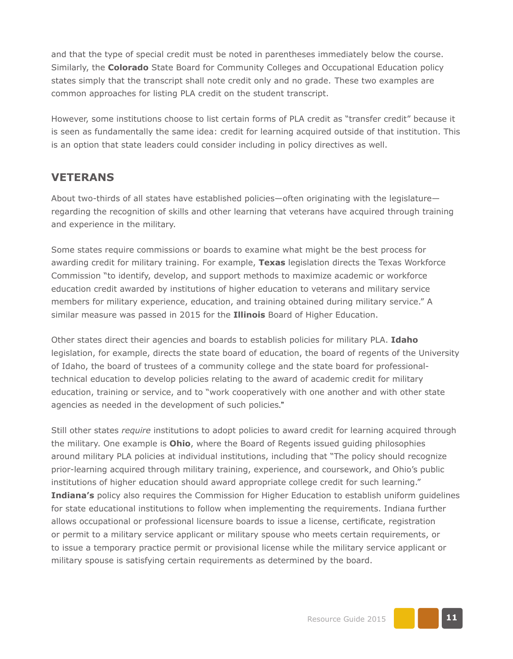and that the type of special credit must be noted in parentheses immediately below the course. Similarly, the **Colorado** State Board for Community Colleges and Occupational Education policy states simply that the transcript shall note credit only and no grade. These two examples are common approaches for listing PLA credit on the student transcript.

However, some institutions choose to list certain forms of PLA credit as "transfer credit" because it is seen as fundamentally the same idea: credit for learning acquired outside of that institution. This is an option that state leaders could consider including in policy directives as well.

#### **VETERANS**

About two-thirds of all states have established policies—often originating with the legislature regarding the recognition of skills and other learning that veterans have acquired through training and experience in the military.

Some states require commissions or boards to examine what might be the best process for awarding credit for military training. For example, **Texas** legislation directs the Texas Workforce Commission "to identify, develop, and support methods to maximize academic or workforce education credit awarded by institutions of higher education to veterans and military service members for military experience, education, and training obtained during military service." A similar measure was passed in 2015 for the **Illinois** Board of Higher Education.

Other states direct their agencies and boards to establish policies for military PLA. **Idaho** legislation, for example, directs the state board of education, the board of regents of the University of Idaho, the board of trustees of a community college and the state board for professionaltechnical education to develop policies relating to the award of academic credit for military education, training or service, and to "work cooperatively with one another and with other state agencies as needed in the development of such policies."

Still other states *require* institutions to adopt policies to award credit for learning acquired through the military. One example is **Ohio**, where the Board of Regents issued guiding philosophies around military PLA policies at individual institutions, including that "The policy should recognize prior-learning acquired through military training, experience, and coursework, and Ohio's public institutions of higher education should award appropriate college credit for such learning." **Indiana's** policy also requires the Commission for Higher Education to establish uniform guidelines for state educational institutions to follow when implementing the requirements. Indiana further allows occupational or professional licensure boards to issue a license, certificate, registration or permit to a military service applicant or military spouse who meets certain requirements, or to issue a temporary practice permit or provisional license while the military service applicant or military spouse is satisfying certain requirements as determined by the board.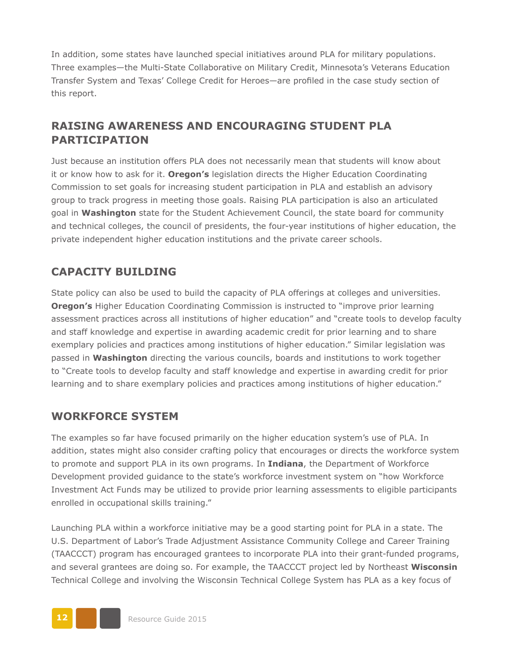In addition, some states have launched special initiatives around PLA for military populations. Three examples—the Multi-State Collaborative on Military Credit, Minnesota's Veterans Education Transfer System and Texas' College Credit for Heroes—are profiled in the case study section of this report.

#### **RAISING AWARENESS AND ENCOURAGING STUDENT PLA PARTICIPATION**

Just because an institution offers PLA does not necessarily mean that students will know about it or know how to ask for it. **Oregon's** legislation directs the Higher Education Coordinating Commission to set goals for increasing student participation in PLA and establish an advisory group to track progress in meeting those goals. Raising PLA participation is also an articulated goal in **Washington** state for the Student Achievement Council, the state board for community and technical colleges, the council of presidents, the four-year institutions of higher education, the private independent higher education institutions and the private career schools.

#### **CAPACITY BUILDING**

State policy can also be used to build the capacity of PLA offerings at colleges and universities. **Oregon's** Higher Education Coordinating Commission is instructed to "improve prior learning assessment practices across all institutions of higher education" and "create tools to develop faculty and staff knowledge and expertise in awarding academic credit for prior learning and to share exemplary policies and practices among institutions of higher education." Similar legislation was passed in **Washington** directing the various councils, boards and institutions to work together to "Create tools to develop faculty and staff knowledge and expertise in awarding credit for prior learning and to share exemplary policies and practices among institutions of higher education."

#### **WORKFORCE SYSTEM**

The examples so far have focused primarily on the higher education system's use of PLA. In addition, states might also consider crafting policy that encourages or directs the workforce system to promote and support PLA in its own programs. In **Indiana**, the Department of Workforce Development provided guidance to the state's workforce investment system on "how Workforce Investment Act Funds may be utilized to provide prior learning assessments to eligible participants enrolled in occupational skills training."

Launching PLA within a workforce initiative may be a good starting point for PLA in a state. The U.S. Department of Labor's Trade Adjustment Assistance Community College and Career Training (TAACCCT) program has encouraged grantees to incorporate PLA into their grant-funded programs, and several grantees are doing so. For example, the TAACCCT project led by Northeast **Wisconsin**  Technical College and involving the Wisconsin Technical College System has PLA as a key focus of

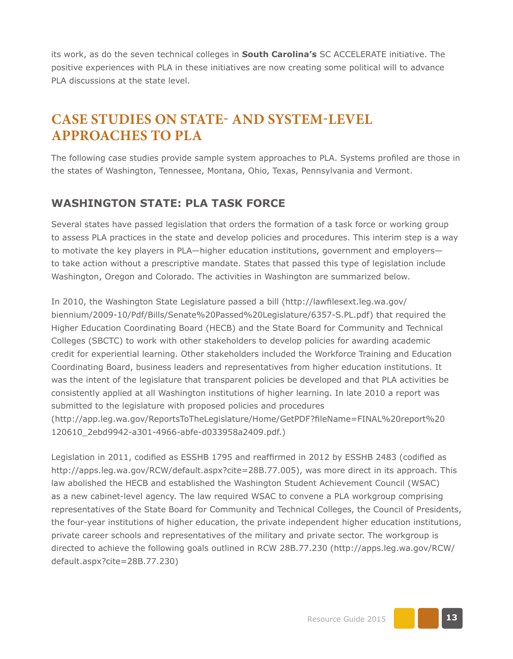its work, as do the seven technical colleges in **South Carolina's** SC ACCELERATE initiative. The positive experiences with PLA in these initiatives are now creating some political will to advance PLA discussions at the state level.

## **CASE STUDIES ON STATE- AND SYSTEM-LEVEL APPROACHES TO PLA**

The following case studies provide sample system approaches to PLA. Systems profiled are those in the states of Washington, Tennessee, Montana, Ohio, Texas, Pennsylvania and Vermont.

#### **WASHINGTON STATE: PLA TASK FORCE**

Several states have passed legislation that orders the formation of a task force or working group to assess PLA practices in the state and develop policies and procedures. This interim step is a way to motivate the key players in PLA—higher education institutions, government and employers to take action without a prescriptive mandate. States that passed this type of legislation include Washington, Oregon and Colorado. The activities in Washington are summarized below.

In 2010, the Washington State Legislature passed a bill (http://lawfilesext.leg.wa.gov/ biennium/2009-10/Pdf/Bills/Senate%20Passed%20Legislature/6357-S.PL.pdf) that required the Higher Education Coordinating Board (HECB) and the State Board for Community and Technical Colleges (SBCTC) to work with other stakeholders to develop policies for awarding academic credit for experiential learning. Other stakeholders included the Workforce Training and Education Coordinating Board, business leaders and representatives from higher education institutions. It was the intent of the legislature that transparent policies be developed and that PLA activities be consistently applied at all Washington institutions of higher learning. In late 2010 a report was submitted to the legislature with proposed policies and procedures ([http://app.leg.wa.gov/ReportsToTheLegislature/Home/GetPDF?fileName=FINAL%20report%20](http://app.leg.wa.gov/ReportsToTheLegislature/Home/GetPDF?fileName=FINAL%20report%20120610_2ebd9942-a301-4966-abfe-d033958a2409.pdf) [120610\\_2ebd9942-a301-4966-abfe-d033958a2409.pdf.](http://app.leg.wa.gov/ReportsToTheLegislature/Home/GetPDF?fileName=FINAL%20report%20120610_2ebd9942-a301-4966-abfe-d033958a2409.pdf))

Legislation in 2011, codified as ESSHB 1795 and reaffirmed in 2012 by ESSHB 2483 (codified as <http://apps.leg.wa.gov/RCW/default.aspx?cite=28B.77.005>), was more direct in its approach. This law abolished the HECB and established the Washington Student Achievement Council (WSAC) as a new cabinet-level agency. The law required WSAC to convene a PLA workgroup comprising representatives of the State Board for Community and Technical Colleges, the Council of Presidents, the four-year institutions of higher education, the private independent higher education institutions, private career schools and representatives of the military and private sector. The workgroup is directed to achieve the following goals outlined in RCW 28B.77.230 [\(http://apps.leg.wa.gov/RCW/](http://apps.leg.wa.gov/RCW/default.aspx?cite=28B.77.230) [default.aspx?cite=28B.77.230](http://apps.leg.wa.gov/RCW/default.aspx?cite=28B.77.230))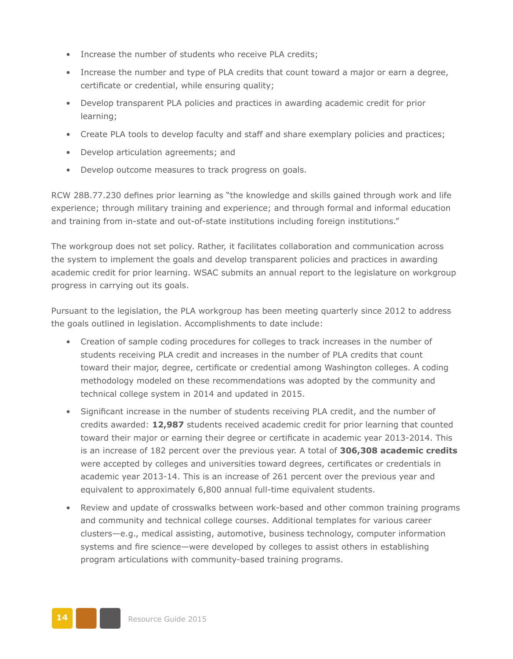- Increase the number of students who receive PLA credits;
- Increase the number and type of PLA credits that count toward a major or earn a degree, certificate or credential, while ensuring quality;
- Develop transparent PLA policies and practices in awarding academic credit for prior learning;
- Create PLA tools to develop faculty and staff and share exemplary policies and practices;
- Develop articulation agreements; and
- Develop outcome measures to track progress on goals.

RCW 28B.77.230 defines prior learning as "the knowledge and skills gained through work and life experience; through military training and experience; and through formal and informal education and training from in-state and out-of-state institutions including foreign institutions."

The workgroup does not set policy. Rather, it facilitates collaboration and communication across the system to implement the goals and develop transparent policies and practices in awarding academic credit for prior learning. WSAC submits an annual report to the legislature on workgroup progress in carrying out its goals.

Pursuant to the legislation, the PLA workgroup has been meeting quarterly since 2012 to address the goals outlined in legislation. Accomplishments to date include:

- Creation of sample coding procedures for colleges to track increases in the number of students receiving PLA credit and increases in the number of PLA credits that count toward their major, degree, certificate or credential among Washington colleges. A coding methodology modeled on these recommendations was adopted by the community and technical college system in 2014 and updated in 2015.
- Significant increase in the number of students receiving PLA credit, and the number of credits awarded: **12,987** students received academic credit for prior learning that counted toward their major or earning their degree or certificate in academic year 2013-2014. This is an increase of 182 percent over the previous year. A total of **306,308 academic credits** were accepted by colleges and universities toward degrees, certificates or credentials in academic year 2013-14. This is an increase of 261 percent over the previous year and equivalent to approximately 6,800 annual full-time equivalent students.
- Review and update of crosswalks between work-based and other common training programs and community and technical college courses. Additional templates for various career clusters—e.g., medical assisting, automotive, business technology, computer information systems and fire science—were developed by colleges to assist others in establishing program articulations with community-based training programs.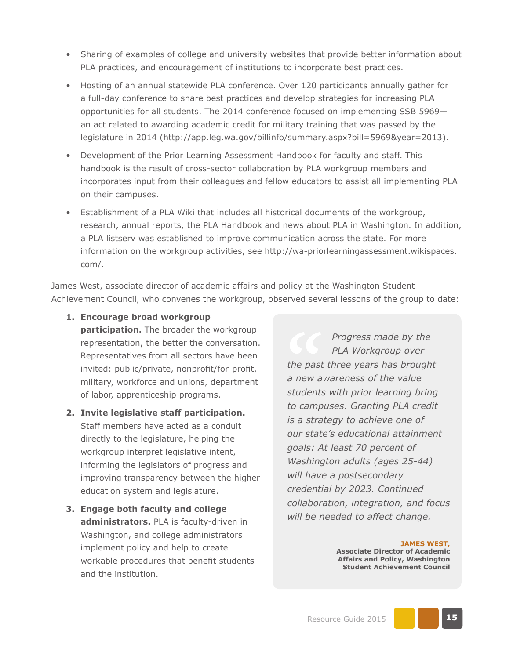- Sharing of examples of college and university websites that provide better information about PLA practices, and encouragement of institutions to incorporate best practices.
- Hosting of an annual statewide PLA conference. Over 120 participants annually gather for a full-day conference to share best practices and develop strategies for increasing PLA opportunities for all students. The 2014 conference focused on implementing SSB 5969 an act related to awarding academic credit for military training that was passed by the legislature in 2014 (<http://app.leg.wa.gov/billinfo/summary.aspx?bill=5969&year=2013>).
- Development of the Prior Learning Assessment Handbook for faculty and staff. This handbook is the result of cross-sector collaboration by PLA workgroup members and incorporates input from their colleagues and fellow educators to assist all implementing PLA on their campuses.
- Establishment of a PLA Wiki that includes all historical documents of the workgroup, research, annual reports, the PLA Handbook and news about PLA in Washington. In addition, a PLA listserv was established to improve communication across the state. For more information on the workgroup activities, see [http://wa-priorlearningassessment.wikispaces.](http://wa-priorlearningassessment.wikispaces.com/) [com/.](http://wa-priorlearningassessment.wikispaces.com/)

James West, associate director of academic affairs and policy at the Washington Student Achievement Council, who convenes the workgroup, observed several lessons of the group to date:

**1. Encourage broad workgroup** 

**participation.** The broader the workgroup representation, the better the conversation. Representatives from all sectors have been invited: public/private, nonprofit/for-profit, military, workforce and unions, department of labor, apprenticeship programs.

- **2. Invite legislative staff participation.** Staff members have acted as a conduit directly to the legislature, helping the workgroup interpret legislative intent, informing the legislators of progress and improving transparency between the higher education system and legislature.
- **3. Engage both faculty and college administrators.** PLA is faculty-driven in Washington, and college administrators implement policy and help to create workable procedures that benefit students and the institution.

*Progress made by the PLA Workgroup over the past three years has brought a new awareness of the value students with prior learning bring to campuses. Granting PLA credit is a strategy to achieve one of our state's educational attainment goals: At least 70 percent of Washington adults (ages 25-44) will have a postsecondary credential by 2023. Continued collaboration, integration, and focus will be needed to affect change.*

> **JAMES WEST, Associate Director of Academic Affairs and Policy, Washington Student Achievement Council**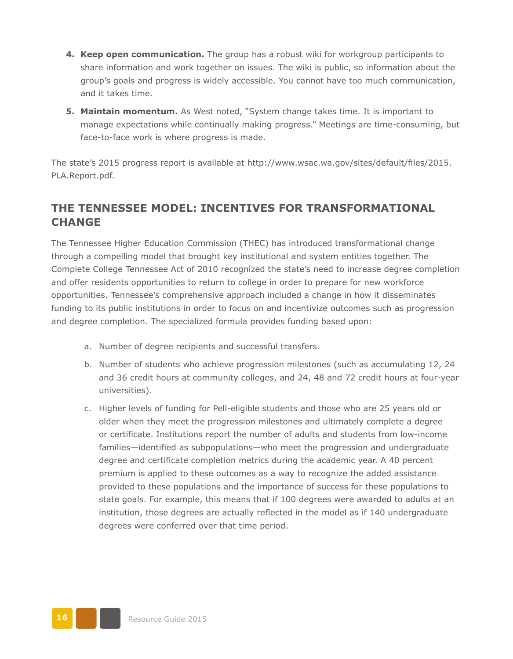- **4. Keep open communication.** The group has a robust wiki for workgroup participants to share information and work together on issues. The wiki is public, so information about the group's goals and progress is widely accessible. You cannot have too much communication, and it takes time.
- **5. Maintain momentum.** As West noted, "System change takes time. It is important to manage expectations while continually making progress." Meetings are time-consuming, but face-to-face work is where progress is made.

The state's 2015 progress report is available at [http://www.wsac.wa.gov/sites/default/files/2015.](http://www.wsac.wa.gov/sites/default/files/2015.PLA.Report.pdf) [PLA.Report.pdf](http://www.wsac.wa.gov/sites/default/files/2015.PLA.Report.pdf).

#### **THE TENNESSEE MODEL: INCENTIVES FOR TRANSFORMATIONAL CHANGE**

The Tennessee Higher Education Commission (THEC) has introduced transformational change through a compelling model that brought key institutional and system entities together. The Complete College Tennessee Act of 2010 recognized the state's need to increase degree completion and offer residents opportunities to return to college in order to prepare for new workforce opportunities. Tennessee's comprehensive approach included a change in how it disseminates funding to its public institutions in order to focus on and incentivize outcomes such as progression and degree completion. The specialized formula provides funding based upon:

- a. Number of degree recipients and successful transfers.
- b. Number of students who achieve progression milestones (such as accumulating 12, 24 and 36 credit hours at community colleges, and 24, 48 and 72 credit hours at four-year universities).
- c. Higher levels of funding for Pell-eligible students and those who are 25 years old or older when they meet the progression milestones and ultimately complete a degree or certificate. Institutions report the number of adults and students from low-income families—identified as subpopulations—who meet the progression and undergraduate degree and certificate completion metrics during the academic year. A 40 percent premium is applied to these outcomes as a way to recognize the added assistance provided to these populations and the importance of success for these populations to state goals. For example, this means that if 100 degrees were awarded to adults at an institution, those degrees are actually reflected in the model as if 140 undergraduate degrees were conferred over that time period.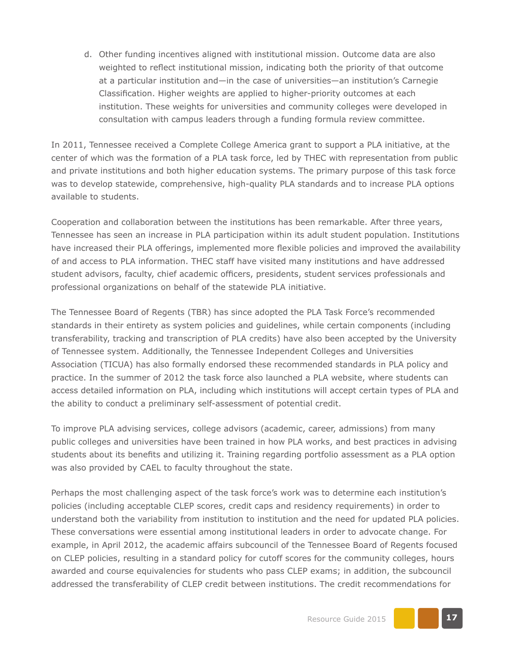d. Other funding incentives aligned with institutional mission. Outcome data are also weighted to reflect institutional mission, indicating both the priority of that outcome at a particular institution and—in the case of universities—an institution's Carnegie Classification. Higher weights are applied to higher-priority outcomes at each institution. These weights for universities and community colleges were developed in consultation with campus leaders through a funding formula review committee.

In 2011, Tennessee received a Complete College America grant to support a PLA initiative, at the center of which was the formation of a PLA task force, led by THEC with representation from public and private institutions and both higher education systems. The primary purpose of this task force was to develop statewide, comprehensive, high-quality PLA standards and to increase PLA options available to students.

Cooperation and collaboration between the institutions has been remarkable. After three years, Tennessee has seen an increase in PLA participation within its adult student population. Institutions have increased their PLA offerings, implemented more flexible policies and improved the availability of and access to PLA information. THEC staff have visited many institutions and have addressed student advisors, faculty, chief academic officers, presidents, student services professionals and professional organizations on behalf of the statewide PLA initiative.

The Tennessee Board of Regents (TBR) has since adopted the PLA Task Force's recommended standards in their entirety as system policies and guidelines, while certain components (including transferability, tracking and transcription of PLA credits) have also been accepted by the University of Tennessee system. Additionally, the Tennessee Independent Colleges and Universities Association (TICUA) has also formally endorsed these recommended standards in PLA policy and practice. In the summer of 2012 the task force also launched a PLA website, where students can access detailed information on PLA, including which institutions will accept certain types of PLA and the ability to conduct a preliminary self-assessment of potential credit.

To improve PLA advising services, college advisors (academic, career, admissions) from many public colleges and universities have been trained in how PLA works, and best practices in advising students about its benefits and utilizing it. Training regarding portfolio assessment as a PLA option was also provided by CAEL to faculty throughout the state.

Perhaps the most challenging aspect of the task force's work was to determine each institution's policies (including acceptable CLEP scores, credit caps and residency requirements) in order to understand both the variability from institution to institution and the need for updated PLA policies. These conversations were essential among institutional leaders in order to advocate change. For example, in April 2012, the academic affairs subcouncil of the Tennessee Board of Regents focused on CLEP policies, resulting in a standard policy for cutoff scores for the community colleges, hours awarded and course equivalencies for students who pass CLEP exams; in addition, the subcouncil addressed the transferability of CLEP credit between institutions. The credit recommendations for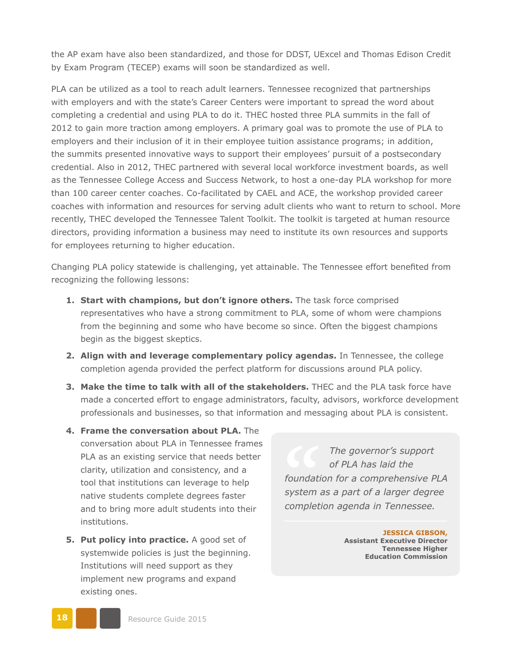the AP exam have also been standardized, and those for DDST, UExcel and Thomas Edison Credit by Exam Program (TECEP) exams will soon be standardized as well.

PLA can be utilized as a tool to reach adult learners. Tennessee recognized that partnerships with employers and with the state's Career Centers were important to spread the word about completing a credential and using PLA to do it. THEC hosted three PLA summits in the fall of 2012 to gain more traction among employers. A primary goal was to promote the use of PLA to employers and their inclusion of it in their employee tuition assistance programs; in addition, the summits presented innovative ways to support their employees' pursuit of a postsecondary credential. Also in 2012, THEC partnered with several local workforce investment boards, as well as the Tennessee College Access and Success Network, to host a one-day PLA workshop for more than 100 career center coaches. Co-facilitated by CAEL and ACE, the workshop provided career coaches with information and resources for serving adult clients who want to return to school. More recently, THEC developed the Tennessee Talent Toolkit. The toolkit is targeted at human resource directors, providing information a business may need to institute its own resources and supports for employees returning to higher education.

Changing PLA policy statewide is challenging, yet attainable. The Tennessee effort benefited from recognizing the following lessons:

- **1. Start with champions, but don't ignore others.** The task force comprised representatives who have a strong commitment to PLA, some of whom were champions from the beginning and some who have become so since. Often the biggest champions begin as the biggest skeptics.
- **2. Align with and leverage complementary policy agendas.** In Tennessee, the college completion agenda provided the perfect platform for discussions around PLA policy.
- **3. Make the time to talk with all of the stakeholders.** THEC and the PLA task force have made a concerted effort to engage administrators, faculty, advisors, workforce development professionals and businesses, so that information and messaging about PLA is consistent.
- **4. Frame the conversation about PLA.** The conversation about PLA in Tennessee frames PLA as an existing service that needs better clarity, utilization and consistency, and a tool that institutions can leverage to help native students complete degrees faster and to bring more adult students into their institutions.
- **5. Put policy into practice.** A good set of systemwide policies is just the beginning. Institutions will need support as they implement new programs and expand existing ones.

*The governor's support of PLA has laid the foundation for a comprehensive PLA system as a part of a larger degree completion agenda in Tennessee.*

> **JESSICA GIBSON, Assistant Executive Director Tennessee Higher Education Commission**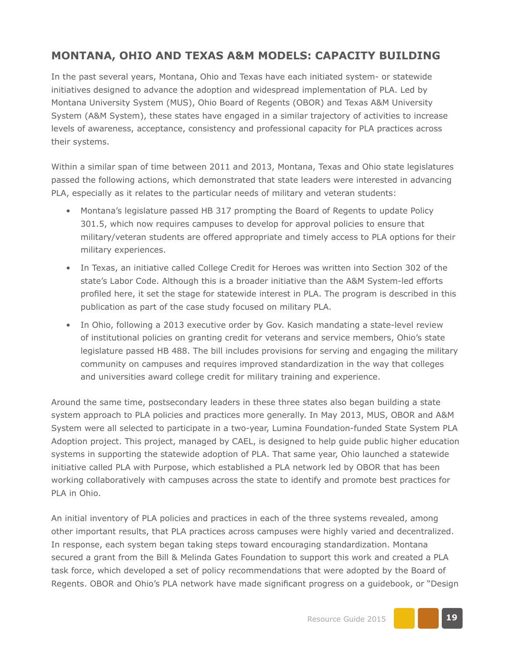#### **MONTANA, OHIO AND TEXAS A&M MODELS: CAPACITY BUILDING**

In the past several years, Montana, Ohio and Texas have each initiated system- or statewide initiatives designed to advance the adoption and widespread implementation of PLA. Led by Montana University System (MUS), Ohio Board of Regents (OBOR) and Texas A&M University System (A&M System), these states have engaged in a similar trajectory of activities to increase levels of awareness, acceptance, consistency and professional capacity for PLA practices across their systems.

Within a similar span of time between 2011 and 2013, Montana, Texas and Ohio state legislatures passed the following actions, which demonstrated that state leaders were interested in advancing PLA, especially as it relates to the particular needs of military and veteran students:

- Montana's legislature passed HB 317 prompting the Board of Regents to update Policy 301.5, which now requires campuses to develop for approval policies to ensure that military/veteran students are offered appropriate and timely access to PLA options for their military experiences.
- In Texas, an initiative called College Credit for Heroes was written into Section 302 of the state's Labor Code. Although this is a broader initiative than the A&M System-led efforts profiled here, it set the stage for statewide interest in PLA. The program is described in this publication as part of the case study focused on military PLA.
- In Ohio, following a 2013 executive order by Gov. Kasich mandating a state-level review of institutional policies on granting credit for veterans and service members, Ohio's state legislature passed HB 488. The bill includes provisions for serving and engaging the military community on campuses and requires improved standardization in the way that colleges and universities award college credit for military training and experience.

Around the same time, postsecondary leaders in these three states also began building a state system approach to PLA policies and practices more generally. In May 2013, MUS, OBOR and A&M System were all selected to participate in a two-year, Lumina Foundation-funded State System PLA Adoption project. This project, managed by CAEL, is designed to help guide public higher education systems in supporting the statewide adoption of PLA. That same year, Ohio launched a statewide initiative called PLA with Purpose, which established a PLA network led by OBOR that has been working collaboratively with campuses across the state to identify and promote best practices for PLA in Ohio.

An initial inventory of PLA policies and practices in each of the three systems revealed, among other important results, that PLA practices across campuses were highly varied and decentralized. In response, each system began taking steps toward encouraging standardization. Montana secured a grant from the Bill & Melinda Gates Foundation to support this work and created a PLA task force, which developed a set of policy recommendations that were adopted by the Board of Regents. OBOR and Ohio's PLA network have made significant progress on a guidebook, or "Design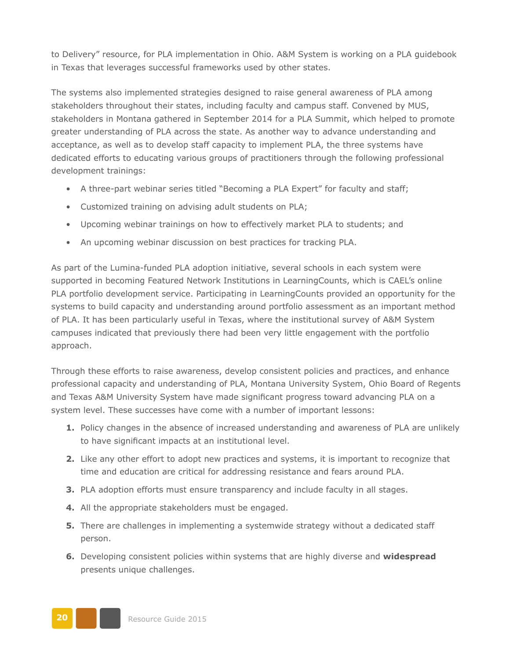to Delivery" resource, for PLA implementation in Ohio. A&M System is working on a PLA guidebook in Texas that leverages successful frameworks used by other states.

The systems also implemented strategies designed to raise general awareness of PLA among stakeholders throughout their states, including faculty and campus staff. Convened by MUS, stakeholders in Montana gathered in September 2014 for a PLA Summit, which helped to promote greater understanding of PLA across the state. As another way to advance understanding and acceptance, as well as to develop staff capacity to implement PLA, the three systems have dedicated efforts to educating various groups of practitioners through the following professional development trainings:

- A three-part webinar series titled "Becoming a PLA Expert" for faculty and staff;
- Customized training on advising adult students on PLA;
- Upcoming webinar trainings on how to effectively market PLA to students; and
- An upcoming webinar discussion on best practices for tracking PLA.

As part of the Lumina-funded PLA adoption initiative, several schools in each system were supported in becoming Featured Network Institutions in LearningCounts, which is CAEL's online PLA portfolio development service. Participating in LearningCounts provided an opportunity for the systems to build capacity and understanding around portfolio assessment as an important method of PLA. It has been particularly useful in Texas, where the institutional survey of A&M System campuses indicated that previously there had been very little engagement with the portfolio approach.

Through these efforts to raise awareness, develop consistent policies and practices, and enhance professional capacity and understanding of PLA, Montana University System, Ohio Board of Regents and Texas A&M University System have made significant progress toward advancing PLA on a system level. These successes have come with a number of important lessons:

- **1.** Policy changes in the absence of increased understanding and awareness of PLA are unlikely to have significant impacts at an institutional level.
- **2.** Like any other effort to adopt new practices and systems, it is important to recognize that time and education are critical for addressing resistance and fears around PLA.
- **3.** PLA adoption efforts must ensure transparency and include faculty in all stages.
- **4.** All the appropriate stakeholders must be engaged.
- **5.** There are challenges in implementing a systemwide strategy without a dedicated staff person.
- **6.** Developing consistent policies within systems that are highly diverse and **widespread**  presents unique challenges.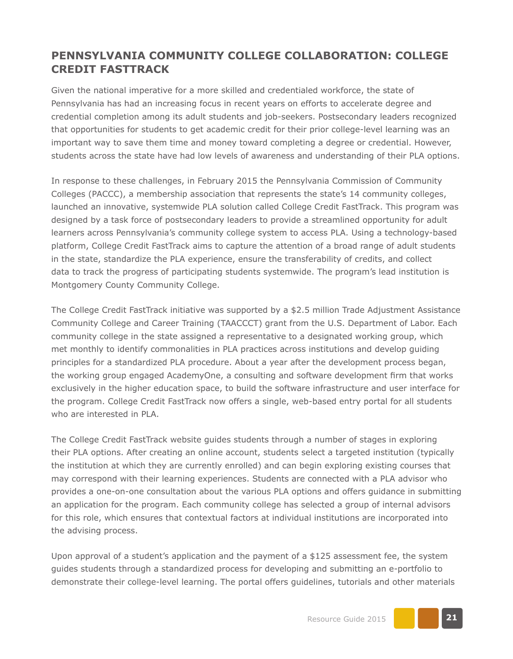#### **PENNSYLVANIA COMMUNITY COLLEGE COLLABORATION: COLLEGE CREDIT FASTTRACK**

Given the national imperative for a more skilled and credentialed workforce, the state of Pennsylvania has had an increasing focus in recent years on efforts to accelerate degree and credential completion among its adult students and job-seekers. Postsecondary leaders recognized that opportunities for students to get academic credit for their prior college-level learning was an important way to save them time and money toward completing a degree or credential. However, students across the state have had low levels of awareness and understanding of their PLA options.

In response to these challenges, in February 2015 the Pennsylvania Commission of Community Colleges (PACCC), a membership association that represents the state's 14 community colleges, launched an innovative, systemwide PLA solution called College Credit FastTrack. This program was designed by a task force of postsecondary leaders to provide a streamlined opportunity for adult learners across Pennsylvania's community college system to access PLA. Using a technology-based platform, College Credit FastTrack aims to capture the attention of a broad range of adult students in the state, standardize the PLA experience, ensure the transferability of credits, and collect data to track the progress of participating students systemwide. The program's lead institution is Montgomery County Community College.

The College Credit FastTrack initiative was supported by a \$2.5 million Trade Adjustment Assistance Community College and Career Training (TAACCCT) grant from the U.S. Department of Labor. Each community college in the state assigned a representative to a designated working group, which met monthly to identify commonalities in PLA practices across institutions and develop guiding principles for a standardized PLA procedure. About a year after the development process began, the working group engaged AcademyOne, a consulting and software development firm that works exclusively in the higher education space, to build the software infrastructure and user interface for the program. College Credit FastTrack now offers a single, web-based entry portal for all students who are interested in PLA.

The College Credit FastTrack website guides students through a number of stages in exploring their PLA options. After creating an online account, students select a targeted institution (typically the institution at which they are currently enrolled) and can begin exploring existing courses that may correspond with their learning experiences. Students are connected with a PLA advisor who provides a one-on-one consultation about the various PLA options and offers guidance in submitting an application for the program. Each community college has selected a group of internal advisors for this role, which ensures that contextual factors at individual institutions are incorporated into the advising process.

Upon approval of a student's application and the payment of a \$125 assessment fee, the system guides students through a standardized process for developing and submitting an e-portfolio to demonstrate their college-level learning. The portal offers guidelines, tutorials and other materials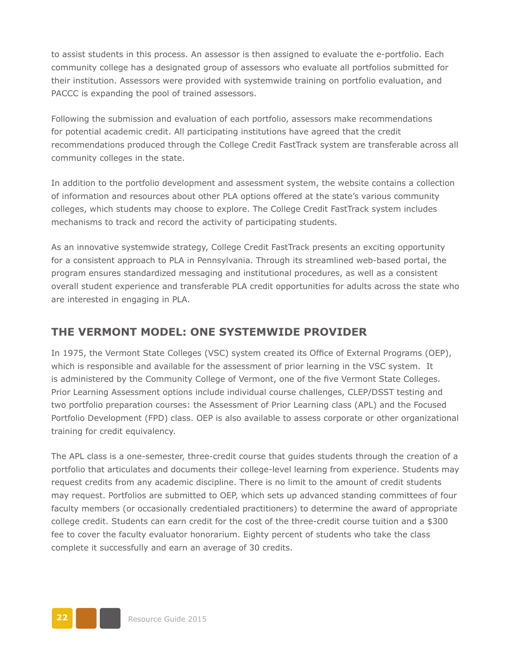to assist students in this process. An assessor is then assigned to evaluate the e-portfolio. Each community college has a designated group of assessors who evaluate all portfolios submitted for their institution. Assessors were provided with systemwide training on portfolio evaluation, and PACCC is expanding the pool of trained assessors.

Following the submission and evaluation of each portfolio, assessors make recommendations for potential academic credit. All participating institutions have agreed that the credit recommendations produced through the College Credit FastTrack system are transferable across all community colleges in the state.

In addition to the portfolio development and assessment system, the website contains a collection of information and resources about other PLA options offered at the state's various community colleges, which students may choose to explore. The College Credit FastTrack system includes mechanisms to track and record the activity of participating students.

As an innovative systemwide strategy, College Credit FastTrack presents an exciting opportunity for a consistent approach to PLA in Pennsylvania. Through its streamlined web-based portal, the program ensures standardized messaging and institutional procedures, as well as a consistent overall student experience and transferable PLA credit opportunities for adults across the state who are interested in engaging in PLA.

#### **THE VERMONT MODEL: ONE SYSTEMWIDE PROVIDER**

In 1975, the Vermont State Colleges (VSC) system created its Office of External Programs (OEP), which is responsible and available for the assessment of prior learning in the VSC system. It is administered by the Community College of Vermont, one of the five Vermont State Colleges. Prior Learning Assessment options include individual course challenges, CLEP/DSST testing and two portfolio preparation courses: the Assessment of Prior Learning class (APL) and the Focused Portfolio Development (FPD) class. OEP is also available to assess corporate or other organizational training for credit equivalency.

The APL class is a one-semester, three-credit course that guides students through the creation of a portfolio that articulates and documents their college-level learning from experience. Students may request credits from any academic discipline. There is no limit to the amount of credit students may request. Portfolios are submitted to OEP, which sets up advanced standing committees of four faculty members (or occasionally credentialed practitioners) to determine the award of appropriate college credit. Students can earn credit for the cost of the three-credit course tuition and a \$300 fee to cover the faculty evaluator honorarium. Eighty percent of students who take the class complete it successfully and earn an average of 30 credits.

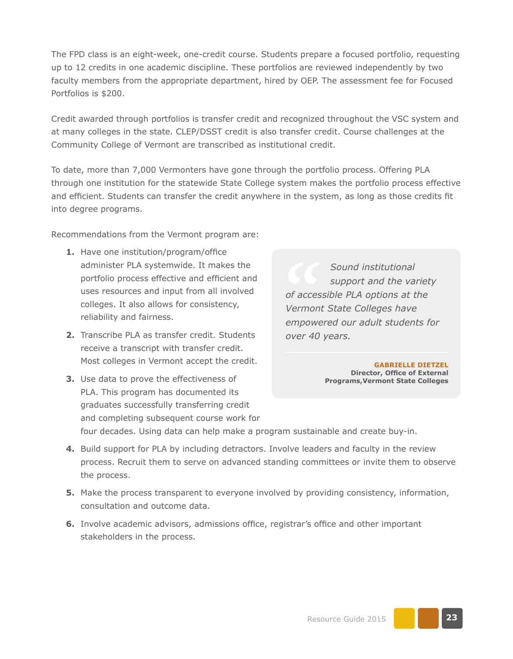The FPD class is an eight-week, one-credit course. Students prepare a focused portfolio, requesting up to 12 credits in one academic discipline. These portfolios are reviewed independently by two faculty members from the appropriate department, hired by OEP. The assessment fee for Focused Portfolios is \$200.

Credit awarded through portfolios is transfer credit and recognized throughout the VSC system and at many colleges in the state. CLEP/DSST credit is also transfer credit. Course challenges at the Community College of Vermont are transcribed as institutional credit.

To date, more than 7,000 Vermonters have gone through the portfolio process. Offering PLA through one institution for the statewide State College system makes the portfolio process effective and efficient. Students can transfer the credit anywhere in the system, as long as those credits fit into degree programs.

Recommendations from the Vermont program are:

- **1.** Have one institution/program/office administer PLA systemwide. It makes the portfolio process effective and efficient and uses resources and input from all involved colleges. It also allows for consistency, reliability and fairness.
- **2.** Transcribe PLA as transfer credit. Students receive a transcript with transfer credit. Most colleges in Vermont accept the credit.
- **3.** Use data to prove the effectiveness of PLA. This program has documented its graduates successfully transferring credit and completing subsequent course work for

*Sound institutional support and the variety of accessible PLA options at the Vermont State Colleges have empowered our adult students for over 40 years.*

> **GABRIELLE DIETZEL Director, Office of External Programs,Vermont State Colleges**

four decades. Using data can help make a program sustainable and create buy-in.

- **4.** Build support for PLA by including detractors. Involve leaders and faculty in the review process. Recruit them to serve on advanced standing committees or invite them to observe the process.
- **5.** Make the process transparent to everyone involved by providing consistency, information, consultation and outcome data.
- **6.** Involve academic advisors, admissions office, registrar's office and other important stakeholders in the process.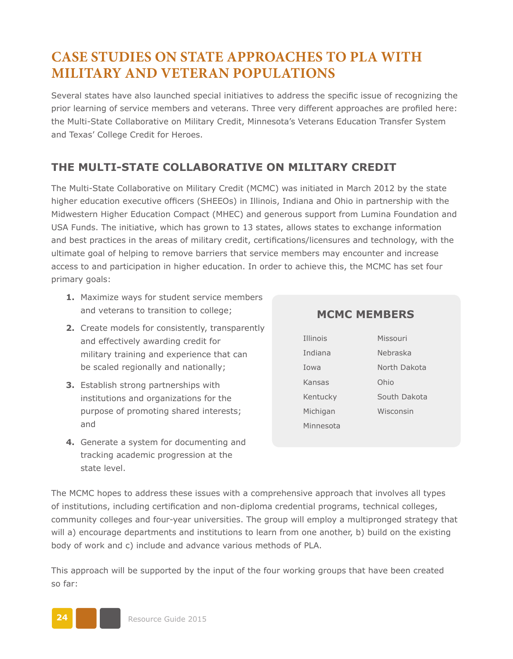## **CASE STUDIES ON STATE APPROACHES TO PLA WITH MILITARY AND VETERAN POPULATIONS**

Several states have also launched special initiatives to address the specific issue of recognizing the prior learning of service members and veterans. Three very different approaches are profiled here: the Multi-State Collaborative on Military Credit, Minnesota's Veterans Education Transfer System and Texas' College Credit for Heroes.

#### **THE MULTI-STATE COLLABORATIVE ON MILITARY CREDIT**

The Multi-State Collaborative on Military Credit (MCMC) was initiated in March 2012 by the state higher education executive officers (SHEEOs) in Illinois, Indiana and Ohio in partnership with the Midwestern Higher Education Compact (MHEC) and generous support from Lumina Foundation and USA Funds. The initiative, which has grown to 13 states, allows states to exchange information and best practices in the areas of military credit, certifications/licensures and technology, with the ultimate goal of helping to remove barriers that service members may encounter and increase access to and participation in higher education. In order to achieve this, the MCMC has set four primary goals:

- **1.** Maximize ways for student service members and veterans to transition to college;
- **2.** Create models for consistently, transparently and effectively awarding credit for military training and experience that can be scaled regionally and nationally;
- **3.** Establish strong partnerships with institutions and organizations for the purpose of promoting shared interests; and
- **4.** Generate a system for documenting and tracking academic progression at the state level.

#### **MCMC MEMBERS**

| <b>Illinois</b> | Missouri     |
|-----------------|--------------|
| Indiana         | Nebraska     |
| Towa            | North Dakota |
| Kansas          | Ohio         |
| Kentucky        | South Dakota |
| Michigan        | Wisconsin    |
| Minnesota       |              |

The MCMC hopes to address these issues with a comprehensive approach that involves all types of institutions, including certification and non-diploma credential programs, technical colleges, community colleges and four-year universities. The group will employ a multipronged strategy that will a) encourage departments and institutions to learn from one another, b) build on the existing body of work and c) include and advance various methods of PLA.

This approach will be supported by the input of the four working groups that have been created so far:

**24** Resource Guide 2015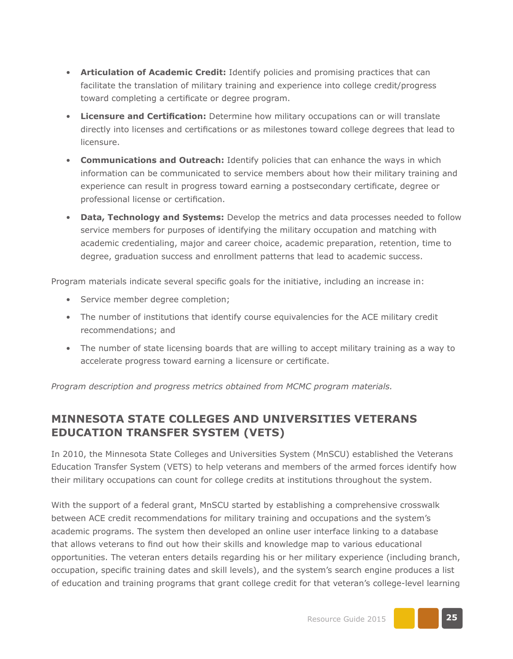- **Articulation of Academic Credit:** Identify policies and promising practices that can facilitate the translation of military training and experience into college credit/progress toward completing a certificate or degree program.
- **Licensure and Certification:** Determine how military occupations can or will translate directly into licenses and certifications or as milestones toward college degrees that lead to licensure.
- **Communications and Outreach:** Identify policies that can enhance the ways in which information can be communicated to service members about how their military training and experience can result in progress toward earning a postsecondary certificate, degree or professional license or certification.
- **Data, Technology and Systems:** Develop the metrics and data processes needed to follow service members for purposes of identifying the military occupation and matching with academic credentialing, major and career choice, academic preparation, retention, time to degree, graduation success and enrollment patterns that lead to academic success.

Program materials indicate several specific goals for the initiative, including an increase in:

- Service member degree completion;
- The number of institutions that identify course equivalencies for the ACE military credit recommendations; and
- The number of state licensing boards that are willing to accept military training as a way to accelerate progress toward earning a licensure or certificate.

*Program description and progress metrics obtained from MCMC program materials.* 

#### **MINNESOTA STATE COLLEGES AND UNIVERSITIES VETERANS EDUCATION TRANSFER SYSTEM (VETS)**

In 2010, the Minnesota State Colleges and Universities System (MnSCU) established the Veterans Education Transfer System (VETS) to help veterans and members of the armed forces identify how their military occupations can count for college credits at institutions throughout the system.

With the support of a federal grant, MnSCU started by establishing a comprehensive crosswalk between ACE credit recommendations for military training and occupations and the system's academic programs. The system then developed an online user interface linking to a database that allows veterans to find out how their skills and knowledge map to various educational opportunities. The veteran enters details regarding his or her military experience (including branch, occupation, specific training dates and skill levels), and the system's search engine produces a list of education and training programs that grant college credit for that veteran's college-level learning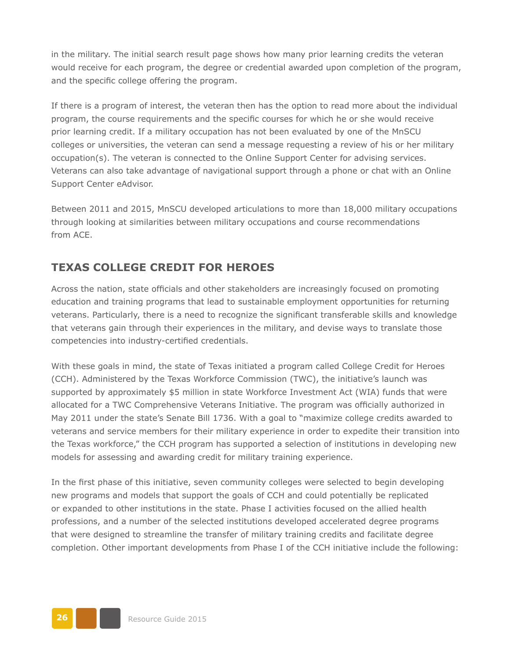in the military. The initial search result page shows how many prior learning credits the veteran would receive for each program, the degree or credential awarded upon completion of the program, and the specific college offering the program.

If there is a program of interest, the veteran then has the option to read more about the individual program, the course requirements and the specific courses for which he or she would receive prior learning credit. If a military occupation has not been evaluated by one of the MnSCU colleges or universities, the veteran can send a message requesting a review of his or her military occupation(s). The veteran is connected to the Online Support Center for advising services. Veterans can also take advantage of navigational support through a phone or chat with an Online Support Center eAdvisor.

Between 2011 and 2015, MnSCU developed articulations to more than 18,000 military occupations through looking at similarities between military occupations and course recommendations from ACE.

#### **TEXAS COLLEGE CREDIT FOR HEROES**

Across the nation, state officials and other stakeholders are increasingly focused on promoting education and training programs that lead to sustainable employment opportunities for returning veterans. Particularly, there is a need to recognize the significant transferable skills and knowledge that veterans gain through their experiences in the military, and devise ways to translate those competencies into industry-certified credentials.

With these goals in mind, the state of Texas initiated a program called College Credit for Heroes (CCH). Administered by the Texas Workforce Commission (TWC), the initiative's launch was supported by approximately \$5 million in state Workforce Investment Act (WIA) funds that were allocated for a TWC Comprehensive Veterans Initiative. The program was officially authorized in May 2011 under the state's Senate Bill 1736. With a goal to "maximize college credits awarded to veterans and service members for their military experience in order to expedite their transition into the Texas workforce," the CCH program has supported a selection of institutions in developing new models for assessing and awarding credit for military training experience.

In the first phase of this initiative, seven community colleges were selected to begin developing new programs and models that support the goals of CCH and could potentially be replicated or expanded to other institutions in the state. Phase I activities focused on the allied health professions, and a number of the selected institutions developed accelerated degree programs that were designed to streamline the transfer of military training credits and facilitate degree completion. Other important developments from Phase I of the CCH initiative include the following:

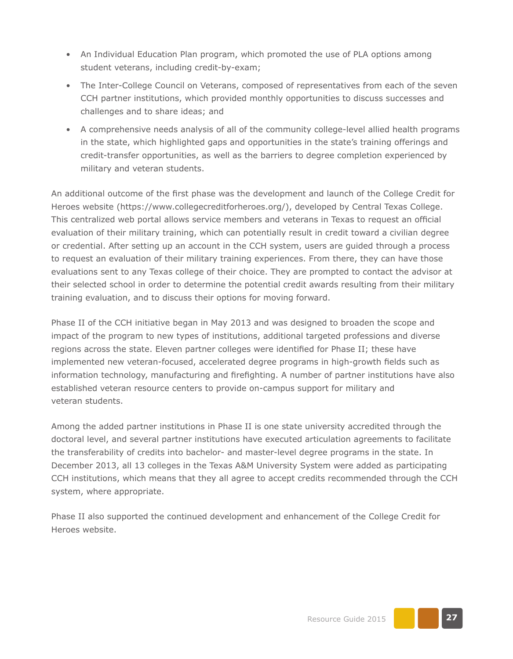- An Individual Education Plan program, which promoted the use of PLA options among student veterans, including credit-by-exam;
- The Inter-College Council on Veterans, composed of representatives from each of the seven CCH partner institutions, which provided monthly opportunities to discuss successes and challenges and to share ideas; and
- A comprehensive needs analysis of all of the community college-level allied health programs in the state, which highlighted gaps and opportunities in the state's training offerings and credit-transfer opportunities, as well as the barriers to degree completion experienced by military and veteran students.

An additional outcome of the first phase was the development and launch of the College Credit for Heroes website ([https://www.collegecreditforheroes.org/\)](https://www.collegecreditforheroes.org/), developed by Central Texas College. This centralized web portal allows service members and veterans in Texas to request an official evaluation of their military training, which can potentially result in credit toward a civilian degree or credential. After setting up an account in the CCH system, users are guided through a process to request an evaluation of their military training experiences. From there, they can have those evaluations sent to any Texas college of their choice. They are prompted to contact the advisor at their selected school in order to determine the potential credit awards resulting from their military training evaluation, and to discuss their options for moving forward.

Phase II of the CCH initiative began in May 2013 and was designed to broaden the scope and impact of the program to new types of institutions, additional targeted professions and diverse regions across the state. Eleven partner colleges were identified for Phase II; these have implemented new veteran-focused, accelerated degree programs in high-growth fields such as information technology, manufacturing and firefighting. A number of partner institutions have also established veteran resource centers to provide on-campus support for military and veteran students.

Among the added partner institutions in Phase II is one state university accredited through the doctoral level, and several partner institutions have executed articulation agreements to facilitate the transferability of credits into bachelor- and master-level degree programs in the state. In December 2013, all 13 colleges in the Texas A&M University System were added as participating CCH institutions, which means that they all agree to accept credits recommended through the CCH system, where appropriate.

Phase II also supported the continued development and enhancement of the College Credit for Heroes website.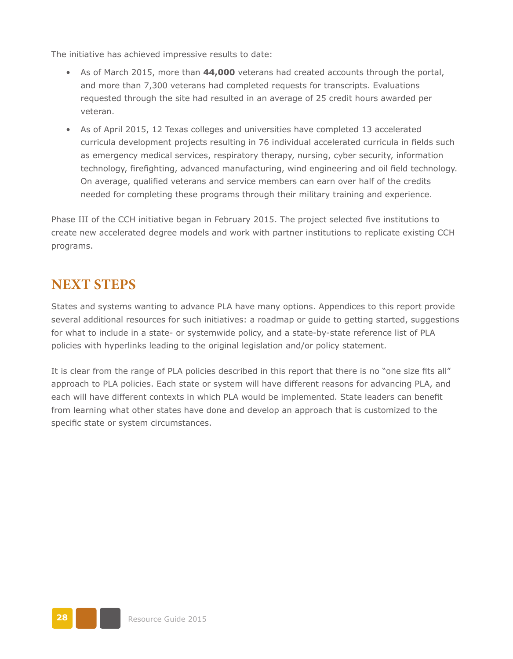The initiative has achieved impressive results to date:

- As of March 2015, more than **44,000** veterans had created accounts through the portal, and more than 7,300 veterans had completed requests for transcripts. Evaluations requested through the site had resulted in an average of 25 credit hours awarded per veteran.
- As of April 2015, 12 Texas colleges and universities have completed 13 accelerated curricula development projects resulting in 76 individual accelerated curricula in fields such as emergency medical services, respiratory therapy, nursing, cyber security, information technology, firefighting, advanced manufacturing, wind engineering and oil field technology. On average, qualified veterans and service members can earn over half of the credits needed for completing these programs through their military training and experience.

Phase III of the CCH initiative began in February 2015. The project selected five institutions to create new accelerated degree models and work with partner institutions to replicate existing CCH programs.

## **NEXT STEPS**

States and systems wanting to advance PLA have many options. Appendices to this report provide several additional resources for such initiatives: a roadmap or guide to getting started, suggestions for what to include in a state- or systemwide policy, and a state-by-state reference list of PLA policies with hyperlinks leading to the original legislation and/or policy statement.

It is clear from the range of PLA policies described in this report that there is no "one size fits all" approach to PLA policies. Each state or system will have different reasons for advancing PLA, and each will have different contexts in which PLA would be implemented. State leaders can benefit from learning what other states have done and develop an approach that is customized to the specific state or system circumstances.

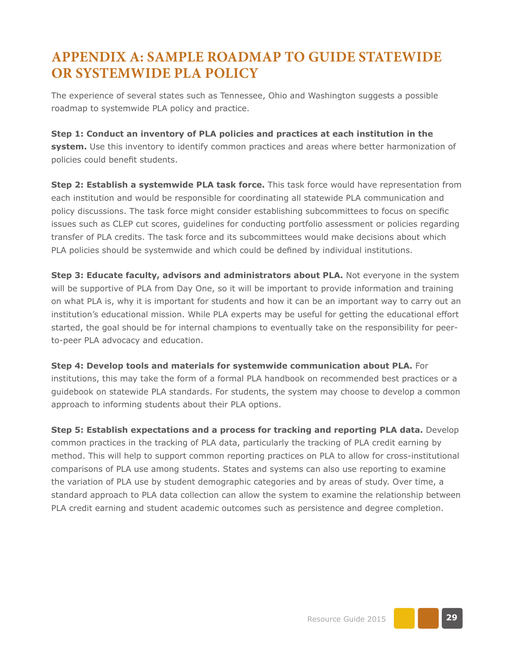## **APPENDIX A: SAMPLE ROADMAP TO GUIDE STATEWIDE OR SYSTEMWIDE PLA POLICY**

The experience of several states such as Tennessee, Ohio and Washington suggests a possible roadmap to systemwide PLA policy and practice.

**Step 1: Conduct an inventory of PLA policies and practices at each institution in the system.** Use this inventory to identify common practices and areas where better harmonization of policies could benefit students.

**Step 2: Establish a systemwide PLA task force.** This task force would have representation from each institution and would be responsible for coordinating all statewide PLA communication and policy discussions. The task force might consider establishing subcommittees to focus on specific issues such as CLEP cut scores, guidelines for conducting portfolio assessment or policies regarding transfer of PLA credits. The task force and its subcommittees would make decisions about which PLA policies should be systemwide and which could be defined by individual institutions.

**Step 3: Educate faculty, advisors and administrators about PLA.** Not everyone in the system will be supportive of PLA from Day One, so it will be important to provide information and training on what PLA is, why it is important for students and how it can be an important way to carry out an institution's educational mission. While PLA experts may be useful for getting the educational effort started, the goal should be for internal champions to eventually take on the responsibility for peerto-peer PLA advocacy and education.

**Step 4: Develop tools and materials for systemwide communication about PLA.** For institutions, this may take the form of a formal PLA handbook on recommended best practices or a guidebook on statewide PLA standards. For students, the system may choose to develop a common approach to informing students about their PLA options.

**Step 5: Establish expectations and a process for tracking and reporting PLA data.** Develop common practices in the tracking of PLA data, particularly the tracking of PLA credit earning by method. This will help to support common reporting practices on PLA to allow for cross-institutional comparisons of PLA use among students. States and systems can also use reporting to examine the variation of PLA use by student demographic categories and by areas of study. Over time, a standard approach to PLA data collection can allow the system to examine the relationship between PLA credit earning and student academic outcomes such as persistence and degree completion.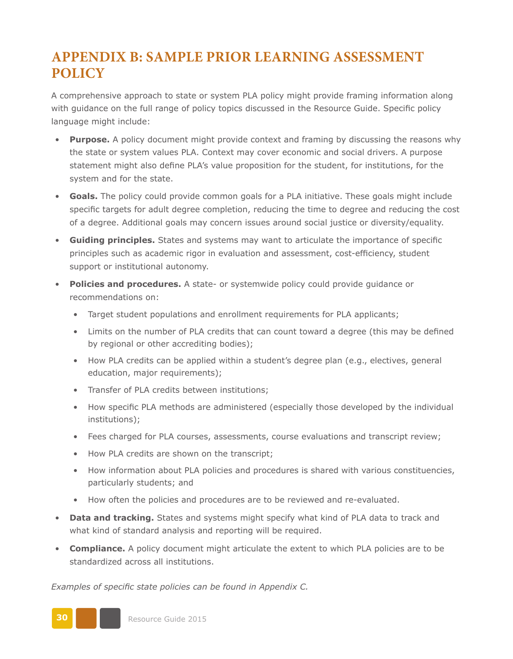## **APPENDIX B: SAMPLE PRIOR LEARNING ASSESSMENT POLICY**

A comprehensive approach to state or system PLA policy might provide framing information along with guidance on the full range of policy topics discussed in the Resource Guide. Specific policy language might include:

- **Purpose.** A policy document might provide context and framing by discussing the reasons why the state or system values PLA. Context may cover economic and social drivers. A purpose statement might also define PLA's value proposition for the student, for institutions, for the system and for the state.
- **Goals.** The policy could provide common goals for a PLA initiative. These goals might include specific targets for adult degree completion, reducing the time to degree and reducing the cost of a degree. Additional goals may concern issues around social justice or diversity/equality.
- **Guiding principles.** States and systems may want to articulate the importance of specific principles such as academic rigor in evaluation and assessment, cost-efficiency, student support or institutional autonomy.
- **Policies and procedures.** A state- or systemwide policy could provide guidance or recommendations on:
	- Target student populations and enrollment requirements for PLA applicants;
	- Limits on the number of PLA credits that can count toward a degree (this may be defined by regional or other accrediting bodies);
	- How PLA credits can be applied within a student's degree plan (e.g., electives, general education, major requirements);
	- Transfer of PLA credits between institutions;
	- How specific PLA methods are administered (especially those developed by the individual institutions);
	- Fees charged for PLA courses, assessments, course evaluations and transcript review;
	- How PLA credits are shown on the transcript;
	- How information about PLA policies and procedures is shared with various constituencies, particularly students; and
	- How often the policies and procedures are to be reviewed and re-evaluated.
- **Data and tracking.** States and systems might specify what kind of PLA data to track and what kind of standard analysis and reporting will be required.
- **Compliance.** A policy document might articulate the extent to which PLA policies are to be standardized across all institutions.

*Examples of specific state policies can be found in Appendix C.* 

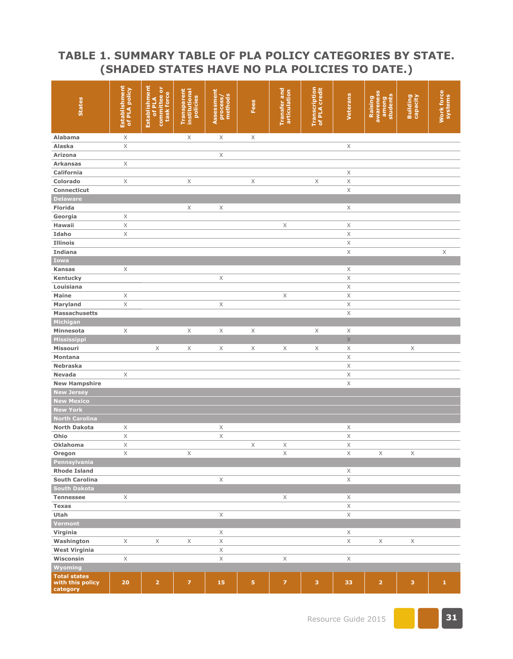#### **TABLE 1. SUMMARY TABLE OF PLA POLICY CATEGORIES BY STATE. (SHADED STATES HAVE NO PLA POLICIES TO DATE.)**

| <b>States</b>                                       | Establishment<br>of PLA policy | Establishment<br>committee or<br>task force<br>of PLA | Transparent<br>institutional<br>policies | Assessment<br>process/<br>methods | Fees        | Transfer and<br>articulation | <b>Transcription</b><br>of PLA credit | Veterans         | awareness<br>students<br>Raising<br>among | <b>Building</b><br>capacity | Work force   |
|-----------------------------------------------------|--------------------------------|-------------------------------------------------------|------------------------------------------|-----------------------------------|-------------|------------------------------|---------------------------------------|------------------|-------------------------------------------|-----------------------------|--------------|
| Alabama                                             | X                              |                                                       | X                                        | X                                 | X           |                              |                                       |                  |                                           |                             |              |
| Alaska                                              | $\boldsymbol{\times}$          |                                                       |                                          |                                   |             |                              |                                       | X                |                                           |                             |              |
| <b>Arizona</b>                                      |                                |                                                       |                                          | Χ                                 |             |                              |                                       |                  |                                           |                             |              |
| <b>Arkansas</b>                                     | $\mathsf X$                    |                                                       |                                          |                                   |             |                              |                                       |                  |                                           |                             |              |
| California                                          |                                |                                                       |                                          |                                   |             |                              |                                       | X                |                                           |                             |              |
| Colorado                                            | $\mathsf X$                    |                                                       | X                                        |                                   | $\mathsf X$ |                              | $\mathsf X$                           | X                |                                           |                             |              |
| Connecticut                                         |                                |                                                       |                                          |                                   |             |                              |                                       | $\mathsf X$      |                                           |                             |              |
| <b>Delaware</b>                                     |                                |                                                       |                                          |                                   |             |                              |                                       |                  |                                           |                             |              |
| Florida                                             |                                |                                                       | X                                        | X                                 |             |                              |                                       | X                |                                           |                             |              |
| Georgia                                             | $\mathsf X$                    |                                                       |                                          |                                   |             |                              |                                       |                  |                                           |                             |              |
| Hawaii                                              | $\mathsf X$                    |                                                       |                                          |                                   |             | X                            |                                       | X                |                                           |                             |              |
| Idaho                                               | $\mathsf X$                    |                                                       |                                          |                                   |             |                              |                                       | $\mathsf X$      |                                           |                             |              |
| <b>Illinois</b>                                     |                                |                                                       |                                          |                                   |             |                              |                                       | $\mathsf X$      |                                           |                             |              |
| <b>Indiana</b>                                      |                                |                                                       |                                          |                                   |             |                              |                                       | $\mathsf X$      |                                           |                             | $\mathsf X$  |
| Iowa                                                |                                |                                                       |                                          |                                   |             |                              |                                       |                  |                                           |                             |              |
| <b>Kansas</b>                                       | X                              |                                                       |                                          |                                   |             |                              |                                       | X                |                                           |                             |              |
| Kentucky                                            |                                |                                                       |                                          | $\mathsf X$                       |             |                              |                                       | X                |                                           |                             |              |
| Louisiana                                           |                                |                                                       |                                          |                                   |             |                              |                                       | $\mathsf X$      |                                           |                             |              |
| Maine                                               | $\mathsf X$                    |                                                       |                                          |                                   |             | $\mathsf X$                  |                                       | $\mathsf X$      |                                           |                             |              |
|                                                     |                                |                                                       |                                          |                                   |             |                              |                                       |                  |                                           |                             |              |
| Maryland<br>Massachusetts                           | $\mathsf X$                    |                                                       |                                          | $\mathsf X$                       |             |                              |                                       | X<br>$\mathsf X$ |                                           |                             |              |
| Michigan                                            |                                |                                                       |                                          |                                   |             |                              |                                       |                  |                                           |                             |              |
|                                                     |                                |                                                       |                                          |                                   |             |                              |                                       |                  |                                           |                             |              |
| Minnesota                                           | X                              |                                                       | X                                        | $\mathsf X$                       | Χ           |                              | X                                     | $\mathsf X$      |                                           |                             |              |
| Mississippi                                         |                                |                                                       |                                          |                                   |             |                              |                                       | $\mathsf X$      |                                           |                             |              |
| <b>Missouri</b>                                     |                                | $\mathsf X$                                           | X                                        | $\mathsf X$                       | X           | X                            | X                                     | $\mathsf X$      |                                           | $\mathsf X$                 |              |
| Montana                                             |                                |                                                       |                                          |                                   |             |                              |                                       | $\mathsf X$      |                                           |                             |              |
| <b>Nebraska</b>                                     |                                |                                                       |                                          |                                   |             |                              |                                       | $\mathsf X$      |                                           |                             |              |
| <b>Nevada</b>                                       | X                              |                                                       |                                          |                                   |             |                              |                                       | $\mathsf X$      |                                           |                             |              |
| <b>New Hampshire</b>                                |                                |                                                       |                                          |                                   |             |                              |                                       | $\mathsf X$      |                                           |                             |              |
| <b>New Jersey</b>                                   |                                |                                                       |                                          |                                   |             |                              |                                       |                  |                                           |                             |              |
| <b>New Mexico</b>                                   |                                |                                                       |                                          |                                   |             |                              |                                       |                  |                                           |                             |              |
| <b>New York</b>                                     |                                |                                                       |                                          |                                   |             |                              |                                       |                  |                                           |                             |              |
| <b>North Carolina</b>                               |                                |                                                       |                                          |                                   |             |                              |                                       |                  |                                           |                             |              |
| <b>North Dakota</b>                                 | X                              |                                                       |                                          | X                                 |             |                              |                                       | X                |                                           |                             |              |
| Ohio                                                | $\mathsf X$                    |                                                       |                                          | Χ                                 |             |                              |                                       | $\mathsf X$      |                                           |                             |              |
| <b>Oklahoma</b>                                     | Χ                              |                                                       |                                          |                                   | Χ           | X                            |                                       | Χ                |                                           |                             |              |
| Oregon                                              | $\mathsf X$                    |                                                       | $\mathsf X$                              |                                   |             | $\mathsf X$                  |                                       | $\mathsf X$      | Χ                                         | $\mathsf X$                 |              |
| Pennsylvania                                        |                                |                                                       |                                          |                                   |             |                              |                                       |                  |                                           |                             |              |
| <b>Rhode Island</b>                                 |                                |                                                       |                                          |                                   |             |                              |                                       | X                |                                           |                             |              |
| <b>South Carolina</b>                               |                                |                                                       |                                          | $\mathsf X$                       |             |                              |                                       | $\times$         |                                           |                             |              |
| <b>South Dakota</b>                                 |                                |                                                       |                                          |                                   |             |                              |                                       |                  |                                           |                             |              |
| <b>Tennessee</b>                                    | X                              |                                                       |                                          |                                   |             | X                            |                                       | Χ                |                                           |                             |              |
| Texas                                               |                                |                                                       |                                          |                                   |             |                              |                                       | $\mathsf X$      |                                           |                             |              |
| Utah                                                |                                |                                                       |                                          | $\times$                          |             |                              |                                       | $\mathsf X$      |                                           |                             |              |
| Vermont                                             |                                |                                                       |                                          |                                   |             |                              |                                       |                  |                                           |                             |              |
| Virginia                                            |                                |                                                       |                                          | X                                 |             |                              |                                       | X                |                                           |                             |              |
| Washington                                          | X                              | X                                                     | X                                        | $\mathsf X$                       |             |                              |                                       | X                | X                                         | X                           |              |
| <b>West Virginia</b>                                |                                |                                                       |                                          | $\mathsf X$                       |             |                              |                                       |                  |                                           |                             |              |
| Wisconsin                                           | $\mathsf X$                    |                                                       |                                          | $\times$                          |             | $\mathsf X$                  |                                       | $\mathsf X$      |                                           |                             |              |
| Wyoming                                             |                                |                                                       |                                          |                                   |             |                              |                                       |                  |                                           |                             |              |
| <b>Total states</b><br>with this policy<br>category | 20                             | $\overline{\mathbf{2}}$                               | $\overline{z}$                           | 15                                | 5           | $\overline{z}$               | 3                                     | 33               | $\overline{2}$                            | 3                           | $\mathbf{1}$ |

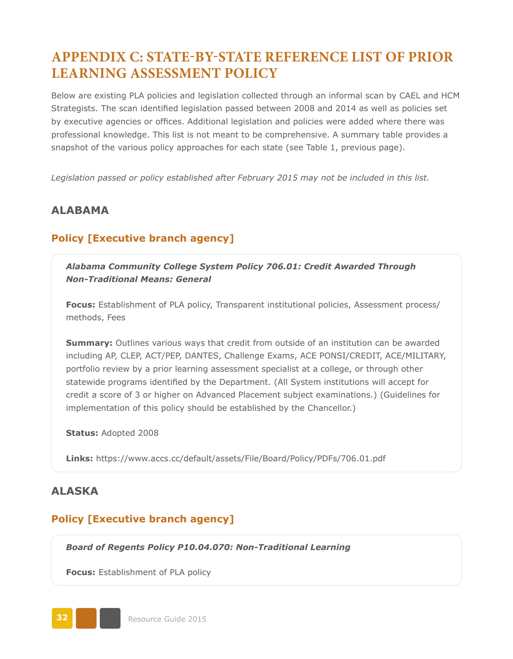## **APPENDIX C: STATE-BY-STATE REFERENCE LIST OF PRIOR LEARNING ASSESSMENT POLICY**

Below are existing PLA policies and legislation collected through an informal scan by CAEL and HCM Strategists. The scan identified legislation passed between 2008 and 2014 as well as policies set by executive agencies or offices. Additional legislation and policies were added where there was professional knowledge. This list is not meant to be comprehensive. A summary table provides a snapshot of the various policy approaches for each state (see Table 1, previous page).

*Legislation passed or policy established after February 2015 may not be included in this list.*

#### **ALABAMA**

#### **Policy [Executive branch agency]**

*Alabama Community College System Policy 706.01: Credit Awarded Through Non-Traditional Means: General*

**Focus:** Establishment of PLA policy, Transparent institutional policies, Assessment process/ methods, Fees

**Summary:** Outlines various ways that credit from outside of an institution can be awarded including AP, CLEP, ACT/PEP, DANTES, Challenge Exams, ACE PONSI/CREDIT, ACE/MILITARY, portfolio review by a prior learning assessment specialist at a college, or through other statewide programs identified by the Department. (All System institutions will accept for credit a score of 3 or higher on Advanced Placement subject examinations.) (Guidelines for implementation of this policy should be established by the Chancellor.)

**Status:** Adopted 2008

**Links:** <https://www.accs.cc/default/assets/File/Board/Policy/PDFs/706.01.pdf>

#### **ALASKA**

#### **Policy [Executive branch agency]**

*Board of Regents Policy P10.04.070: Non-Traditional Learning*

**Focus:** Establishment of PLA policy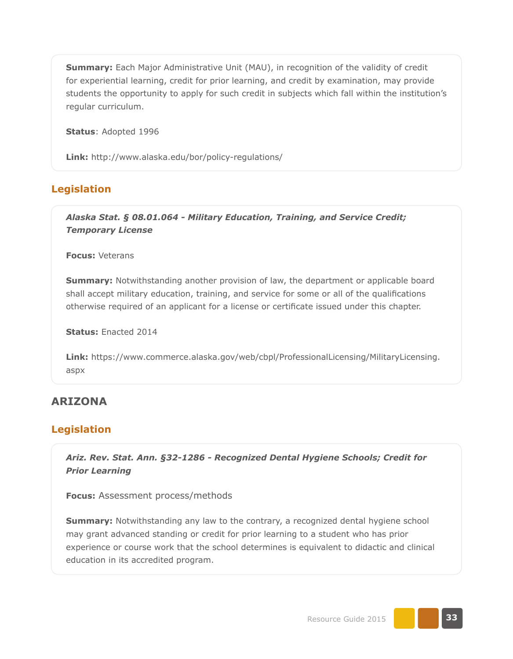**Summary:** Each Major Administrative Unit (MAU), in recognition of the validity of credit for experiential learning, credit for prior learning, and credit by examination, may provide students the opportunity to apply for such credit in subjects which fall within the institution's regular curriculum.

**Status**: Adopted 1996

**Link:** <http://www.alaska.edu/bor/policy-regulations/>

#### **Legislation**

*Alaska Stat. § 08.01.064 - Military Education, Training, and Service Credit; Temporary License*

**Focus:** Veterans

**Summary:** Notwithstanding another provision of law, the department or applicable board shall accept military education, training, and service for some or all of the qualifications otherwise required of an applicant for a license or certificate issued under this chapter.

**Status:** Enacted 2014

**Link:** https://www.commerce.alaska.gov/web/cbpl/ProfessionalLicensing/MilitaryLicensing. aspx

#### **ARIZONA**

#### **Legislation**

*Ariz. Rev. Stat. Ann. §32-1286 - Recognized Dental Hygiene Schools; Credit for Prior Learning*

**Focus:** Assessment process/methods

**Summary:** Notwithstanding any law to the contrary, a recognized dental hygiene school may grant advanced standing or credit for prior learning to a student who has prior experience or course work that the school determines is equivalent to didactic and clinical education in its accredited program.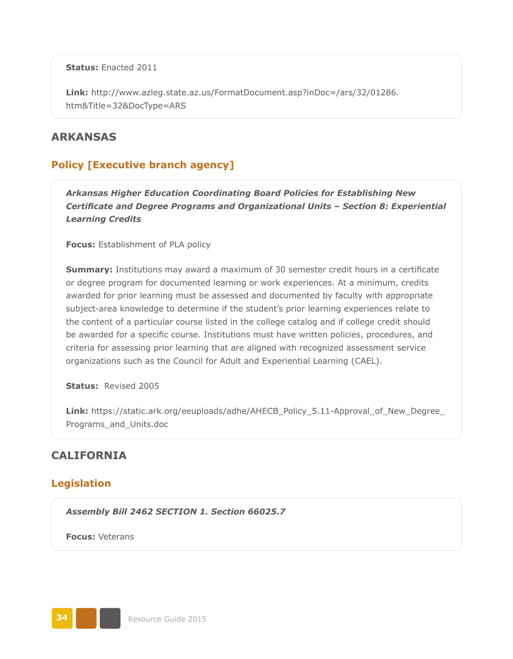**Status:** Enacted 2011

**Link:** [http://www.azleg.state.az.us/FormatDocument.asp?inDoc=/ars/32/01286.](http://www.azleg.state.az.us/FormatDocument.asp?inDoc=/ars/32/01286.htm&Title=32&DocType=ARS) [htm&Title=32&DocType=ARS](http://www.azleg.state.az.us/FormatDocument.asp?inDoc=/ars/32/01286.htm&Title=32&DocType=ARS)

#### **ARKANSAS**

#### **Policy [Executive branch agency]**

*Arkansas Higher Education Coordinating Board Policies for Establishing New Certificate and Degree Programs and Organizational Units – Section 8: Experiential Learning Credits*

**Focus:** Establishment of PLA policy

**Summary:** Institutions may award a maximum of 30 semester credit hours in a certificate or degree program for documented learning or work experiences. At a minimum, credits awarded for prior learning must be assessed and documented by faculty with appropriate subject-area knowledge to determine if the student's prior learning experiences relate to the content of a particular course listed in the college catalog and if college credit should be awarded for a specific course. Institutions must have written policies, procedures, and criteria for assessing prior learning that are aligned with recognized assessment service organizations such as the Council for Adult and Experiential Learning (CAEL).

**Status:** Revised 2005

**Link:** [https://static.ark.org/eeuploads/adhe/AHECB\\_Policy\\_5.11-Approval\\_of\\_New\\_Degree\\_](https://static.ark.org/eeuploads/adhe/AHECB_Policy_5.11-Approval_of_New_Degree_Programs_and_Units.doc) [Programs\\_and\\_Units.doc](https://static.ark.org/eeuploads/adhe/AHECB_Policy_5.11-Approval_of_New_Degree_Programs_and_Units.doc)

#### **CALIFORNIA**

#### **Legislation**

*Assembly Bill 2462 SECTION 1. Section 66025.7*

**Focus:** Veterans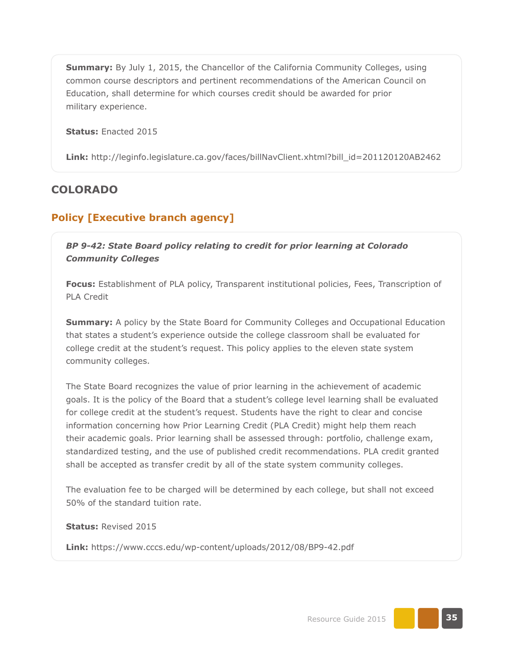**Summary:** By July 1, 2015, the Chancellor of the California Community Colleges, using common course descriptors and pertinent recommendations of the American Council on Education, shall determine for which courses credit should be awarded for prior military experience.

**Status:** Enacted 2015

**Link:** [http://leginfo.legislature.ca.gov/faces/billNavClient.xhtml?bill\\_id=201120120AB2462](http://leginfo.legislature.ca.gov/faces/billNavClient.xhtml?bill_id=201120120AB2462)

### **COLORADO**

### **Policy [Executive branch agency]**

*BP 9-42: State Board policy relating to credit for prior learning at Colorado Community Colleges*

**Focus:** Establishment of PLA policy, Transparent institutional policies, Fees, Transcription of PLA Credit

**Summary:** A policy by the State Board for Community Colleges and Occupational Education that states a student's experience outside the college classroom shall be evaluated for college credit at the student's request. This policy applies to the eleven state system community colleges.

The State Board recognizes the value of prior learning in the achievement of academic goals. It is the policy of the Board that a student's college level learning shall be evaluated for college credit at the student's request. Students have the right to clear and concise information concerning how Prior Learning Credit (PLA Credit) might help them reach their academic goals. Prior learning shall be assessed through: portfolio, challenge exam, standardized testing, and the use of published credit recommendations. PLA credit granted shall be accepted as transfer credit by all of the state system community colleges.

The evaluation fee to be charged will be determined by each college, but shall not exceed 50% of the standard tuition rate.

**Status:** Revised 2015

**Link:** <https://www.cccs.edu/wp-content/uploads/2012/08/BP9-42.pdf>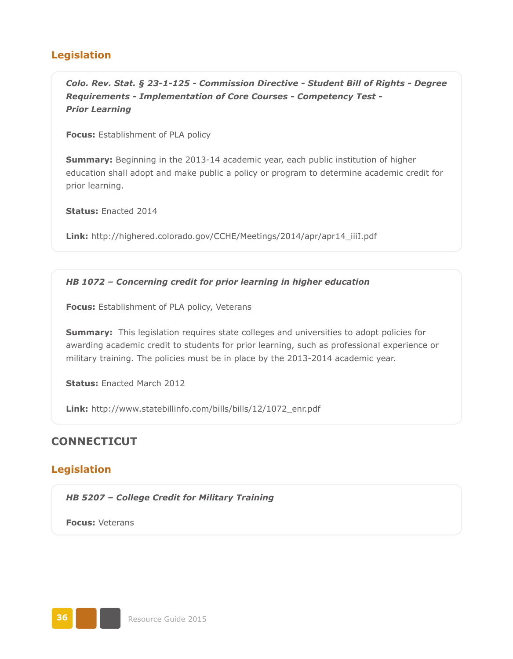## **Legislation**

*Colo. Rev. Stat. § 23-1-125 - Commission Directive - Student Bill of Rights - Degree Requirements - Implementation of Core Courses - Competency Test - Prior Learning*

**Focus:** Establishment of PLA policy

**Summary:** Beginning in the 2013-14 academic year, each public institution of higher education shall adopt and make public a policy or program to determine academic credit for prior learning.

**Status:** Enacted 2014

**Link:** [http://highered.colorado.gov/CCHE/Meetings/2014/apr/apr14\\_iiiI.pdf](http://highered.colorado.gov/CCHE/Meetings/2014/apr/apr14_iiiI.pdf)

### *HB 1072 – Concerning credit for prior learning in higher education*

**Focus:** Establishment of PLA policy, Veterans

**Summary:** This legislation requires state colleges and universities to adopt policies for awarding academic credit to students for prior learning, such as professional experience or military training. The policies must be in place by the 2013-2014 academic year.

**Status:** Enacted March 2012

**Link:** [http://www.statebillinfo.com/bills/bills/12/1072\\_enr.pdf](http://www.statebillinfo.com/bills/bills/12/1072_enr.pdf)

## **CONNECTICUT**

## **Legislation**

*HB 5207 – College Credit for Military Training*

**Focus:** Veterans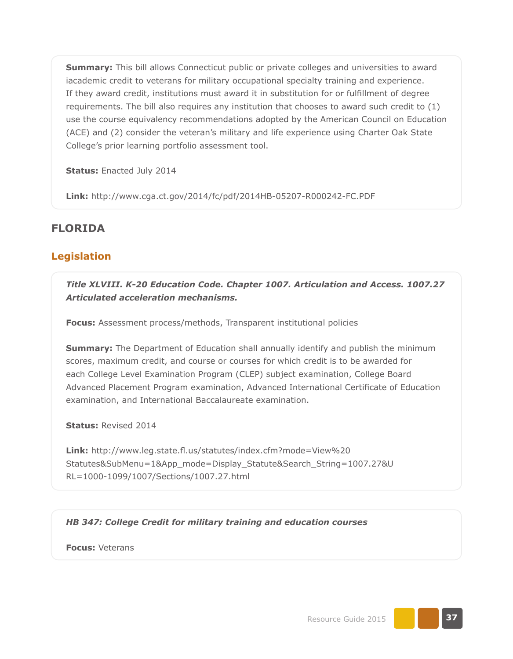**Summary:** This bill allows Connecticut public or private colleges and universities to award iacademic credit to veterans for military occupational specialty training and experience. If they award credit, institutions must award it in substitution for or fulfillment of degree requirements. The bill also requires any institution that chooses to award such credit to (1) use the course equivalency recommendations adopted by the American Council on Education (ACE) and (2) consider the veteran's military and life experience using Charter Oak State College's prior learning portfolio assessment tool.

**Status:** Enacted July 2014

**Link:** <http://www.cga.ct.gov/2014/fc/pdf/2014HB-05207-R000242-FC.PDF>

# **FLORIDA**

## **Legislation**

*Title XLVIII. K-20 Education Code. Chapter 1007. Articulation and Access. 1007.27 Articulated acceleration mechanisms.*

**Focus:** Assessment process/methods, Transparent institutional policies

**Summary:** The Department of Education shall annually identify and publish the minimum scores, maximum credit, and course or courses for which credit is to be awarded for each College Level Examination Program (CLEP) subject examination, College Board Advanced Placement Program examination, Advanced International Certificate of Education examination, and International Baccalaureate examination.

**Status:** Revised 2014

**Link:** [http://www.leg.state.fl.us/statutes/index.cfm?mode=View%20](http://www.leg.state.fl.us/statutes/index.cfm?mode=View%20Statutes&SubMenu=1&App_mode=Display_Statute&Search_String=1007.27&URL=1000-1099/1007/Sections/1007.27.html) [Statutes&SubMenu=1&App\\_mode=Display\\_Statute&Search\\_String=1007.27&U](http://www.leg.state.fl.us/statutes/index.cfm?mode=View%20Statutes&SubMenu=1&App_mode=Display_Statute&Search_String=1007.27&URL=1000-1099/1007/Sections/1007.27.html) [RL=1000-1099/1007/Sections/1007.27.html](http://www.leg.state.fl.us/statutes/index.cfm?mode=View%20Statutes&SubMenu=1&App_mode=Display_Statute&Search_String=1007.27&URL=1000-1099/1007/Sections/1007.27.html)

### *HB 347: College Credit for military training and education courses*

**Focus:** Veterans

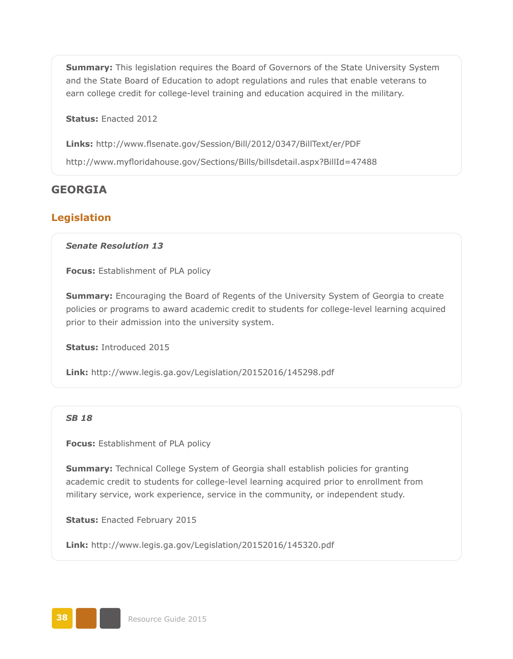**Summary:** This legislation requires the Board of Governors of the State University System and the State Board of Education to adopt regulations and rules that enable veterans to earn college credit for college-level training and education acquired in the military.

**Status:** Enacted 2012

**Links:** <http://www.flsenate.gov/Session/Bill/2012/0347/BillText/er/PDF> <http://www.myfloridahouse.gov/Sections/Bills/billsdetail.aspx?BillId=47488>

## **GEORGIA**

### **Legislation**

#### *Senate Resolution 13*

**Focus:** Establishment of PLA policy

**Summary:** Encouraging the Board of Regents of the University System of Georgia to create policies or programs to award academic credit to students for college-level learning acquired prior to their admission into the university system.

**Status:** Introduced 2015

**Link:** <http://www.legis.ga.gov/Legislation/20152016/145298.pdf>

### *SB 18*

**Focus:** Establishment of PLA policy

**Summary:** Technical College System of Georgia shall establish policies for granting academic credit to students for college-level learning acquired prior to enrollment from military service, work experience, service in the community, or independent study.

**Status:** Enacted February 2015

**Link:** <http://www.legis.ga.gov/Legislation/20152016/145320.pdf>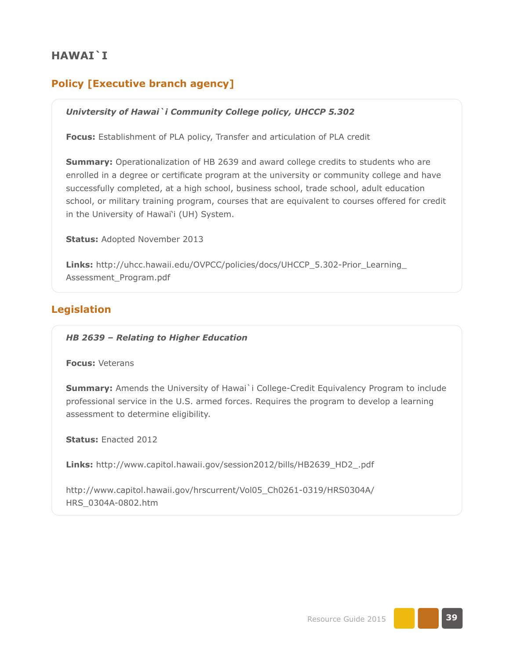# **HAWAI`I**

# **Policy [Executive branch agency]**

### *Univtersity of Hawai`i Community College policy, UHCCP 5.302*

**Focus:** Establishment of PLA policy, Transfer and articulation of PLA credit

**Summary:** Operationalization of HB 2639 and award college credits to students who are enrolled in a degree or certificate program at the university or community college and have successfully completed, at a high school, business school, trade school, adult education school, or military training program, courses that are equivalent to courses offered for credit in the University of Hawai'i (UH) System.

**Status:** Adopted November 2013

**Links:** [http://uhcc.hawaii.edu/OVPCC/policies/docs/UHCCP\\_5.302-Prior\\_Learning\\_](http://uhcc.hawaii.edu/OVPCC/policies/docs/UHCCP_5.302-Prior_Learning_Assessment_Program.pdf) [Assessment\\_Program.pdf](http://uhcc.hawaii.edu/OVPCC/policies/docs/UHCCP_5.302-Prior_Learning_Assessment_Program.pdf)

## **Legislation**

*HB 2639 – Relating to Higher Education*

**Focus:** Veterans

**Summary:** Amends the University of Hawai i College-Credit Equivalency Program to include professional service in the U.S. armed forces. Requires the program to develop a learning assessment to determine eligibility.

**Status:** Enacted 2012

**Links:** [http://www.capitol.hawaii.gov/session2012/bills/HB2639\\_HD2\\_.pdf](http://www.capitol.hawaii.gov/session2012/bills/HB2639_HD2_.pdf)

[http://www.capitol.hawaii.gov/hrscurrent/Vol05\\_Ch0261-0319/HRS0304A/](http://www.capitol.hawaii.gov/hrscurrent/Vol05_Ch0261-0319/HRS0304A/HRS_0304A-0802.htm) [HRS\\_0304A-0802.htm](http://www.capitol.hawaii.gov/hrscurrent/Vol05_Ch0261-0319/HRS0304A/HRS_0304A-0802.htm)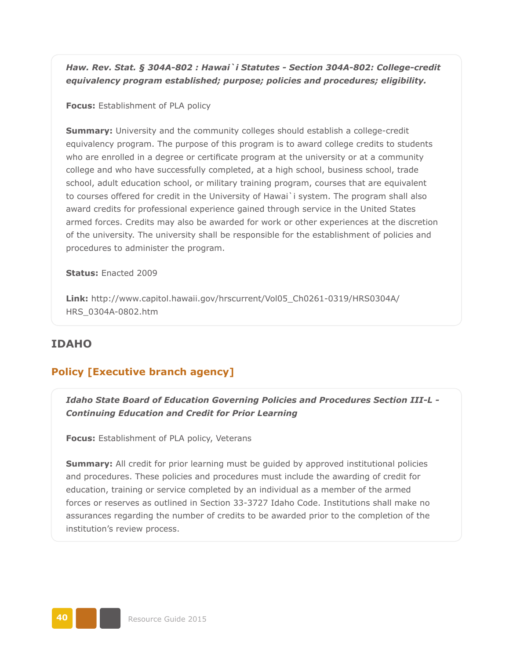*Haw. Rev. Stat. § 304A-802 : Hawai`i Statutes - Section 304A-802: College-credit equivalency program established; purpose; policies and procedures; eligibility.* 

**Focus:** Establishment of PLA policy

**Summary:** University and the community colleges should establish a college-credit equivalency program. The purpose of this program is to award college credits to students who are enrolled in a degree or certificate program at the university or at a community college and who have successfully completed, at a high school, business school, trade school, adult education school, or military training program, courses that are equivalent to courses offered for credit in the University of Hawai`i system. The program shall also award credits for professional experience gained through service in the United States armed forces. Credits may also be awarded for work or other experiences at the discretion of the university. The university shall be responsible for the establishment of policies and procedures to administer the program.

**Status:** Enacted 2009

**Link:** [http://www.capitol.hawaii.gov/hrscurrent/Vol05\\_Ch0261-0319/HRS0304A/](http://www.capitol.hawaii.gov/hrscurrent/Vol05_Ch0261-0319/HRS0304A/HRS_0304A-0802.htm) [HRS\\_0304A-0802.htm](http://www.capitol.hawaii.gov/hrscurrent/Vol05_Ch0261-0319/HRS0304A/HRS_0304A-0802.htm)

### **IDAHO**

### **Policy [Executive branch agency]**

*Idaho State Board of Education Governing Policies and Procedures Section III-L - Continuing Education and Credit for Prior Learning*

**Focus:** Establishment of PLA policy, Veterans

**Summary:** All credit for prior learning must be quided by approved institutional policies and procedures. These policies and procedures must include the awarding of credit for education, training or service completed by an individual as a member of the armed forces or reserves as outlined in Section 33-3727 Idaho Code. Institutions shall make no assurances regarding the number of credits to be awarded prior to the completion of the institution's review process.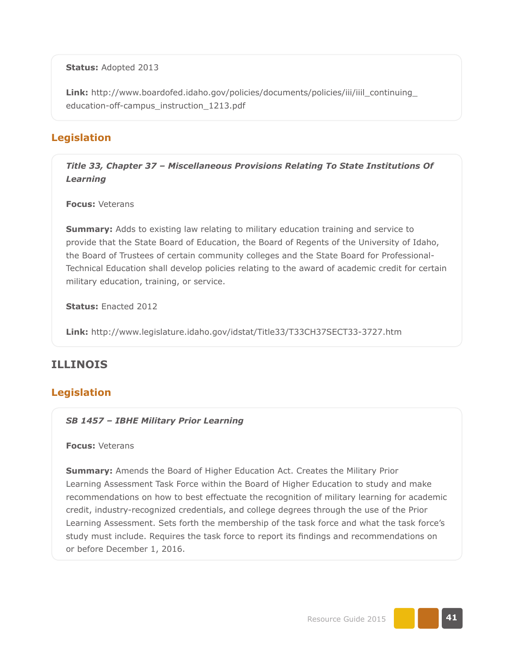**Status:** Adopted 2013

**Link:** [http://www.boardofed.idaho.gov/policies/documents/policies/iii/iiil\\_continuing\\_](http://www.boardofed.idaho.gov/policies/documents/policies/iii/iiil_continuing_education-off-campus_instruction_1213.pdf) [education-off-campus\\_instruction\\_1213.pdf](http://www.boardofed.idaho.gov/policies/documents/policies/iii/iiil_continuing_education-off-campus_instruction_1213.pdf)

## **Legislation**

*Title 33, Chapter 37 – Miscellaneous Provisions Relating To State Institutions Of Learning*

**Focus:** Veterans

**Summary:** Adds to existing law relating to military education training and service to provide that the State Board of Education, the Board of Regents of the University of Idaho, the Board of Trustees of certain community colleges and the State Board for Professional-Technical Education shall develop policies relating to the award of academic credit for certain military education, training, or service.

**Status:** Enacted 2012

**Link:** <http://www.legislature.idaho.gov/idstat/Title33/T33CH37SECT33-3727.htm>

# **ILLINOIS**

## **Legislation**

#### *SB 1457 – IBHE Military Prior Learning*

#### **Focus:** Veterans

**Summary:** Amends the Board of Higher Education Act. Creates the Military Prior Learning Assessment Task Force within the Board of Higher Education to study and make recommendations on how to best effectuate the recognition of military learning for academic credit, industry-recognized credentials, and college degrees through the use of the Prior Learning Assessment. Sets forth the membership of the task force and what the task force's study must include. Requires the task force to report its findings and recommendations on or before December 1, 2016.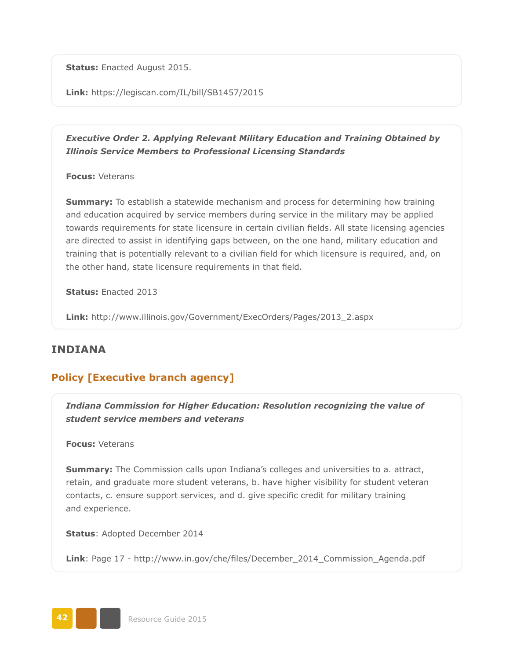**Status:** Enacted August 2015.

**Link:** <https://legiscan.com/IL/bill/SB1457/2015>

*Executive Order 2. Applying Relevant Military Education and Training Obtained by Illinois Service Members to Professional Licensing Standards*

**Focus:** Veterans

**Summary:** To establish a statewide mechanism and process for determining how training and education acquired by service members during service in the military may be applied towards requirements for state licensure in certain civilian fields. All state licensing agencies are directed to assist in identifying gaps between, on the one hand, military education and training that is potentially relevant to a civilian field for which licensure is required, and, on the other hand, state licensure requirements in that field.

**Status:** Enacted 2013

**Link:** [http://www.illinois.gov/Government/ExecOrders/Pages/2013\\_2.aspx](http://www.illinois.gov/Government/ExecOrders/Pages/2013_2.aspx)

## **INDIANA**

# **Policy [Executive branch agency]**

*Indiana Commission for Higher Education: Resolution recognizing the value of student service members and veterans*

**Focus:** Veterans

**Summary:** The Commission calls upon Indiana's colleges and universities to a. attract, retain, and graduate more student veterans, b. have higher visibility for student veteran contacts, c. ensure support services, and d. give specific credit for military training and experience.

**Status**: Adopted December 2014

**Link**: Page 17 - [http://www.in.gov/che/files/December\\_2014\\_Commission\\_Agenda.pdf](http://www.in.gov/che/files/December_2014_Commission_Agenda.pdf)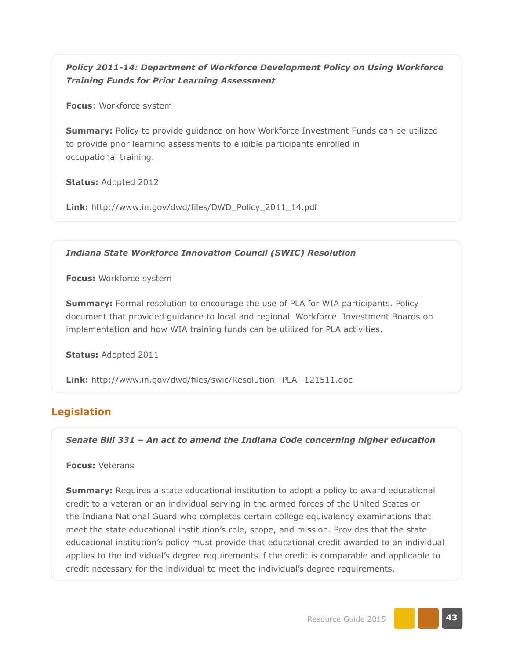*Policy 2011-14: Department of Workforce Development Policy on Using Workforce Training Funds for Prior Learning Assessment*

**Focus**: Workforce system

**Summary:** Policy to provide guidance on how Workforce Investment Funds can be utilized to provide prior learning assessments to eligible participants enrolled in occupational training.

**Status:** Adopted 2012

**Link:** [http://www.in.gov/dwd/files/DWD\\_Policy\\_2011\\_14.pdf](http://www.in.gov/dwd/files/DWD_Policy_2011_14.pdf)

*Indiana State Workforce Innovation Council (SWIC) Resolution*

**Focus:** Workforce system

**Summary:** Formal resolution to encourage the use of PLA for WIA participants. Policy document that provided guidance to local and regional Workforce Investment Boards on implementation and how WIA training funds can be utilized for PLA activities.

**Status:** Adopted 2011

**Link:** <http://www.in.gov/dwd/files/swic/Resolution--PLA--121511.doc>

# **Legislation**

*Senate Bill 331 – An act to amend the Indiana Code concerning higher education*

#### **Focus:** Veterans

**Summary:** Requires a state educational institution to adopt a policy to award educational credit to a veteran or an individual serving in the armed forces of the United States or the Indiana National Guard who completes certain college equivalency examinations that meet the state educational institution's role, scope, and mission. Provides that the state educational institution's policy must provide that educational credit awarded to an individual applies to the individual's degree requirements if the credit is comparable and applicable to credit necessary for the individual to meet the individual's degree requirements.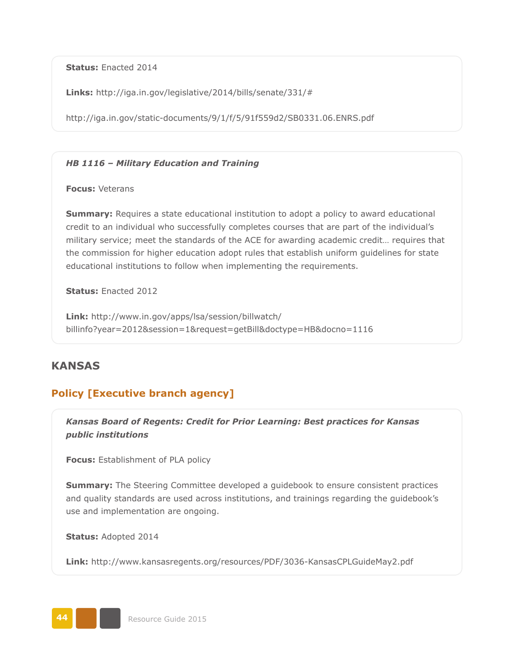**Status:** Enacted 2014

**Links:** [http://iga.in.gov/legislative/2014/bills/senate/331/#](http://iga.in.gov/legislative/2014/bills/senate/331/)

<http://iga.in.gov/static-documents/9/1/f/5/91f559d2/SB0331.06.ENRS.pdf>

#### *HB 1116 – Military Education and Training*

**Focus:** Veterans

**Summary:** Requires a state educational institution to adopt a policy to award educational credit to an individual who successfully completes courses that are part of the individual's military service; meet the standards of the ACE for awarding academic credit… requires that the commission for higher education adopt rules that establish uniform guidelines for state educational institutions to follow when implementing the requirements.

**Status:** Enacted 2012

**Link:** [http://www.in.gov/apps/lsa/session/billwatch/](http://www.in.gov/apps/lsa/session/billwatch/billinfo?year=2012&session=1&request=getBill&doctype=HB&docno=1116) [billinfo?year=2012&session=1&request=getBill&doctype=HB&docno=1116](http://www.in.gov/apps/lsa/session/billwatch/billinfo?year=2012&session=1&request=getBill&doctype=HB&docno=1116)

## **KANSAS**

# **Policy [Executive branch agency]**

*Kansas Board of Regents: Credit for Prior Learning: Best practices for Kansas public institutions* 

**Focus:** Establishment of PLA policy

**Summary:** The Steering Committee developed a guidebook to ensure consistent practices and quality standards are used across institutions, and trainings regarding the guidebook's use and implementation are ongoing.

**Status:** Adopted 2014

**Link:** <http://www.kansasregents.org/resources/PDF/3036-KansasCPLGuideMay2.pdf>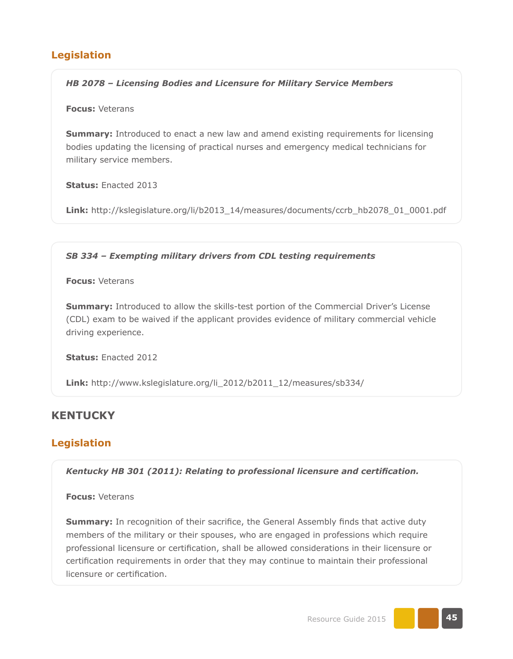# **Legislation**

### *HB 2078 – Licensing Bodies and Licensure for Military Service Members*

#### **Focus:** Veterans

**Summary:** Introduced to enact a new law and amend existing requirements for licensing bodies updating the licensing of practical nurses and emergency medical technicians for military service members.

**Status:** Enacted 2013

**Link:** [http://kslegislature.org/li/b2013\\_14/measures/documents/ccrb\\_hb2078\\_01\\_0001.pdf](http://kslegislature.org/li/b2013_14/measures/documents/ccrb_hb2078_01_0001.pdf)

### *SB 334 – Exempting military drivers from CDL testing requirements*

**Focus:** Veterans

**Summary:** Introduced to allow the skills-test portion of the Commercial Driver's License (CDL) exam to be waived if the applicant provides evidence of military commercial vehicle driving experience.

**Status:** Enacted 2012

**Link:** [http://www.kslegislature.org/li\\_2012/b2011\\_12/measures/sb334/](http://www.kslegislature.org/li_2012/b2011_12/measures/sb334/)

# **KENTUCKY**

# **Legislation**

*Kentucky HB 301 (2011): Relating to professional licensure and certification.*

**Focus:** Veterans

**Summary:** In recognition of their sacrifice, the General Assembly finds that active duty members of the military or their spouses, who are engaged in professions which require professional licensure or certification, shall be allowed considerations in their licensure or certification requirements in order that they may continue to maintain their professional licensure or certification.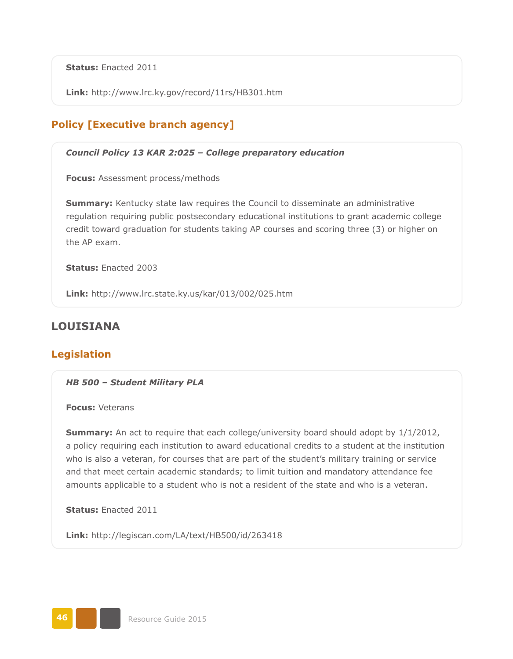**Status:** Enacted 2011

**Link:** <http://www.lrc.ky.gov/record/11rs/HB301.htm>

# **Policy [Executive branch agency]**

#### *Council Policy 13 KAR 2:025 – College preparatory education*

**Focus:** Assessment process/methods

**Summary:** Kentucky state law requires the Council to disseminate an administrative regulation requiring public postsecondary educational institutions to grant academic college credit toward graduation for students taking AP courses and scoring three (3) or higher on the AP exam.

**Status:** Enacted 2003

**Link:** <http://www.lrc.state.ky.us/kar/013/002/025.htm>

# **LOUISIANA**

## **Legislation**

*HB 500 – Student Military PLA*

**Focus:** Veterans

**Summary:** An act to require that each college/university board should adopt by  $1/1/2012$ , a policy requiring each institution to award educational credits to a student at the institution who is also a veteran, for courses that are part of the student's military training or service and that meet certain academic standards; to limit tuition and mandatory attendance fee amounts applicable to a student who is not a resident of the state and who is a veteran.

**Status:** Enacted 2011

**Link:** <http://legiscan.com/LA/text/HB500/id/263418>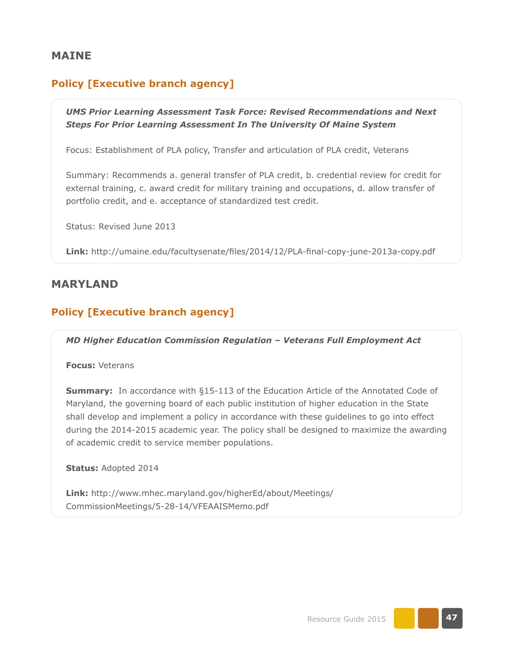### **MAINE**

# **Policy [Executive branch agency]**

*UMS Prior Learning Assessment Task Force: Revised Recommendations and Next Steps For Prior Learning Assessment In The University Of Maine System*

Focus: Establishment of PLA policy, Transfer and articulation of PLA credit, Veterans

Summary: Recommends a. general transfer of PLA credit, b. credential review for credit for external training, c. award credit for military training and occupations, d. allow transfer of portfolio credit, and e. acceptance of standardized test credit.

Status: Revised June 2013

**Link:** <http://umaine.edu/facultysenate/files/2014/12/PLA-final-copy-june-2013a-copy.pdf>

### **MARYLAND**

### **Policy [Executive branch agency]**

*MD Higher Education Commission Regulation – Veterans Full Employment Act*

**Focus:** Veterans

**Summary:** In accordance with §15-113 of the Education Article of the Annotated Code of Maryland, the governing board of each public institution of higher education in the State shall develop and implement a policy in accordance with these guidelines to go into effect during the 2014-2015 academic year. The policy shall be designed to maximize the awarding of academic credit to service member populations.

**Status:** Adopted 2014

**Link:** [http://www.mhec.maryland.gov/higherEd/about/Meetings/](http://www.mhec.maryland.gov/higherEd/about/Meetings/CommissionMeetings/5-28-14/VFEAAISMemo.pdf) [CommissionMeetings/5-28-14/VFEAAISMemo.pdf](http://www.mhec.maryland.gov/higherEd/about/Meetings/CommissionMeetings/5-28-14/VFEAAISMemo.pdf)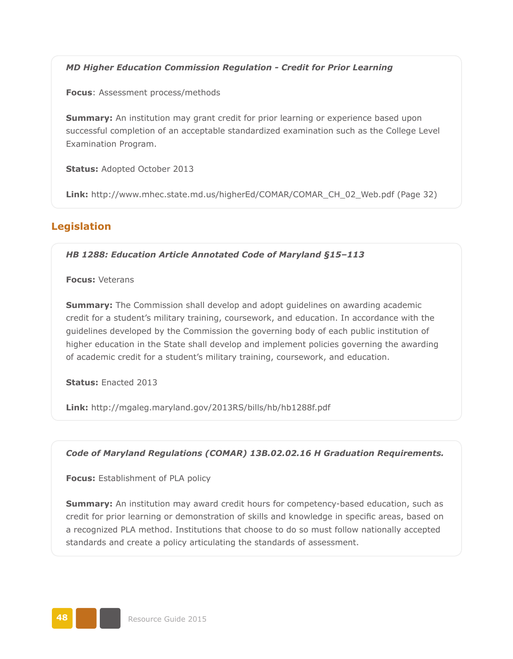*MD Higher Education Commission Regulation - Credit for Prior Learning*

**Focus**: Assessment process/methods

**Summary:** An institution may grant credit for prior learning or experience based upon successful completion of an acceptable standardized examination such as the College Level Examination Program.

**Status:** Adopted October 2013

**Link:** [http://www.mhec.state.md.us/higherEd/COMAR/COMAR\\_CH\\_02\\_Web.pdf](http://www.mhec.state.md.us/higherEd/COMAR/COMAR_CH_02_Web.pdf) (Page 32)

## **Legislation**

*HB 1288: Education Article Annotated Code of Maryland §15–113*

**Focus:** Veterans

**Summary:** The Commission shall develop and adopt guidelines on awarding academic credit for a student's military training, coursework, and education. In accordance with the guidelines developed by the Commission the governing body of each public institution of higher education in the State shall develop and implement policies governing the awarding of academic credit for a student's military training, coursework, and education.

**Status:** Enacted 2013

**Link:** <http://mgaleg.maryland.gov/2013RS/bills/hb/hb1288f.pdf>

### *Code of Maryland Regulations (COMAR) 13B.02.02.16 H Graduation Requirements.*

**Focus:** Establishment of PLA policy

**Summary:** An institution may award credit hours for competency-based education, such as credit for prior learning or demonstration of skills and knowledge in specific areas, based on a recognized PLA method. Institutions that choose to do so must follow nationally accepted standards and create a policy articulating the standards of assessment.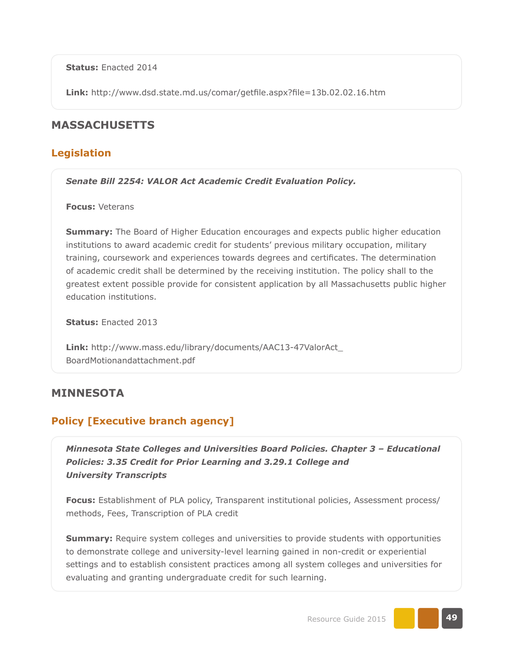**Status:** Enacted 2014

**Link:** <http://www.dsd.state.md.us/comar/getfile.aspx?file=13b.02.02.16.htm>

## **MASSACHUSETTS**

### **Legislation**

*Senate Bill 2254: VALOR Act Academic Credit Evaluation Policy.*

**Focus:** Veterans

**Summary:** The Board of Higher Education encourages and expects public higher education institutions to award academic credit for students' previous military occupation, military training, coursework and experiences towards degrees and certificates. The determination of academic credit shall be determined by the receiving institution. The policy shall to the greatest extent possible provide for consistent application by all Massachusetts public higher education institutions.

**Status:** Enacted 2013

**Link:** [http://www.mass.edu/library/documents/AAC13-47ValorAct\\_](http://www.mass.edu/library/documents/AAC13-47ValorAct_BoardMotionandattachment.pdf) [BoardMotionandattachment.pdf](http://www.mass.edu/library/documents/AAC13-47ValorAct_BoardMotionandattachment.pdf)

### **MINNESOTA**

# **Policy [Executive branch agency]**

*Minnesota State Colleges and Universities Board Policies. Chapter 3 – Educational Policies: 3.35 Credit for Prior Learning and 3.29.1 College and University Transcripts*

**Focus:** Establishment of PLA policy, Transparent institutional policies, Assessment process/ methods, Fees, Transcription of PLA credit

**Summary:** Require system colleges and universities to provide students with opportunities to demonstrate college and university-level learning gained in non-credit or experiential settings and to establish consistent practices among all system colleges and universities for evaluating and granting undergraduate credit for such learning.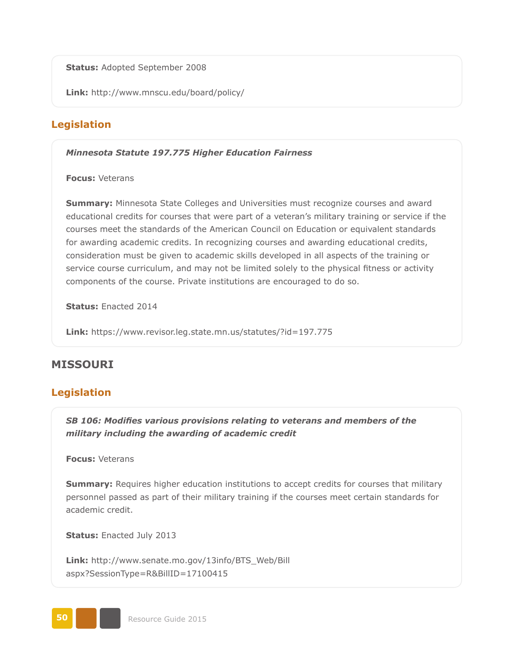**Status:** Adopted September 2008

**Link:** <http://www.mnscu.edu/board/policy/>

# **Legislation**

#### *Minnesota Statute 197.775 Higher Education Fairness*

**Focus:** Veterans

**Summary:** Minnesota State Colleges and Universities must recognize courses and award educational credits for courses that were part of a veteran's military training or service if the courses meet the standards of the American Council on Education or equivalent standards for awarding academic credits. In recognizing courses and awarding educational credits, consideration must be given to academic skills developed in all aspects of the training or service course curriculum, and may not be limited solely to the physical fitness or activity components of the course. Private institutions are encouraged to do so.

**Status:** Enacted 2014

**Link:** <https://www.revisor.leg.state.mn.us/statutes/?id=197.775>

# **MISSOURI**

## **Legislation**

*SB 106: Modifies various provisions relating to veterans and members of the military including the awarding of academic credit*

**Focus:** Veterans

**Summary:** Requires higher education institutions to accept credits for courses that military personnel passed as part of their military training if the courses meet certain standards for academic credit.

**Status:** Enacted July 2013

**Link:** [http://www.senate.mo.gov/13info/BTS\\_Web/Bill](http://www.senate.mo.gov/13info/BTS_Web/Bill.aspx?SessionType=R&BillID=17100415)  [aspx?SessionType=R&BillID=17100415](http://www.senate.mo.gov/13info/BTS_Web/Bill.aspx?SessionType=R&BillID=17100415)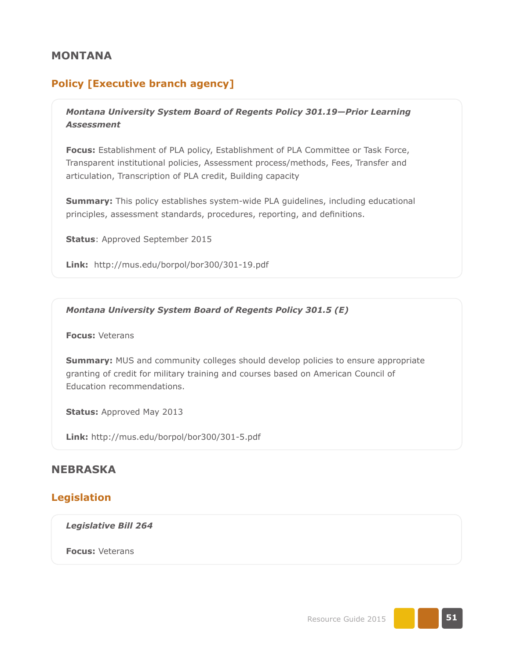## **MONTANA**

## **Policy [Executive branch agency]**

*Montana University System Board of Regents Policy 301.19—Prior Learning Assessment*

**Focus:** Establishment of PLA policy, Establishment of PLA Committee or Task Force, Transparent institutional policies, Assessment process/methods, Fees, Transfer and articulation, Transcription of PLA credit, Building capacity

**Summary:** This policy establishes system-wide PLA guidelines, including educational principles, assessment standards, procedures, reporting, and definitions.

**Status**: Approved September 2015

**Link:** <http://mus.edu/borpol/bor300/301-19.pdf>

*Montana University System Board of Regents Policy 301.5 (E)*

**Focus:** Veterans

**Summary:** MUS and community colleges should develop policies to ensure appropriate granting of credit for military training and courses based on American Council of Education recommendations.

**Status:** Approved May 2013

**Link:** <http://mus.edu/borpol/bor300/301-5.pdf>

# **NEBRASKA**

### **Legislation**

*Legislative Bill 264*

**Focus:** Veterans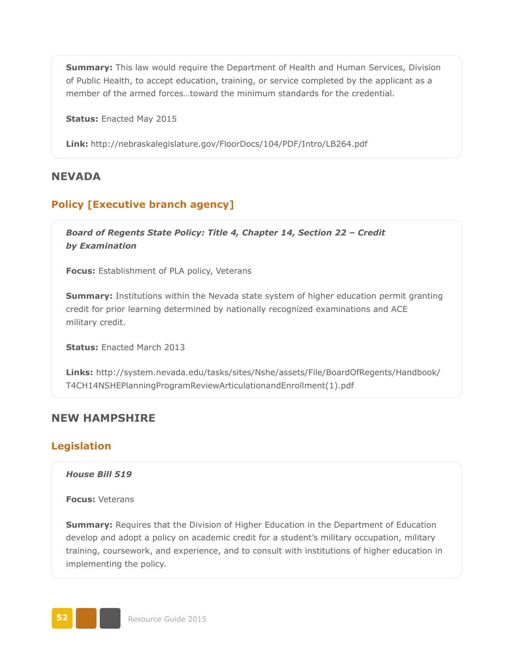**Summary:** This law would require the Department of Health and Human Services, Division of Public Health, to accept education, training, or service completed by the applicant as a member of the armed forces…toward the minimum standards for the credential.

**Status:** Enacted May 2015

**Link:** <http://nebraskalegislature.gov/FloorDocs/104/PDF/Intro/LB264.pdf>

### **NEVADA**

## **Policy [Executive branch agency]**

*Board of Regents State Policy: Title 4, Chapter 14, Section 22 – Credit by Examination*

**Focus:** Establishment of PLA policy, Veterans

**Summary:** Institutions within the Nevada state system of higher education permit granting credit for prior learning determined by nationally recognized examinations and ACE military credit.

**Status:** Enacted March 2013

**Links:** [http://system.nevada.edu/tasks/sites/Nshe/assets/File/BoardOfRegents/Handbook/](http://system.nevada.edu/tasks/sites/Nshe/assets/File/BoardOfRegents/Handbook/T4CH14NSHEPlanningProgramReviewArticulationandEnrollment%281%29.pdf) [T4CH14NSHEPlanningProgramReviewArticulationandEnrollment\(1\).pdf](http://system.nevada.edu/tasks/sites/Nshe/assets/File/BoardOfRegents/Handbook/T4CH14NSHEPlanningProgramReviewArticulationandEnrollment%281%29.pdf)

### **NEW HAMPSHIRE**

### **Legislation**

*House Bill 519*

**Focus:** Veterans

**Summary:** Requires that the Division of Higher Education in the Department of Education develop and adopt a policy on academic credit for a student's military occupation, military training, coursework, and experience, and to consult with institutions of higher education in implementing the policy.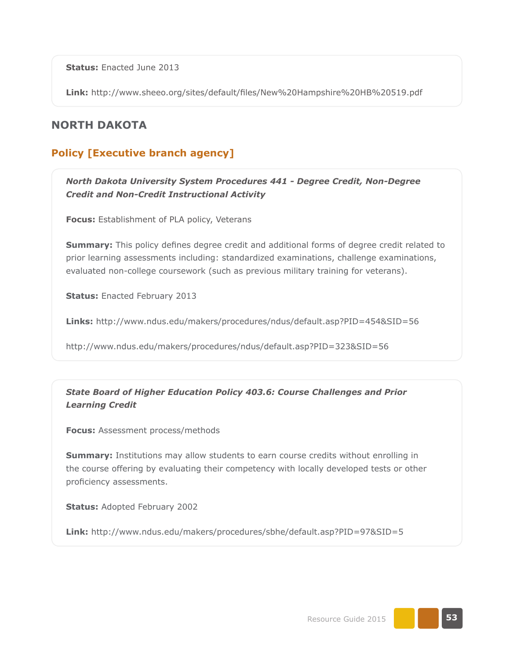**Status:** Enacted June 2013

**Link:** <http://www.sheeo.org/sites/default/files/New%20Hampshire%20HB%20519.pdf>

# **NORTH DAKOTA**

# **Policy [Executive branch agency]**

*North Dakota University System Procedures 441 - Degree Credit, Non-Degree Credit and Non-Credit Instructional Activity*

**Focus:** Establishment of PLA policy, Veterans

**Summary:** This policy defines degree credit and additional forms of degree credit related to prior learning assessments including: standardized examinations, challenge examinations, evaluated non-college coursework (such as previous military training for veterans).

**Status:** Enacted February 2013

**Links:** <http://www.ndus.edu/makers/procedures/ndus/default.asp?PID=454&SID=56>

<http://www.ndus.edu/makers/procedures/ndus/default.asp?PID=323&SID=56>

*State Board of Higher Education Policy 403.6: Course Challenges and Prior Learning Credit* 

**Focus:** Assessment process/methods

**Summary:** Institutions may allow students to earn course credits without enrolling in the course offering by evaluating their competency with locally developed tests or other proficiency assessments.

**Status:** Adopted February 2002

**Link:** <http://www.ndus.edu/makers/procedures/sbhe/default.asp?PID=97&SID=5>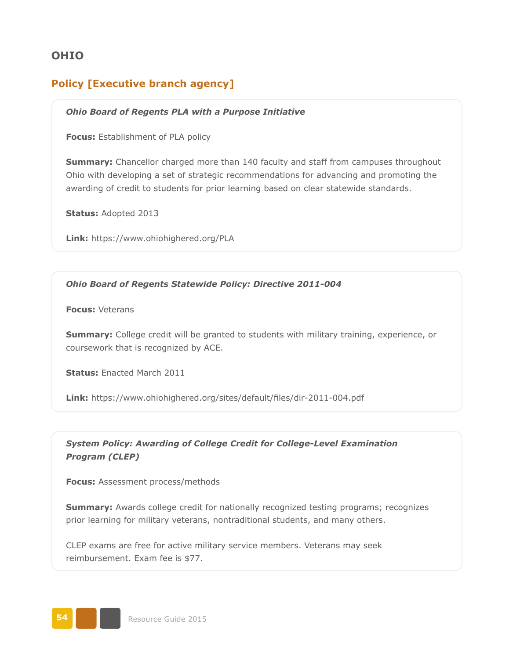# **OHIO**

# **Policy [Executive branch agency]**

### *Ohio Board of Regents PLA with a Purpose Initiative*

**Focus:** Establishment of PLA policy

**Summary:** Chancellor charged more than 140 faculty and staff from campuses throughout Ohio with developing a set of strategic recommendations for advancing and promoting the awarding of credit to students for prior learning based on clear statewide standards.

**Status:** Adopted 2013

**Link:** <https://www.ohiohighered.org/PLA>

#### *Ohio Board of Regents Statewide Policy: Directive 2011-004*

**Focus:** Veterans

**Summary:** College credit will be granted to students with military training, experience, or coursework that is recognized by ACE.

**Status:** Enacted March 2011

**Link:** <https://www.ohiohighered.org/sites/default/files/dir-2011-004.pdf>

*System Policy: Awarding of College Credit for College-Level Examination Program (CLEP)* 

**Focus:** Assessment process/methods

**Summary:** Awards college credit for nationally recognized testing programs; recognizes prior learning for military veterans, nontraditional students, and many others.

CLEP exams are free for active military service members. Veterans may seek reimbursement. Exam fee is \$77.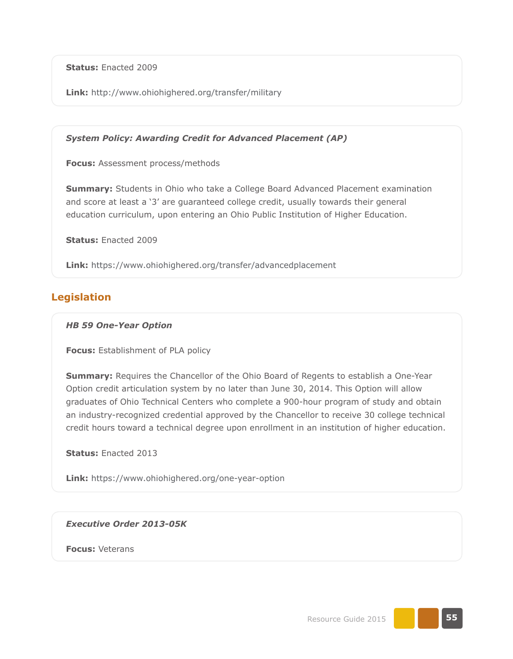**Status:** Enacted 2009

**Link:** <http://www.ohiohighered.org/transfer/military>

*System Policy: Awarding Credit for Advanced Placement (AP)*

**Focus:** Assessment process/methods

**Summary:** Students in Ohio who take a College Board Advanced Placement examination and score at least a '3' are guaranteed college credit, usually towards their general education curriculum, upon entering an Ohio Public Institution of Higher Education.

**Status:** Enacted 2009

**Link:** <https://www.ohiohighered.org/transfer/advancedplacement>

## **Legislation**

#### *HB 59 One-Year Option*

**Focus:** Establishment of PLA policy

**Summary:** Requires the Chancellor of the Ohio Board of Regents to establish a One-Year Option credit articulation system by no later than June 30, 2014. This Option will allow graduates of Ohio Technical Centers who complete a 900-hour program of study and obtain an industry-recognized credential approved by the Chancellor to receive 30 college technical credit hours toward a technical degree upon enrollment in an institution of higher education.

**Status:** Enacted 2013

**Link:** <https://www.ohiohighered.org/one-year-option>

*Executive Order 2013-05K*

**Focus:** Veterans

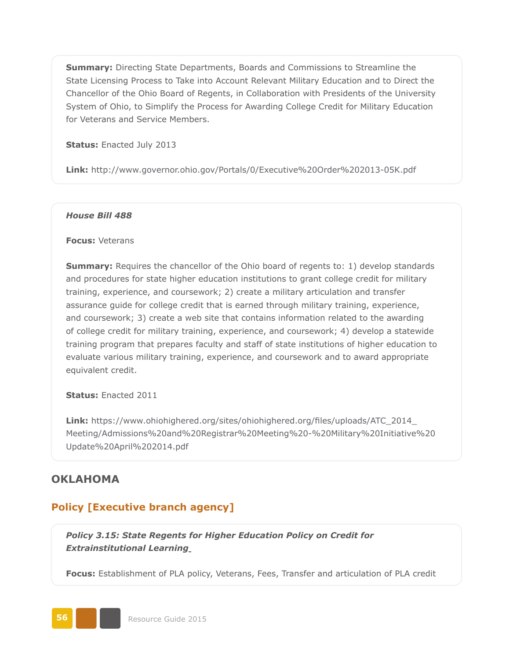**Summary:** Directing State Departments, Boards and Commissions to Streamline the State Licensing Process to Take into Account Relevant Military Education and to Direct the Chancellor of the Ohio Board of Regents, in Collaboration with Presidents of the University System of Ohio, to Simplify the Process for Awarding College Credit for Military Education for Veterans and Service Members.

**Status:** Enacted July 2013

**Link:** <http://www.governor.ohio.gov/Portals/0/Executive%20Order%202013-05K.pdf>

#### *House Bill 488*

#### **Focus:** Veterans

**Summary:** Requires the chancellor of the Ohio board of regents to: 1) develop standards and procedures for state higher education institutions to grant college credit for military training, experience, and coursework; 2) create a military articulation and transfer assurance guide for college credit that is earned through military training, experience, and coursework; 3) create a web site that contains information related to the awarding of college credit for military training, experience, and coursework; 4) develop a statewide training program that prepares faculty and staff of state institutions of higher education to evaluate various military training, experience, and coursework and to award appropriate equivalent credit.

**Status:** Enacted 2011

**Link:** [https://www.ohiohighered.org/sites/ohiohighered.org/files/uploads/ATC\\_2014\\_](https://www.ohiohighered.org/sites/ohiohighered.org/files/uploads/ATC_2014_Meeting/Admissions%20and%20Registrar%20Meeting%20-%20Military%20Initiative%20Update%20April%202014.pdf) [Meeting/Admissions%20and%20Registrar%20Meeting%20-%20Military%20Initiative%20](https://www.ohiohighered.org/sites/ohiohighered.org/files/uploads/ATC_2014_Meeting/Admissions%20and%20Registrar%20Meeting%20-%20Military%20Initiative%20Update%20April%202014.pdf) [Update%20April%202014.pdf](https://www.ohiohighered.org/sites/ohiohighered.org/files/uploads/ATC_2014_Meeting/Admissions%20and%20Registrar%20Meeting%20-%20Military%20Initiative%20Update%20April%202014.pdf)

## **OKLAHOMA**

## **Policy [Executive branch agency]**

*Policy 3.15: State Regents for Higher Education Policy on Credit for Extrainstitutional Learning*

**Focus:** Establishment of PLA policy, Veterans, Fees, Transfer and articulation of PLA credit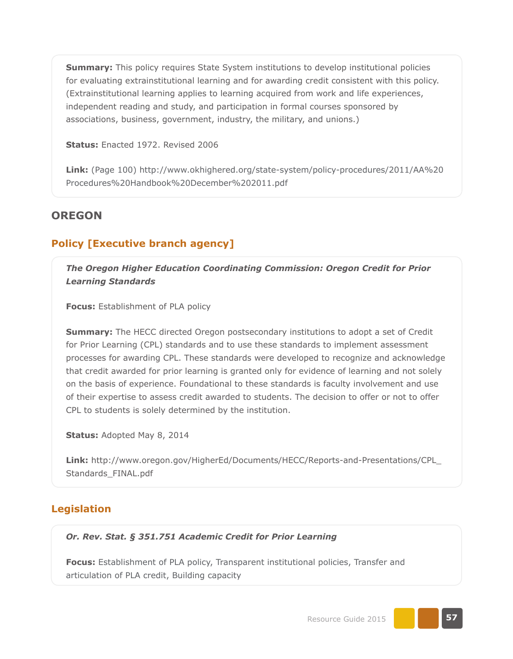**Summary:** This policy requires State System institutions to develop institutional policies for evaluating extrainstitutional learning and for awarding credit consistent with this policy. (Extrainstitutional learning applies to learning acquired from work and life experiences, independent reading and study, and participation in formal courses sponsored by associations, business, government, industry, the military, and unions.)

**Status:** Enacted 1972. Revised 2006

**Link:** (Page 100) [http://www.okhighered.org/state-system/policy-procedures/2011/AA%20](http://www.okhighered.org/state-system/policy-procedures/2011/AA%20Procedures%20Handbook%20December%202011.pdf) [Procedures%20Handbook%20December%202011.pdf](http://www.okhighered.org/state-system/policy-procedures/2011/AA%20Procedures%20Handbook%20December%202011.pdf)

### **OREGON**

### **Policy [Executive branch agency]**

*The Oregon Higher Education Coordinating Commission: Oregon Credit for Prior Learning Standards*

**Focus:** Establishment of PLA policy

**Summary:** The HECC directed Oregon postsecondary institutions to adopt a set of Credit for Prior Learning (CPL) standards and to use these standards to implement assessment processes for awarding CPL. These standards were developed to recognize and acknowledge that credit awarded for prior learning is granted only for evidence of learning and not solely on the basis of experience. Foundational to these standards is faculty involvement and use of their expertise to assess credit awarded to students. The decision to offer or not to offer CPL to students is solely determined by the institution.

**Status:** Adopted May 8, 2014

**Link:** [http://www.oregon.gov/HigherEd/Documents/HECC/Reports-and-Presentations/CPL\\_](http://www.oregon.gov/HigherEd/Documents/HECC/Reports-and-Presentations/CPL_Standards_FINAL.pdf) [Standards\\_FINAL.pdf](http://www.oregon.gov/HigherEd/Documents/HECC/Reports-and-Presentations/CPL_Standards_FINAL.pdf)

### **Legislation**

#### *Or. Rev. Stat. § 351.751 Academic Credit for Prior Learning*

**Focus:** Establishment of PLA policy, Transparent institutional policies, Transfer and articulation of PLA credit, Building capacity

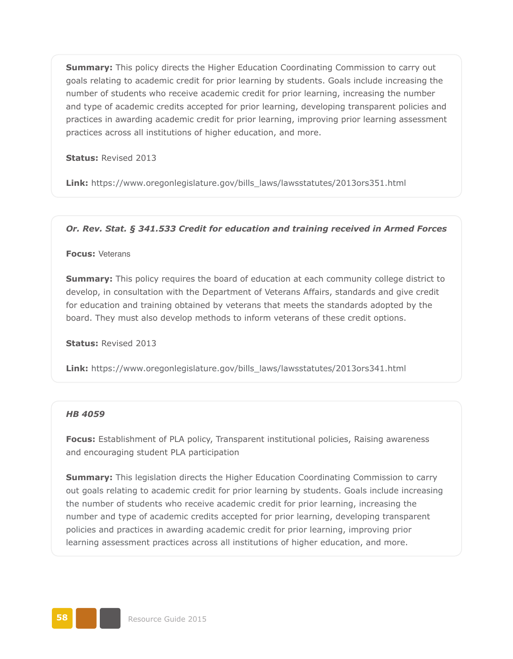**Summary:** This policy directs the Higher Education Coordinating Commission to carry out goals relating to academic credit for prior learning by students. Goals include increasing the number of students who receive academic credit for prior learning, increasing the number and type of academic credits accepted for prior learning, developing transparent policies and practices in awarding academic credit for prior learning, improving prior learning assessment practices across all institutions of higher education, and more.

**Status:** Revised 2013

**Link:** [https://www.oregonlegislature.gov/bills\\_laws/lawsstatutes/2013ors351.html](https://www.oregonlegislature.gov/bills_laws/lawsstatutes/2013ors351.html)

#### *Or. Rev. Stat. § 341.533 Credit for education and training received in Armed Forces*

#### **Focus:** Veterans

**Summary:** This policy requires the board of education at each community college district to develop, in consultation with the Department of Veterans Affairs, standards and give credit for education and training obtained by veterans that meets the standards adopted by the board. They must also develop methods to inform veterans of these credit options.

**Status:** Revised 2013

**Link:** [https://www.oregonlegislature.gov/bills\\_laws/lawsstatutes/2013ors341.html](https://www.oregonlegislature.gov/bills_laws/lawsstatutes/2013ors341.html)

#### *HB 4059*

**Focus:** Establishment of PLA policy, Transparent institutional policies, Raising awareness and encouraging student PLA participation

**Summary:** This legislation directs the Higher Education Coordinating Commission to carry out goals relating to academic credit for prior learning by students. Goals include increasing the number of students who receive academic credit for prior learning, increasing the number and type of academic credits accepted for prior learning, developing transparent policies and practices in awarding academic credit for prior learning, improving prior learning assessment practices across all institutions of higher education, and more.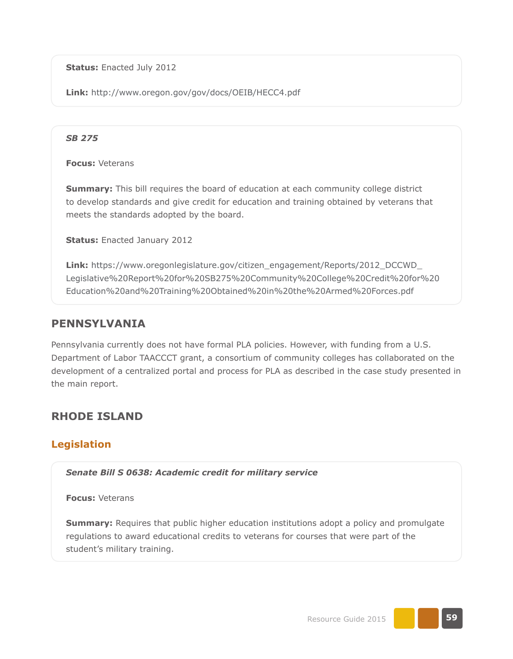**Status:** Enacted July 2012

**Link:** <http://www.oregon.gov/gov/docs/OEIB/HECC4.pdf>

### *SB 275*

**Focus:** Veterans

**Summary:** This bill requires the board of education at each community college district to develop standards and give credit for education and training obtained by veterans that meets the standards adopted by the board.

**Status:** Enacted January 2012

**Link:** [https://www.oregonlegislature.gov/citizen\\_engagement/Reports/2012\\_DCCWD\\_](https://www.oregonlegislature.gov/citizen_engagement/Reports/2012_DCCWD_Legislative%20Report%20for%20SB275%20Community%20College%20Credit%20for%20Education%20and%20Training%20Obtained%20in%20the%20Armed%20Forces.pdf) [Legislative%20Report%20for%20SB275%20Community%20College%20Credit%20for%20](https://www.oregonlegislature.gov/citizen_engagement/Reports/2012_DCCWD_Legislative%20Report%20for%20SB275%20Community%20College%20Credit%20for%20Education%20and%20Training%20Obtained%20in%20the%20Armed%20Forces.pdf) [Education%20and%20Training%20Obtained%20in%20the%20Armed%20Forces.pdf](https://www.oregonlegislature.gov/citizen_engagement/Reports/2012_DCCWD_Legislative%20Report%20for%20SB275%20Community%20College%20Credit%20for%20Education%20and%20Training%20Obtained%20in%20the%20Armed%20Forces.pdf)

# **PENNSYLVANIA**

Pennsylvania currently does not have formal PLA policies. However, with funding from a U.S. Department of Labor TAACCCT grant, a consortium of community colleges has collaborated on the development of a centralized portal and process for PLA as described in the case study presented in the main report.

# **RHODE ISLAND**

# **Legislation**

*Senate Bill S 0638: Academic credit for military service*

**Focus:** Veterans

**Summary:** Requires that public higher education institutions adopt a policy and promulgate regulations to award educational credits to veterans for courses that were part of the student's military training.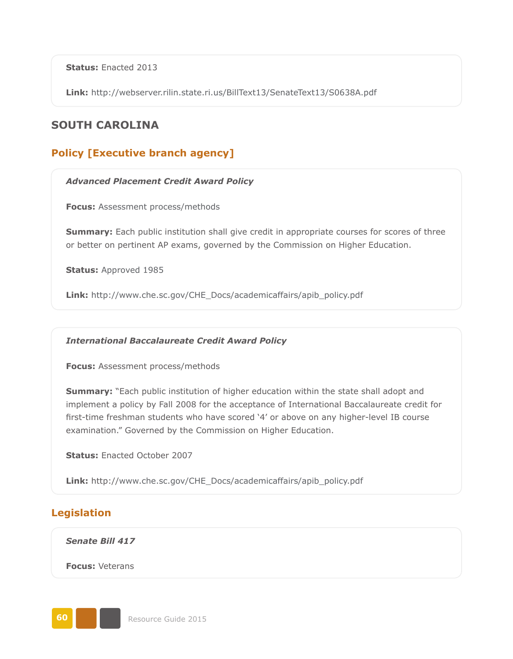**Status:** Enacted 2013

**Link:** <http://webserver.rilin.state.ri.us/BillText13/SenateText13/S0638A.pdf>

# **SOUTH CAROLINA**

# **Policy [Executive branch agency]**

#### *Advanced Placement Credit Award Policy*

**Focus:** Assessment process/methods

**Summary:** Each public institution shall give credit in appropriate courses for scores of three or better on pertinent AP exams, governed by the Commission on Higher Education.

**Status:** Approved 1985

**Link:** [http://www.che.sc.gov/CHE\\_Docs/academicaffairs/apib\\_policy.pdf](http://www.che.sc.gov/CHE_Docs/academicaffairs/apib_policy.pdf)

#### *International Baccalaureate Credit Award Policy*

**Focus:** Assessment process/methods

**Summary:** "Each public institution of higher education within the state shall adopt and implement a policy by Fall 2008 for the acceptance of International Baccalaureate credit for first-time freshman students who have scored '4' or above on any higher-level IB course examination." Governed by the Commission on Higher Education.

**Status:** Enacted October 2007

**Link:** [http://www.che.sc.gov/CHE\\_Docs/academicaffairs/apib\\_policy.pdf](http://www.che.sc.gov/CHE_Docs/academicaffairs/apib_policy.pdf)

## **Legislation**

*Senate Bill 417*

**Focus:** Veterans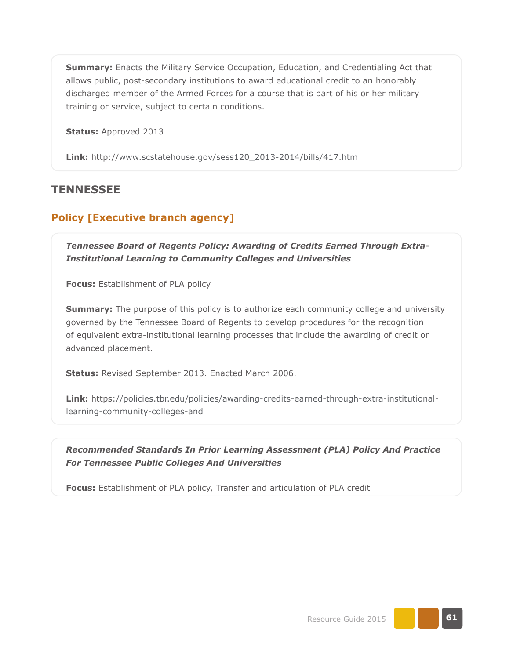**Summary:** Enacts the Military Service Occupation, Education, and Credentialing Act that allows public, post-secondary institutions to award educational credit to an honorably discharged member of the Armed Forces for a course that is part of his or her military training or service, subject to certain conditions.

**Status:** Approved 2013

**Link:** [http://www.scstatehouse.gov/sess120\\_2013-2014/bills/417.htm](http://www.scstatehouse.gov/sess120_2013-2014/bills/417.htm)

### **TENNESSEE**

### **Policy [Executive branch agency]**

*Tennessee Board of Regents Policy: Awarding of Credits Earned Through Extra-Institutional Learning to Community Colleges and Universities*

**Focus:** Establishment of PLA policy

**Summary:** The purpose of this policy is to authorize each community college and university governed by the Tennessee Board of Regents to develop procedures for the recognition of equivalent extra-institutional learning processes that include the awarding of credit or advanced placement.

**Status:** Revised September 2013. Enacted March 2006.

**Link:** https[://policies.tbr.edu/policies/awarding-credits-earned-through-extra-institutional](https://policies.tbr.edu/policies/awarding-credits-earned-through-extra-institutional-learning-community-colleges-and)[learning-community-colleges-and](https://policies.tbr.edu/policies/awarding-credits-earned-through-extra-institutional-learning-community-colleges-and)

*Recommended Standards In Prior Learning Assessment (PLA) Policy And Practice For Tennessee Public Colleges And Universities*

**Focus:** Establishment of PLA policy, Transfer and articulation of PLA credit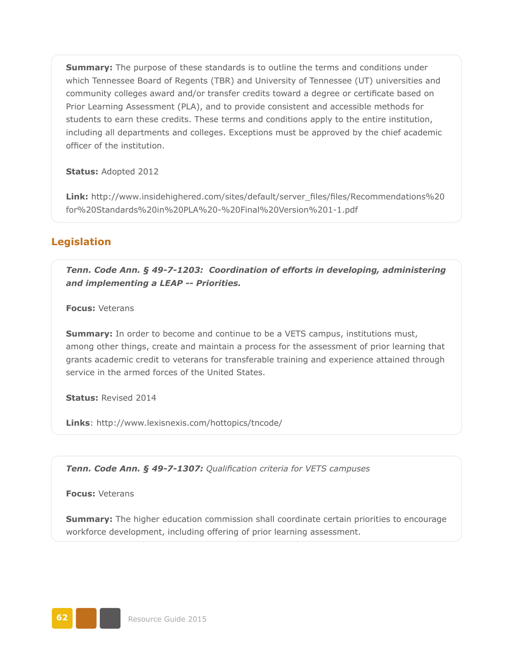**Summary:** The purpose of these standards is to outline the terms and conditions under which Tennessee Board of Regents (TBR) and University of Tennessee (UT) universities and community colleges award and/or transfer credits toward a degree or certificate based on Prior Learning Assessment (PLA), and to provide consistent and accessible methods for students to earn these credits. These terms and conditions apply to the entire institution, including all departments and colleges. Exceptions must be approved by the chief academic officer of the institution.

**Status:** Adopted 2012

**Link:** [http://www.insidehighered.com/sites/default/server\\_files/files/Recommendations%20](http://www.insidehighered.com/sites/default/server_files/files/Recommendations%20for%20Standards%20in%20PLA%20-%20Final%20Version%201-1.pdf) [for%20Standards%20in%20PLA%20-%20Final%20Version%201-1.pdf](http://www.insidehighered.com/sites/default/server_files/files/Recommendations%20for%20Standards%20in%20PLA%20-%20Final%20Version%201-1.pdf)

### **Legislation**

*Tenn. Code Ann. § 49-7-1203: Coordination of efforts in developing, administering and implementing a LEAP -- Priorities.*

**Focus:** Veterans

**Summary:** In order to become and continue to be a VETS campus, institutions must, among other things, create and maintain a process for the assessment of prior learning that grants academic credit to veterans for transferable training and experience attained through service in the armed forces of the United States.

**Status:** Revised 2014

**Links**: <http://www.lexisnexis.com/hottopics/tncode/>

*Tenn. Code Ann. § 49-7-1307: Qualification criteria for VETS campuses*

**Focus:** Veterans

**Summary:** The higher education commission shall coordinate certain priorities to encourage workforce development, including offering of prior learning assessment.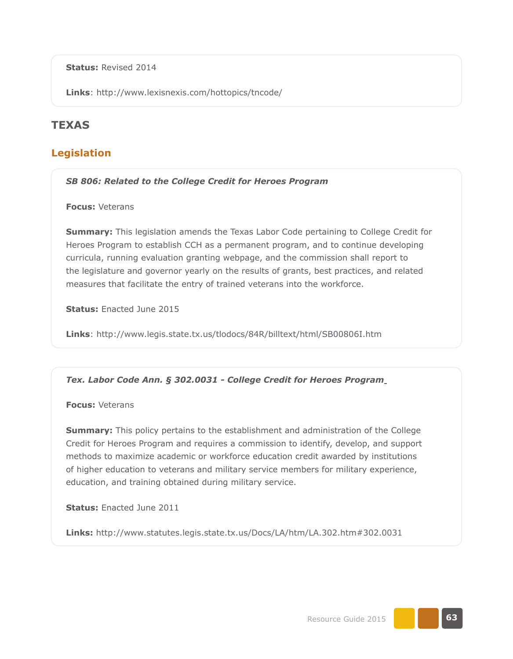**Status:** Revised 2014

**Links**: <http://www.lexisnexis.com/hottopics/tncode/>

# **TEXAS**

## **Legislation**

#### *SB 806: Related to the College Credit for Heroes Program*

**Focus:** Veterans

**Summary:** This legislation amends the Texas Labor Code pertaining to College Credit for Heroes Program to establish CCH as a permanent program, and to continue developing curricula, running evaluation granting webpage, and the commission shall report to the legislature and governor yearly on the results of grants, best practices, and related measures that facilitate the entry of trained veterans into the workforce.

**Status:** Enacted June 2015

**Links**: <http://www.legis.state.tx.us/tlodocs/84R/billtext/html/SB00806I.htm>

### *Tex. Labor Code Ann. § 302.0031 - College Credit for Heroes Program*

**Focus:** Veterans

**Summary:** This policy pertains to the establishment and administration of the College Credit for Heroes Program and requires a commission to identify, develop, and support methods to maximize academic or workforce education credit awarded by institutions of higher education to veterans and military service members for military experience, education, and training obtained during military service.

**Status:** Enacted June 2011

**Links:** http://www.statutes.legis.state.tx.us/Docs/LA/htm/LA.302.htm#302.0031

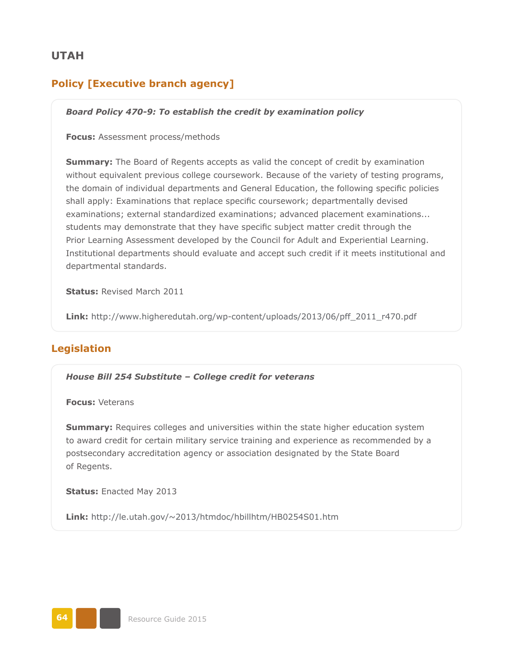## **UTAH**

# **Policy [Executive branch agency]**

### *Board Policy 470-9: To establish the credit by examination policy*

#### **Focus:** Assessment process/methods

**Summary:** The Board of Regents accepts as valid the concept of credit by examination without equivalent previous college coursework. Because of the variety of testing programs, the domain of individual departments and General Education, the following specific policies shall apply: Examinations that replace specific coursework; departmentally devised examinations; external standardized examinations; advanced placement examinations... students may demonstrate that they have specific subject matter credit through the Prior Learning Assessment developed by the Council for Adult and Experiential Learning. Institutional departments should evaluate and accept such credit if it meets institutional and departmental standards.

**Status:** Revised March 2011

**Link:** [http://www.higheredutah.org/wp-content/uploads/2013/06/pff\\_2011\\_r470.pdf](http://www.higheredutah.org/wp-content/uploads/2013/06/pff_2011_r470.pdf)

## **Legislation**

*House Bill 254 Substitute – College credit for veterans*

**Focus:** Veterans

**Summary:** Requires colleges and universities within the state higher education system to award credit for certain military service training and experience as recommended by a postsecondary accreditation agency or association designated by the State Board of Regents.

**Status:** Enacted May 2013

**Link:** <http://le.utah.gov/~2013/htmdoc/hbillhtm/HB0254S01.htm>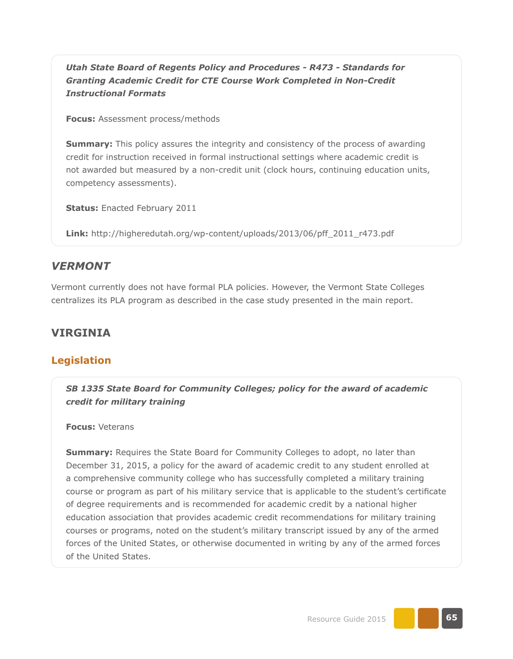*Utah State Board of Regents Policy and Procedures - R473 - Standards for Granting Academic Credit for CTE Course Work Completed in Non-Credit Instructional Formats*

**Focus:** Assessment process/methods

**Summary:** This policy assures the integrity and consistency of the process of awarding credit for instruction received in formal instructional settings where academic credit is not awarded but measured by a non-credit unit (clock hours, continuing education units, competency assessments).

**Status:** Enacted February 2011

**Link:** [http://higheredutah.org/wp-content/uploads/2013/06/pff\\_2011\\_r473.pdf](http://higheredutah.org/wp-content/uploads/2013/06/pff_2011_r473.pdf)

### *VERMONT*

Vermont currently does not have formal PLA policies. However, the Vermont State Colleges centralizes its PLA program as described in the case study presented in the main report.

### **VIRGINIA**

#### **Legislation**

*SB 1335 State Board for Community Colleges; policy for the award of academic credit for military training*

**Focus:** Veterans

**Summary:** Requires the State Board for Community Colleges to adopt, no later than December 31, 2015, a policy for the award of academic credit to any student enrolled at a comprehensive community college who has successfully completed a military training course or program as part of his military service that is applicable to the student's certificate of degree requirements and is recommended for academic credit by a national higher education association that provides academic credit recommendations for military training courses or programs, noted on the student's military transcript issued by any of the armed forces of the United States, or otherwise documented in writing by any of the armed forces of the United States.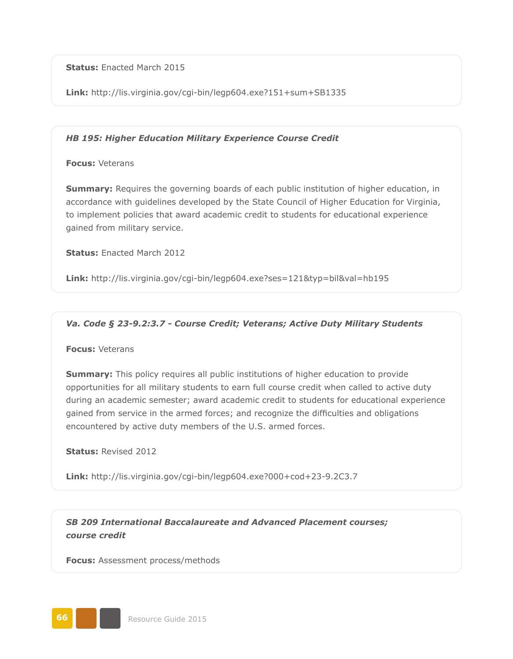**Status:** Enacted March 2015

**Link:** <http://lis.virginia.gov/cgi-bin/legp604.exe?151+sum+SB1335>

#### *HB 195: Higher Education Military Experience Course Credit*

#### **Focus:** Veterans

**Summary:** Requires the governing boards of each public institution of higher education, in accordance with guidelines developed by the State Council of Higher Education for Virginia, to implement policies that award academic credit to students for educational experience gained from military service.

**Status:** Enacted March 2012

**Link:** <http://lis.virginia.gov/cgi-bin/legp604.exe?ses=121&typ=bil&val=hb195>

#### *Va. Code § 23-9.2:3.7 - Course Credit; Veterans; Active Duty Military Students*

#### **Focus:** Veterans

**Summary:** This policy requires all public institutions of higher education to provide opportunities for all military students to earn full course credit when called to active duty during an academic semester; award academic credit to students for educational experience gained from service in the armed forces; and recognize the difficulties and obligations encountered by active duty members of the U.S. armed forces.

#### **Status:** Revised 2012

**Link:** <http://lis.virginia.gov/cgi-bin/legp604.exe?000+cod+23-9.2C3.7>

*SB 209 International Baccalaureate and Advanced Placement courses; course credit*

**Focus:** Assessment process/methods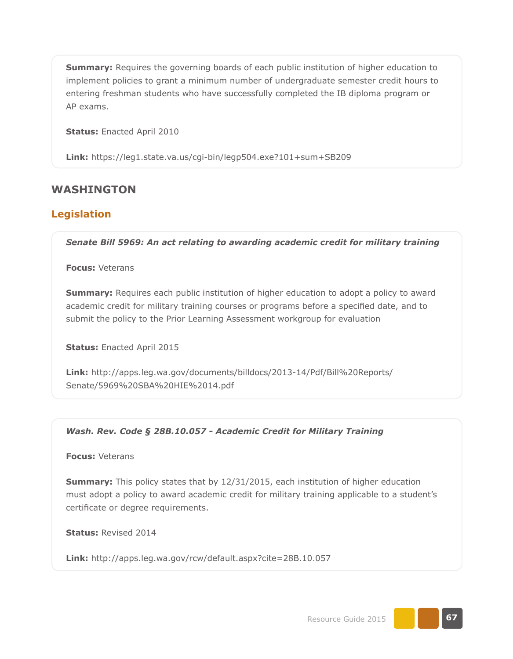**Summary:** Requires the governing boards of each public institution of higher education to implement policies to grant a minimum number of undergraduate semester credit hours to entering freshman students who have successfully completed the IB diploma program or AP exams.

**Status:** Enacted April 2010

**Link:** <https://leg1.state.va.us/cgi-bin/legp504.exe?101+sum+SB209>

### **WASHINGTON**

### **Legislation**

*Senate Bill 5969: An act relating to awarding academic credit for military training*

**Focus:** Veterans

**Summary:** Requires each public institution of higher education to adopt a policy to award academic credit for military training courses or programs before a specified date, and to submit the policy to the Prior Learning Assessment workgroup for evaluation

**Status:** Enacted April 2015

**Link:** [http://apps.leg.wa.gov/documents/billdocs/2013-14/Pdf/Bill%20Reports/](http://apps.leg.wa.gov/documents/billdocs/2013-14/Pdf/Bill%20Reports/Senate/5969%20SBA%20HIE%2014.pdf) [Senate/5969%20SBA%20HIE%2014.pdf](http://apps.leg.wa.gov/documents/billdocs/2013-14/Pdf/Bill%20Reports/Senate/5969%20SBA%20HIE%2014.pdf)

#### *Wash. Rev. Code § 28B.10.057 - Academic Credit for Military Training*

**Focus:** Veterans

**Summary:** This policy states that by 12/31/2015, each institution of higher education must adopt a policy to award academic credit for military training applicable to a student's certificate or degree requirements.

**Status:** Revised 2014

**Link:** <http://apps.leg.wa.gov/rcw/default.aspx?cite=28B.10.057>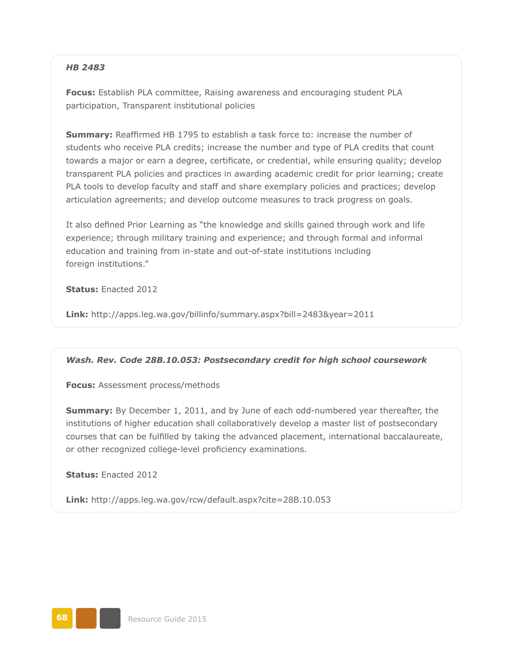### *HB 2483*

**Focus:** Establish PLA committee, Raising awareness and encouraging student PLA participation, Transparent institutional policies

**Summary:** Reaffirmed HB 1795 to establish a task force to: increase the number of students who receive PLA credits; increase the number and type of PLA credits that count towards a major or earn a degree, certificate, or credential, while ensuring quality; develop transparent PLA policies and practices in awarding academic credit for prior learning; create PLA tools to develop faculty and staff and share exemplary policies and practices; develop articulation agreements; and develop outcome measures to track progress on goals.

It also defined Prior Learning as "the knowledge and skills gained through work and life experience; through military training and experience; and through formal and informal education and training from in-state and out-of-state institutions including foreign institutions."

**Status:** Enacted 2012

**Link:** <http://apps.leg.wa.gov/billinfo/summary.aspx?bill=2483&year=2011>

#### *Wash. Rev. Code 28B.10.053: Postsecondary credit for high school coursework*

**Focus:** Assessment process/methods

**Summary:** By December 1, 2011, and by June of each odd-numbered year thereafter, the institutions of higher education shall collaboratively develop a master list of postsecondary courses that can be fulfilled by taking the advanced placement, international baccalaureate, or other recognized college-level proficiency examinations.

**Status:** Enacted 2012

**Link:** <http://apps.leg.wa.gov/rcw/default.aspx?cite=28B.10.053>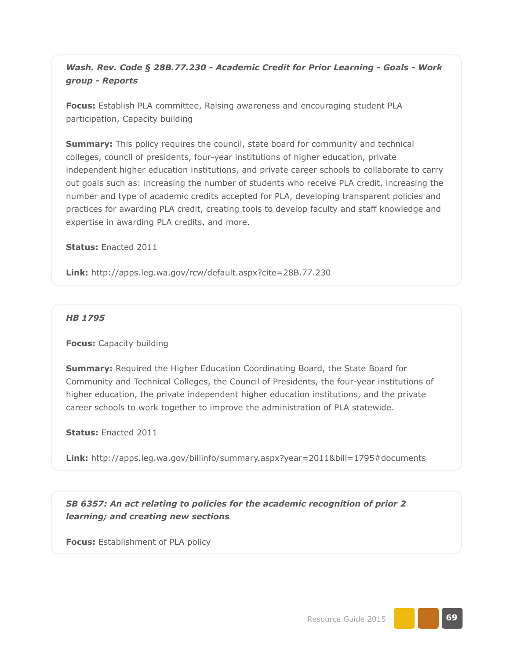*Wash. Rev. Code § 28B.77.230 - Academic Credit for Prior Learning - Goals - Work group - Reports*

**Focus:** Establish PLA committee, Raising awareness and encouraging student PLA participation, Capacity building

**Summary:** This policy requires the council, state board for community and technical colleges, council of presidents, four-year institutions of higher education, private independent higher education institutions, and private career schools to collaborate to carry out goals such as: increasing the number of students who receive PLA credit, increasing the number and type of academic credits accepted for PLA, developing transparent policies and practices for awarding PLA credit, creating tools to develop faculty and staff knowledge and expertise in awarding PLA credits, and more.

**Status:** Enacted 2011

**Link:** <http://apps.leg.wa.gov/rcw/default.aspx?cite=28B.77.230>

#### *HB 1795*

**Focus:** Capacity building

**Summary:** Required the Higher Education Coordinating Board, the State Board for Community and Technical Colleges, the Council of Presidents, the four-year institutions of higher education, the private independent higher education institutions, and the private career schools to work together to improve the administration of PLA statewide.

**Status:** Enacted 2011

**Link:** http://apps.leg.wa.gov/billinfo/summary.aspx?year=2011&bill=1795#documents

*SB 6357: An act relating to policies for the academic recognition of prior 2 learning; and creating new sections*

**Focus:** Establishment of PLA policy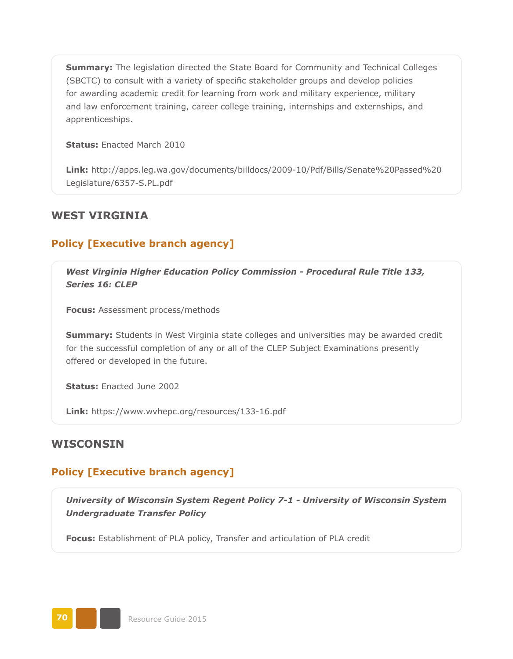**Summary:** The legislation directed the State Board for Community and Technical Colleges (SBCTC) to consult with a variety of specific stakeholder groups and develop policies for awarding academic credit for learning from work and military experience, military and law enforcement training, career college training, internships and externships, and apprenticeships.

**Status:** Enacted March 2010

**Link:** [http://apps.leg.wa.gov/documents/billdocs/2009-10/Pdf/Bills/Senate%20Passed%20](http://apps.leg.wa.gov/documents/billdocs/2009-10/Pdf/Bills/Senate%20Passed%20Legislature/6357-S.PL.pdf) [Legislature/6357-S.PL.pdf](http://apps.leg.wa.gov/documents/billdocs/2009-10/Pdf/Bills/Senate%20Passed%20Legislature/6357-S.PL.pdf)

## **WEST VIRGINIA**

## **Policy [Executive branch agency]**

*West Virginia Higher Education Policy Commission - Procedural Rule Title 133, Series 16: CLEP*

**Focus:** Assessment process/methods

**Summary:** Students in West Virginia state colleges and universities may be awarded credit for the successful completion of any or all of the CLEP Subject Examinations presently offered or developed in the future.

**Status:** Enacted June 2002

**Link:** <https://www.wvhepc.org/resources/133-16.pdf>

### **WISCONSIN**

## **Policy [Executive branch agency]**

*University of Wisconsin System Regent Policy 7-1 - University of Wisconsin System Undergraduate Transfer Policy*

**Focus:** Establishment of PLA policy, Transfer and articulation of PLA credit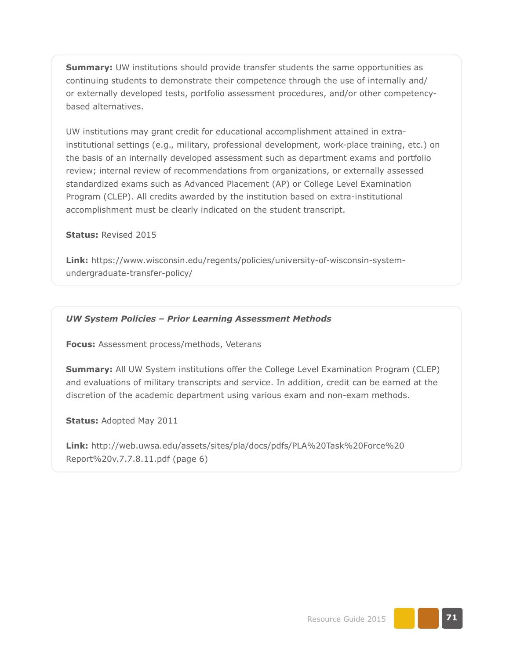**Summary:** UW institutions should provide transfer students the same opportunities as continuing students to demonstrate their competence through the use of internally and/ or externally developed tests, portfolio assessment procedures, and/or other competencybased alternatives.

UW institutions may grant credit for educational accomplishment attained in extrainstitutional settings (e.g., military, professional development, work-place training, etc.) on the basis of an internally developed assessment such as department exams and portfolio review; internal review of recommendations from organizations, or externally assessed standardized exams such as Advanced Placement (AP) or College Level Examination Program (CLEP). All credits awarded by the institution based on extra-institutional accomplishment must be clearly indicated on the student transcript.

#### **Status:** Revised 2015

**Link:** [https://www.wisconsin.edu/regents/policies/university-of-wisconsin-system](https://www.wisconsin.edu/regents/policies/university-of-wisconsin-system-undergraduate-transfer-policy/)[undergraduate-transfer-policy/](https://www.wisconsin.edu/regents/policies/university-of-wisconsin-system-undergraduate-transfer-policy/)

#### *UW System Policies – Prior Learning Assessment Methods*

**Focus:** Assessment process/methods, Veterans

**Summary:** All UW System institutions offer the College Level Examination Program (CLEP) and evaluations of military transcripts and service. In addition, credit can be earned at the discretion of the academic department using various exam and non-exam methods.

**Status:** Adopted May 2011

**Link:** [http://web.uwsa.edu/assets/sites/pla/docs/pdfs/PLA%20Task%20Force%20](http://web.uwsa.edu/assets/sites/pla/docs/pdfs/PLA%20Task%20Force%20Report%20v.7.7.8.11.pdf) [Report%20v.7.7.8.11.pdf](http://web.uwsa.edu/assets/sites/pla/docs/pdfs/PLA%20Task%20Force%20Report%20v.7.7.8.11.pdf) (page 6)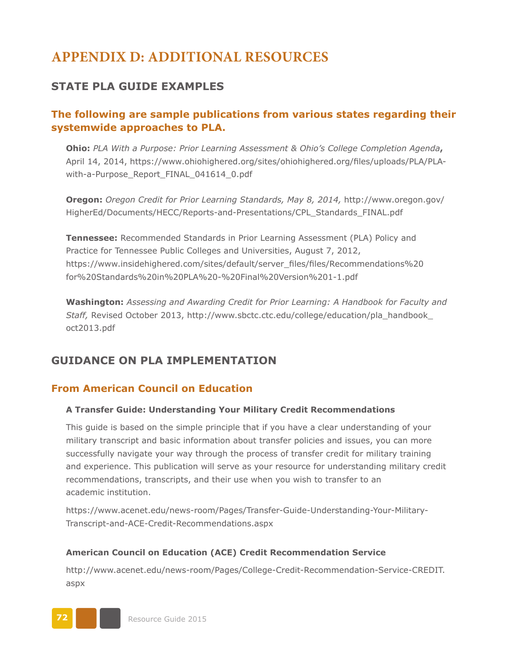# **APPENDIX D: ADDITIONAL RESOURCES**

# **STATE PLA GUIDE EXAMPLES**

# **The following are sample publications from various states regarding their systemwide approaches to PLA.**

**Ohio:** *PLA With a Purpose: Prior Learning Assessment & Ohio's College Completion Agenda***,**  April 14, 2014, [https://www.ohiohighered.org/sites/ohiohighered.org/files/uploads/PLA/PLA](https://www.ohiohighered.org/sites/ohiohighered.org/files/uploads/PLA/PLA-with-a-Purpose_Report_FINAL_041614_0.pdf)[with-a-Purpose\\_Report\\_FINAL\\_041614\\_0.pdf](https://www.ohiohighered.org/sites/ohiohighered.org/files/uploads/PLA/PLA-with-a-Purpose_Report_FINAL_041614_0.pdf)

**Oregon:** *Oregon Credit for Prior Learning Standards, May 8, 2014,* [http://www.oregon.gov/](http://www.oregon.gov/HigherEd/Documents/HECC/Reports-and-Presentations/CPL_Standards_FINAL.pdf) [HigherEd/Documents/HECC/Reports-and-Presentations/CPL\\_Standards\\_FINAL.pdf](http://www.oregon.gov/HigherEd/Documents/HECC/Reports-and-Presentations/CPL_Standards_FINAL.pdf)

**Tennessee:** Recommended Standards in Prior Learning Assessment (PLA) Policy and Practice for Tennessee Public Colleges and Universities, August 7, 2012, [https://www.insidehighered.com/sites/default/server\\_files/files/Recommendations%20](https://www.insidehighered.com/sites/default/server_files/files/Recommendations%20for%20Standards%20in%20PLA%20-%20Final%20Version%201-1.pdf) [for%20Standards%20in%20PLA%20-%20Final%20Version%201-1.pdf](https://www.insidehighered.com/sites/default/server_files/files/Recommendations%20for%20Standards%20in%20PLA%20-%20Final%20Version%201-1.pdf)

**Washington:** *Assessing and Awarding Credit for Prior Learning: A Handbook for Faculty and Staff,* Revised October 2013, [http://www.sbctc.ctc.edu/college/education/pla\\_handbook\\_](http://www.sbctc.ctc.edu/college/education/pla_handbook_oct2013.pdf) [oct2013.pdf](http://www.sbctc.ctc.edu/college/education/pla_handbook_oct2013.pdf)

# **GUIDANCE ON PLA IMPLEMENTATION**

# **From American Council on Education**

#### **A Transfer Guide: Understanding Your Military Credit Recommendations**

This guide is based on the simple principle that if you have a clear understanding of your military transcript and basic information about transfer policies and issues, you can more successfully navigate your way through the process of transfer credit for military training and experience. This publication will serve as your resource for understanding military credit recommendations, transcripts, and their use when you wish to transfer to an academic institution.

https://www.acenet.edu/news-room/Pages/Transfer-Guide-Understanding-Your-Military-Transcript-and-ACE-Credit-Recommendations.aspx

#### **American Council on Education (ACE) Credit Recommendation Service**

[http://www.acenet.edu/news-room/Pages/College-Credit-Recommendation-Service-CREDIT.](http://www.acenet.edu/news-room/Pages/College-Credit-Recommendation-Service-CREDIT.aspx) [aspx](http://www.acenet.edu/news-room/Pages/College-Credit-Recommendation-Service-CREDIT.aspx)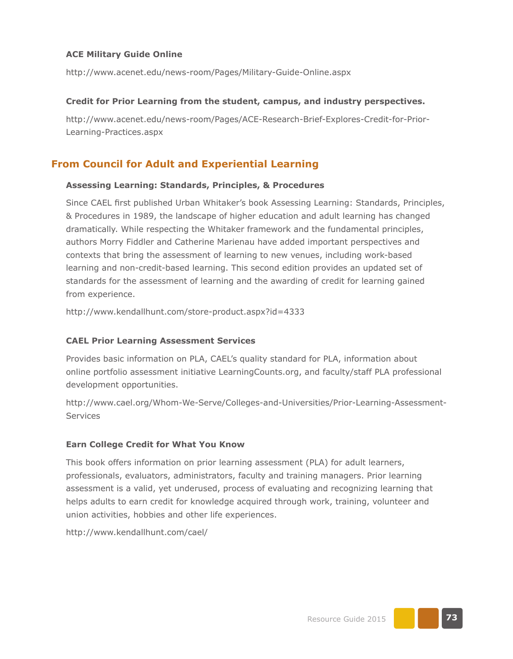#### **ACE Military Guide Online**

http://www.acenet.edu/news-room/Pages/Military-Guide-Online.aspx

#### **Credit for Prior Learning from the student, campus, and industry perspectives.**

[http://www.acenet.edu/news-room/Pages/ACE-Research-Brief-Explores-Credit-for-Prior-](http://www.acenet.edu/news-room/Pages/ACE-Research-Brief-Explores-Credit-for-Prior-Learning-Practices.aspx)[Learning-Practices.aspx](http://www.acenet.edu/news-room/Pages/ACE-Research-Brief-Explores-Credit-for-Prior-Learning-Practices.aspx)

### **From Council for Adult and Experiential Learning**

#### **Assessing Learning: Standards, Principles, & Procedures**

Since CAEL first published Urban Whitaker's book Assessing Learning: Standards, Principles, & Procedures in 1989, the landscape of higher education and adult learning has changed dramatically. While respecting the Whitaker framework and the fundamental principles, authors Morry Fiddler and Catherine Marienau have added important perspectives and contexts that bring the assessment of learning to new venues, including work-based learning and non-credit-based learning. This second edition provides an updated set of standards for the assessment of learning and the awarding of credit for learning gained from experience.

<http://www.kendallhunt.com/store-product.aspx?id=4333>

#### **CAEL Prior Learning Assessment Services**

Provides basic information on PLA, CAEL's quality standard for PLA, information about online portfolio assessment initiative LearningCounts.org, and faculty/staff PLA professional development opportunities.

[http://www.cael.org/Whom-We-Serve/Colleges-and-Universities/Prior-Learning-Assessment-](http://www.cael.org/Whom-We-Serve/Colleges-and-Universities/Prior-Learning-Assessment-Services)[Services](http://www.cael.org/Whom-We-Serve/Colleges-and-Universities/Prior-Learning-Assessment-Services)

#### **Earn College Credit for What You Know**

This book offers information on prior learning assessment (PLA) for adult learners, professionals, evaluators, administrators, faculty and training managers. Prior learning assessment is a valid, yet underused, process of evaluating and recognizing learning that helps adults to earn credit for knowledge acquired through work, training, volunteer and union activities, hobbies and other life experiences.

<http://www.kendallhunt.com/cael/>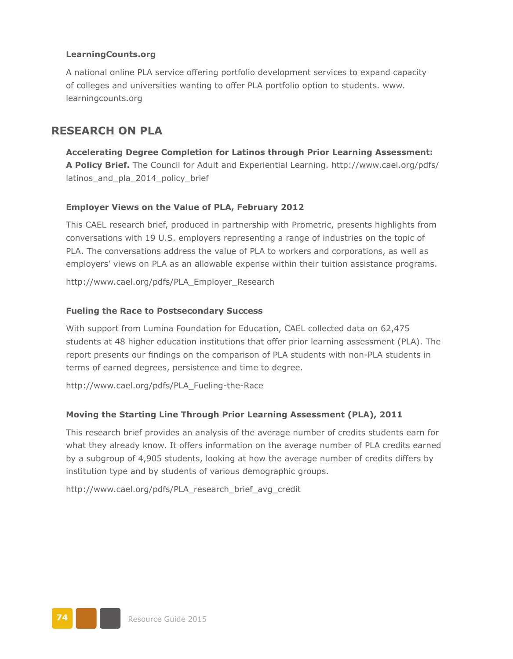#### **LearningCounts.org**

A national online PLA service offering portfolio development services to expand capacity of colleges and universities wanting to offer PLA portfolio option to students. [www.](http://www.learningcounts.org) [learningcounts.org](http://www.learningcounts.org)

## **RESEARCH ON PLA**

**Accelerating Degree Completion for Latinos through Prior Learning Assessment: A Policy Brief.** The Council for Adult and Experiential Learning. [http://www.cael.org/pdfs/](http://www.cael.org/pdfs/latinos_and_pla_2014_policy_brief) latinos and pla\_2014 policy brief

#### **Employer Views on the Value of PLA, February 2012**

This CAEL research brief, produced in partnership with Prometric, presents highlights from conversations with 19 U.S. employers representing a range of industries on the topic of PLA. The conversations address the value of PLA to workers and corporations, as well as employers' views on PLA as an allowable expense within their tuition assistance programs.

[http://www.cael.org/pdfs/PLA\\_Employer\\_Research](http://www.cael.org/pdfs/PLA_Employer_Research)

#### **Fueling the Race to Postsecondary Success**

With support from Lumina Foundation for Education, CAEL collected data on 62,475 students at 48 higher education institutions that offer prior learning assessment (PLA). The report presents our findings on the comparison of PLA students with non-PLA students in terms of earned degrees, persistence and time to degree.

[http://www.cael.org/pdfs/PLA\\_Fueling-the-Race](http://www.cael.org/pdfs/PLA_Fueling-the-Race)

#### **Moving the Starting Line Through Prior Learning Assessment (PLA), 2011**

This research brief provides an analysis of the average number of credits students earn for what they already know. It offers information on the average number of PLA credits earned by a subgroup of 4,905 students, looking at how the average number of credits differs by institution type and by students of various demographic groups.

[http://www.cael.org/pdfs/PLA\\_research\\_brief\\_avg\\_credit](http://www.cael.org/pdfs/PLA_research_brief_avg_credit)

**74** Resource Guide 2015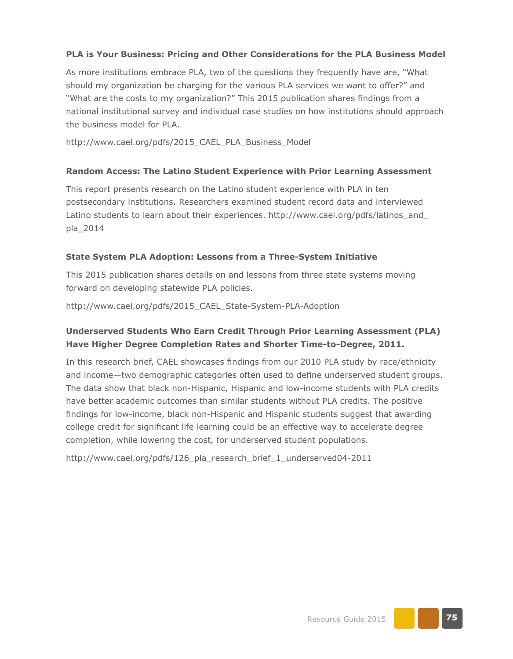### **PLA is Your Business: Pricing and Other Considerations for the PLA Business Model**

As more institutions embrace PLA, two of the questions they frequently have are, "What should my organization be charging for the various PLA services we want to offer?" and "What are the costs to my organization?" This 2015 publication shares findings from a national institutional survey and individual case studies on how institutions should approach the business model for PLA.

http://www.cael.org/pdfs/2015\_CAEL\_PLA\_Business\_Model

#### **Random Access: The Latino Student Experience with Prior Learning Assessment**

This report presents research on the Latino student experience with PLA in ten postsecondary institutions. Researchers examined student record data and interviewed Latino students to learn about their experiences. [http://www.cael.org/pdfs/latinos\\_and\\_](http://www.cael.org/pdfs/latinos_and_pla_2014) [pla\\_2014](http://www.cael.org/pdfs/latinos_and_pla_2014)

#### **State System PLA Adoption: Lessons from a Three-System Initiative**

This 2015 publication shares details on and lessons from three state systems moving forward on developing statewide PLA policies.

http://www.cael.org/pdfs/2015\_CAEL\_State-System-PLA-Adoption

### **Underserved Students Who Earn Credit Through Prior Learning Assessment (PLA) Have Higher Degree Completion Rates and Shorter Time-to-Degree, 2011.**

In this research brief, CAEL showcases findings from our 2010 PLA study by race/ethnicity and income—two demographic categories often used to define underserved student groups. The data show that black non-Hispanic, Hispanic and low-income students with PLA credits have better academic outcomes than similar students without PLA credits. The positive findings for low-income, black non-Hispanic and Hispanic students suggest that awarding college credit for significant life learning could be an effective way to accelerate degree completion, while lowering the cost, for underserved student populations.

[http://www.cael.org/pdfs/126\\_pla\\_research\\_brief\\_1\\_underserved04-2011](http://www.cael.org/pdfs/126_pla_research_brief_1_underserved04-2011)